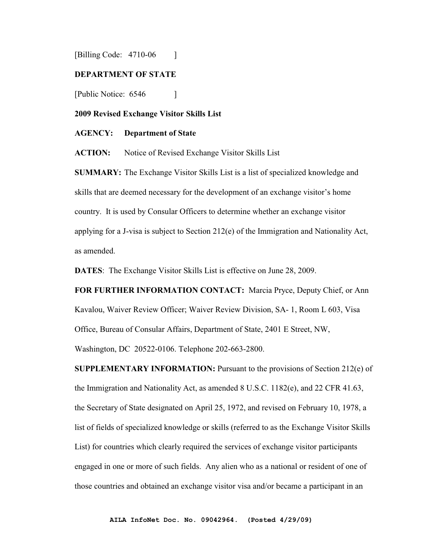[Billing Code: 4710-06 ]

#### **DEPARTMENT OF STATE**

[Public Notice: 6546 ]

**2009 Revised Exchange Visitor Skills List**

#### **AGENCY: Department of State**

**ACTION:** Notice of Revised Exchange Visitor Skills List

**SUMMARY:** The Exchange Visitor Skills List is a list of specialized knowledge and skills that are deemed necessary for the development of an exchange visitor's home country. It is used by Consular Officers to determine whether an exchange visitor applying for a J-visa is subject to Section 212(e) of the Immigration and Nationality Act, as amended.

**DATES**: The Exchange Visitor Skills List is effective on June 28, 2009.

**FOR FURTHER INFORMATION CONTACT:** Marcia Pryce, Deputy Chief, or Ann Kavalou, Waiver Review Officer; Waiver Review Division, SA- 1, Room L 603, Visa Office, Bureau of Consular Affairs, Department of State, 2401 E Street, NW, Washington, DC 20522-0106. Telephone 202-663-2800.

**SUPPLEMENTARY INFORMATION:** Pursuant to the provisions of Section 212(e) of the Immigration and Nationality Act, as amended  $8 \text{ U.S.C. } 1182(e)$ , and  $22 \text{ CFR } 41.63$ , the Secretary of State designated on April 25, 1972, and revised on February 10, 1978, a list of fields of specialized knowledge or skills (referred to as the Exchange Visitor Skills List) for countries which clearly required the services of exchange visitor participants engaged in one or more of such fields. Any alien who as a national or resident of one of those countries and obtained an exchange visitor visa and/or became a participant in an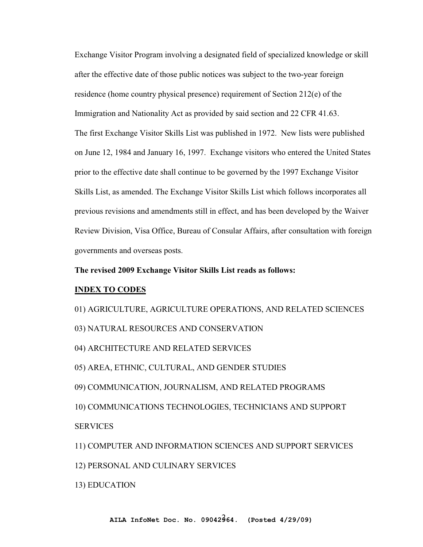Exchange Visitor Program involving a designated field of specialized knowledge or skill after the effective date of those public notices was subject to the two-year foreign residence (home country physical presence) requirement of Section 212(e) of the Immigration and Nationality Act as provided by said section and 22 CFR 41.63. The first Exchange Visitor Skills List was published in 1972. New lists were published on June 12, 1984 and January 16, 1997. Exchange visitors who entered the United States prior to the effective date shall continue to be governed by the 1997 Exchange Visitor Skills List, as amended. The Exchange Visitor Skills List which follows incorporates all previous revisions and amendments still in effect, and has been developed by the Waiver Review Division, Visa Office, Bureau of Consular Affairs, after consultation with foreign governments and overseas posts.

#### **The revised 2009 Exchange Visitor Skills List reads as follows:**

#### **INDEX TO CODES**

01) AGRICULTURE, AGRICULTURE OPERATIONS, AND RELATED SCIENCES

- 03) NATURAL RESOURCES AND CONSERVATION
- 04) ARCHITECTURE AND RELATED SERVICES
- 05) AREA, ETHNIC, CULTURAL, AND GENDER STUDIES
- 09) COMMUNICATION, JOURNALISM, AND RELATED PROGRAMS
- 10) COMMUNICATIONS TECHNOLOGIES, TECHNICIANS AND SUPPORT **SERVICES**
- 11) COMPUTER AND INFORMATION SCIENCES AND SUPPORT SERVICES
- 12) PERSONAL AND CULINARY SERVICES
- 13) EDUCATION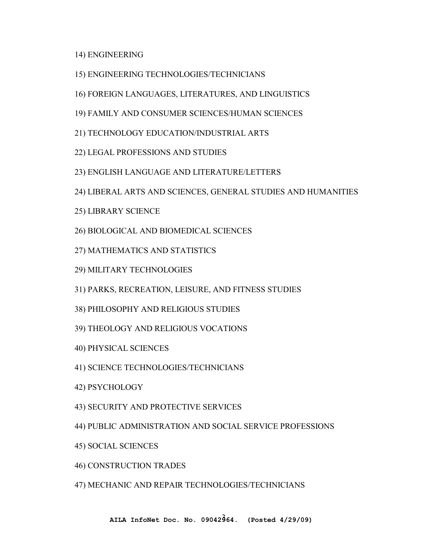14) ENGINEERING

- 15) ENGINEERING TECHNOLOGIES/TECHNICIANS
- 16) FOREIGN LANGUAGES, LITERATURES, AND LINGUISTICS
- 19) FAMILY AND CONSUMER SCIENCES/HUMAN SCIENCES
- 21) TECHNOLOGY EDUCATION/INDUSTRIAL ARTS
- 22) LEGAL PROFESSIONS AND STUDIES
- 23) ENGLISH LANGUAGE AND LITERATURE/LETTERS
- 24) LIBERAL ARTS AND SCIENCES, GENERAL STUDIES AND HUMANITIES
- 25) LIBRARY SCIENCE
- 26) BIOLOGICAL AND BIOMEDICAL SCIENCES
- 27) MATHEMATICS AND STATISTICS
- 29) MILITARY TECHNOLOGIES
- 31) PARKS, RECREATION, LEISURE, AND FITNESS STUDIES
- 38) PHILOSOPHY AND RELIGIOUS STUDIES
- 39) THEOLOGY AND RELIGIOUS VOCATIONS
- 40) PHYSICAL SCIENCES
- 41) SCIENCE TECHNOLOGIES/TECHNICIANS
- 42) PSYCHOLOGY
- 43) SECURITY AND PROTECTIVE SERVICES
- 44) PUBLIC ADMINISTRATION AND SOCIAL SERVICE PROFESSIONS
- 45) SOCIAL SCIENCES
- 46) CONSTRUCTION TRADES
- 47) MECHANIC AND REPAIR TECHNOLOGIES/TECHNICIANS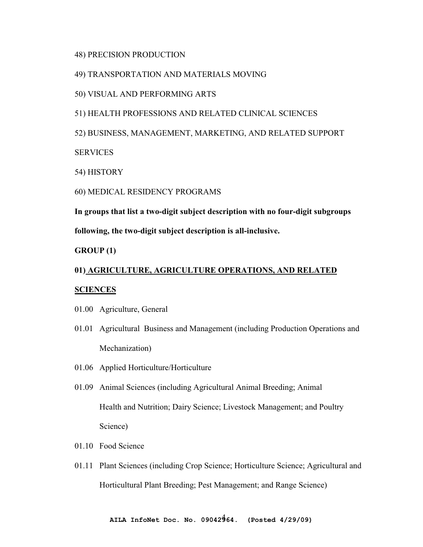## 48) PRECISION PRODUCTION

## 49) TRANSPORTATION AND MATERIALS MOVING

## 50) VISUAL AND PERFORMING ARTS

## 51) HEALTH PROFESSIONS AND RELATED CLINICAL SCIENCES

52) BUSINESS, MANAGEMENT, MARKETING, AND RELATED SUPPORT

**SERVICES** 

54) HISTORY

60) MEDICAL RESIDENCY PROGRAMS

**In groups that list a two-digit subject description with no four-digit subgroups following, the two-digit subject description is all-inclusive.**

**GROUP (1)** 

# **01) AGRICULTURE, AGRICULTURE OPERATIONS, AND RELATED**

## **SCIENCES**

- 01.00 Agriculture, General
- 01.01 Agricultural Business and Management (including Production Operations and Mechanization)
- 01.06 Applied Horticulture/Horticulture
- 01.09 Animal Sciences (including Agricultural Animal Breeding; Animal Health and Nutrition; Dairy Science; Livestock Management; and Poultry Science)
- 01.10 Food Science
- 01.11 Plant Sciences (including Crop Science; Horticulture Science; Agricultural and Horticultural Plant Breeding; Pest Management; and Range Science)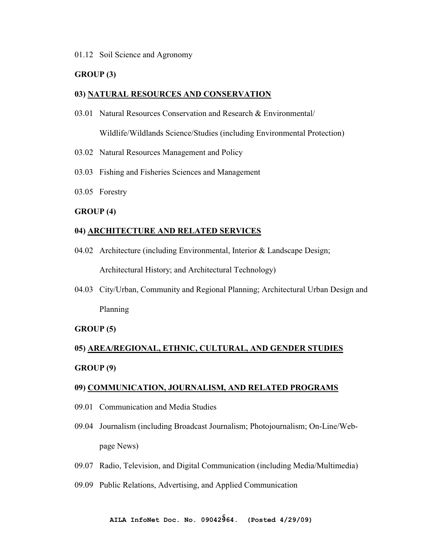## 01.12 Soil Science and Agronomy

## **GROUP (3)**

## **03) NATURAL RESOURCES AND CONSERVATION**

03.01 Natural Resources Conservation and Research & Environmental/

Wildlife/Wildlands Science/Studies (including Environmental Protection)

- 03.02 Natural Resources Management and Policy
- 03.03 Fishing and Fisheries Sciences and Management
- 03.05 Forestry

## **GROUP (4)**

# **04) ARCHITECTURE AND RELATED SERVICES**

04.02 Architecture (including Environmental, Interior & Landscape Design;

Architectural History; and Architectural Technology)

04.03 City/Urban, Community and Regional Planning; Architectural Urban Design and Planning

## **GROUP (5)**

# **05) AREA/REGIONAL, ETHNIC, CULTURAL, AND GENDER STUDIES GROUP (9)**

# **09) COMMUNICATION, JOURNALISM, AND RELATED PROGRAMS**

- 09.01 Communication and Media Studies
- 09.04 Journalism (including Broadcast Journalism; Photojournalism; On-Line/Webpage News)
- 09.07 Radio, Television, and Digital Communication (including Media/Multimedia)
- 09.09 Public Relations, Advertising, and Applied Communication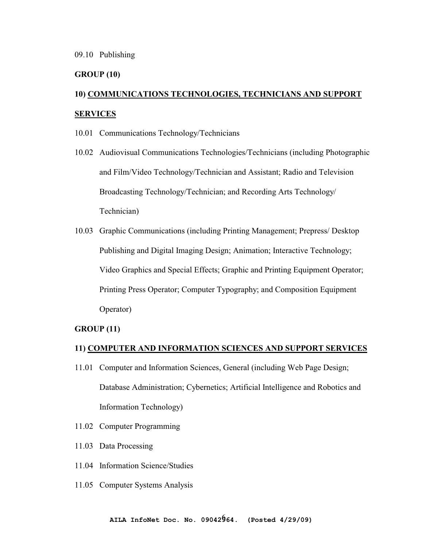# **GROUP (10)**

# **10) COMMUNICATIONS TECHNOLOGIES, TECHNICIANS AND SUPPORT SERVICES**

- 10.01 Communications Technology/Technicians
- 10.02 Audiovisual Communications Technologies/Technicians (including Photographic and Film/Video Technology/Technician and Assistant; Radio and Television Broadcasting Technology/Technician; and Recording Arts Technology/ Technician)
- 10.03 Graphic Communications (including Printing Management; Prepress/ Desktop Publishing and Digital Imaging Design; Animation; Interactive Technology; Video Graphics and Special Effects; Graphic and Printing Equipment Operator; Printing Press Operator; Computer Typography; and Composition Equipment Operator)

## **GROUP (11)**

#### **11) COMPUTER AND INFORMATION SCIENCES AND SUPPORT SERVICES**

- 11.01 Computer and Information Sciences, General (including Web Page Design; Database Administration; Cybernetics; Artificial Intelligence and Robotics and Information Technology)
- 11.02 Computer Programming
- 11.03 Data Processing
- 11.04 Information Science/Studies
- 11.05 Computer Systems Analysis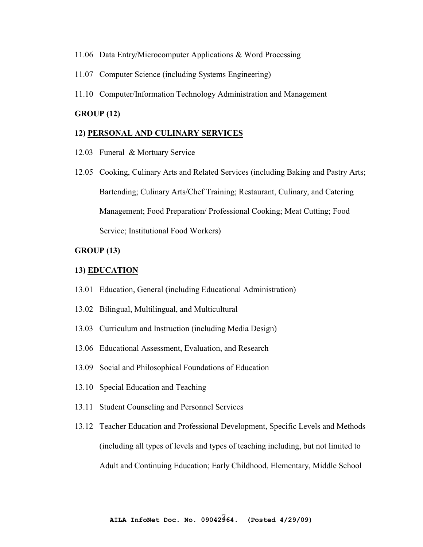- 11.06 Data Entry/Microcomputer Applications & Word Processing
- 11.07 Computer Science (including Systems Engineering)
- 11.10 Computer/Information Technology Administration and Management

## **GROUP (12)**

#### **12) PERSONAL AND CULINARY SERVICES**

- 12.03 Funeral & Mortuary Service
- 12.05 Cooking, Culinary Arts and Related Services (including Baking and Pastry Arts; Bartending; Culinary Arts/Chef Training; Restaurant, Culinary, and Catering Management; Food Preparation/ Professional Cooking; Meat Cutting; Food Service; Institutional Food Workers)

## **GROUP (13)**

#### **13) EDUCATION**

- 13.01 Education, General (including Educational Administration)
- 13.02 Bilingual, Multilingual, and Multicultural
- 13.03 Curriculum and Instruction (including Media Design)
- 13.06 Educational Assessment, Evaluation, and Research
- 13.09 Social and Philosophical Foundations of Education
- 13.10 Special Education and Teaching
- 13.11 Student Counseling and Personnel Services
- 13.12 Teacher Education and Professional Development, Specific Levels and Methods (including all types of levels and types of teaching including, but not limited to Adult and Continuing Education; Early Childhood, Elementary, Middle School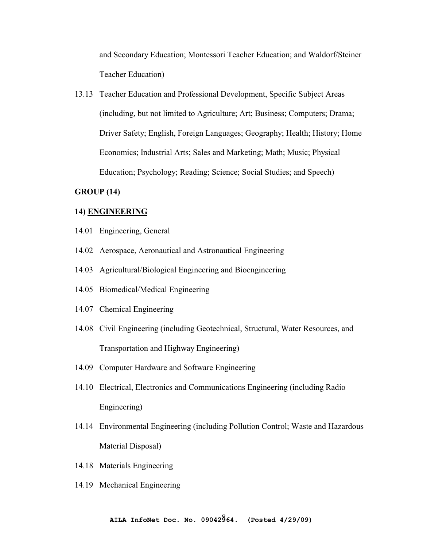and Secondary Education; Montessori Teacher Education; and Waldorf/Steiner Teacher Education)

13.13 Teacher Education and Professional Development, Specific Subject Areas (including, but not limited to Agriculture; Art; Business; Computers; Drama; Driver Safety; English, Foreign Languages; Geography; Health; History; Home Economics; Industrial Arts; Sales and Marketing; Math; Music; Physical Education; Psychology; Reading; Science; Social Studies; and Speech)

## **GROUP (14)**

#### **14) ENGINEERING**

- 14.01 Engineering, General
- 14.02 Aerospace, Aeronautical and Astronautical Engineering
- 14.03 Agricultural/Biological Engineering and Bioengineering
- 14.05 Biomedical/Medical Engineering
- 14.07 Chemical Engineering
- 14.08 Civil Engineering (including Geotechnical, Structural, Water Resources, and Transportation and Highway Engineering)
- 14.09 Computer Hardware and Software Engineering
- 14.10 Electrical, Electronics and Communications Engineering (including Radio Engineering)
- 14.14 Environmental Engineering (including Pollution Control; Waste and Hazardous Material Disposal)
- 14.18 Materials Engineering
- 14.19 Mechanical Engineering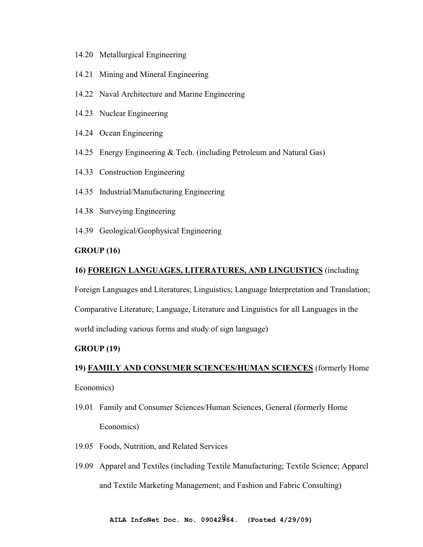- 14.20 Metallurgical Engineering
- 14.21 Mining and Mineral Engineering
- 14.22 Naval Architecture and Marine Engineering
- 14.23 Nuclear Engineering
- 14.24 Ocean Engineering
- 14.25 Energy Engineering & Tech. (including Petroleum and Natural Gas)
- 14.33 Construction Engineering
- 14.35 Industrial/Manufacturing Engineering
- 14.38 Surveying Engineering
- 14.39 Geological/Geophysical Engineering

## **GROUP (16)**

## **16) FOREIGN LANGUAGES, LITERATURES, AND LINGUISTICS** (including

Foreign Languages and Literatures; Linguistics; Language Interpretation and Translation;

Comparative Literature; Language, Literature and Linguistics for all Languages in the

world including various forms and study of sign language)

## **GROUP (19)**

# **19) FAMILY AND CONSUMER SCIENCES/HUMAN SCIENCES** (formerly Home

Economics)

- 19.01 Family and Consumer Sciences/Human Sciences, General (formerly Home Economics)
- 19.05 Foods, Nutrition, and Related Services
- 19.09 Apparel and Textiles (including Textile Manufacturing; Textile Science; Apparel and Textile Marketing Management; and Fashion and Fabric Consulting)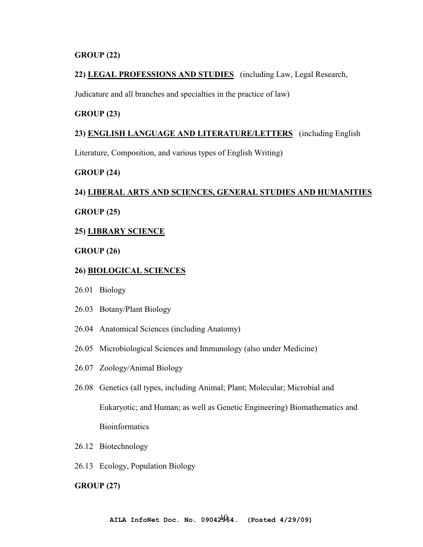## **GROUP (22)**

# **22) LEGAL PROFESSIONS AND STUDIES** (including Law, Legal Research,

Judicature and all branches and specialties in the practice of law)

## **GROUP (23)**

#### **23) ENGLISH LANGUAGE AND LITERATURE/LETTERS** (including English

Literature, Composition, and various types of English Writing)

## **GROUP (24)**

# **24) LIBERAL ARTS AND SCIENCES, GENERAL STUDIES AND HUMANITIES GROUP (25)**

## **25) LIBRARY SCIENCE**

## **GROUP (26)**

## **26) BIOLOGICAL SCIENCES**

- 26.01 Biology
- 26.03 Botany/Plant Biology
- 26.04 Anatomical Sciences (including Anatomy)
- 26.05 Microbiological Sciences and Immunology (also under Medicine)
- 26.07 Zoology/Animal Biology
- 26.08 Genetics (all types, including Animal; Plant; Molecular; Microbial and Eukaryotic; and Human; as well as Genetic Engineering) Biomathematics and **Bioinformatics**
- 26.12 Biotechnology
- 26.13 Ecology, Population Biology

## **GROUP (27)**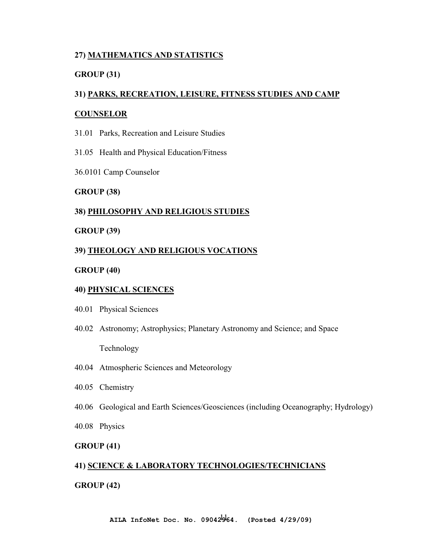# **27) MATHEMATICS AND STATISTICS**

# **GROUP (31)**

# **31) PARKS, RECREATION, LEISURE, FITNESS STUDIES AND CAMP**

## **COUNSELOR**

- 31.01 Parks, Recreation and Leisure Studies
- 31.05 Health and Physical Education/Fitness
- 36.0101 Camp Counselor

## **GROUP (38)**

# **38) PHILOSOPHY AND RELIGIOUS STUDIES**

## **GROUP (39)**

# **39) THEOLOGY AND RELIGIOUS VOCATIONS**

## **GROUP (40)**

## **40) PHYSICAL SCIENCES**

- 40.01 Physical Sciences
- 40.02 Astronomy; Astrophysics; Planetary Astronomy and Science; and Space

Technology

- 40.04 Atmospheric Sciences and Meteorology
- 40.05 Chemistry
- 40.06 Geological and Earth Sciences/Geosciences (including Oceanography; Hydrology)
- 40.08 Physics

# **GROUP (41)**

# **41) SCIENCE & LABORATORY TECHNOLOGIES/TECHNICIANS**

## **GROUP (42)**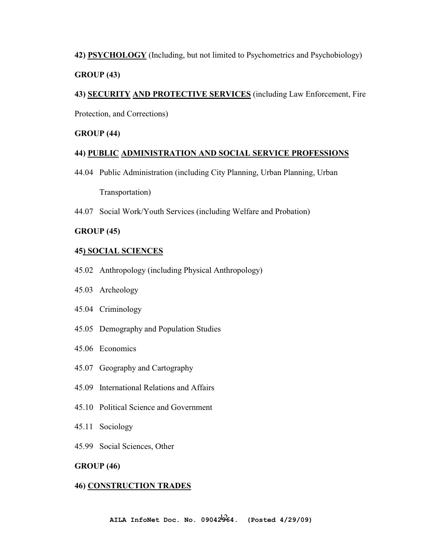**42) PSYCHOLOGY** (Including, but not limited to Psychometrics and Psychobiology) **GROUP (43)** 

**43) SECURITY AND PROTECTIVE SERVICES** (including Law Enforcement, Fire

Protection, and Corrections)

## **GROUP (44)**

# **44) PUBLIC ADMINISTRATION AND SOCIAL SERVICE PROFESSIONS**

- 44.04 Public Administration (including City Planning, Urban Planning, Urban Transportation)
- 44.07 Social Work/Youth Services (including Welfare and Probation)

# **GROUP (45)**

## **45) SOCIAL SCIENCES**

- 45.02 Anthropology (including Physical Anthropology)
- 45.03 Archeology
- 45.04 Criminology
- 45.05 Demography and Population Studies
- 45.06 Economics
- 45.07 Geography and Cartography
- 45.09 International Relations and Affairs
- 45.10 Political Science and Government
- 45.11 Sociology
- 45.99 Social Sciences, Other

## **GROUP (46)**

## **46) CONSTRUCTION TRADES**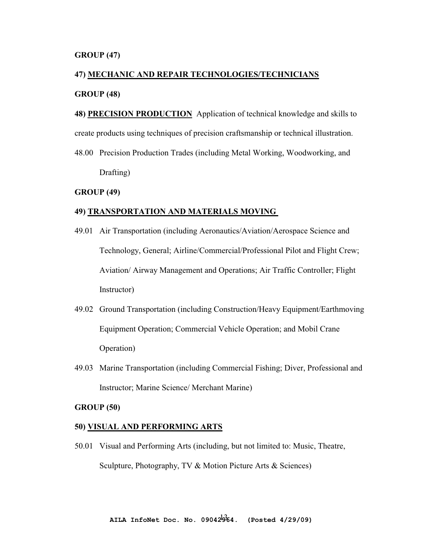#### **GROUP (47)**

# **47) MECHANIC AND REPAIR TECHNOLOGIES/TECHNICIANS GROUP (48)**

**48) PRECISION PRODUCTION** Application of technical knowledge and skills to create products using techniques of precision craftsmanship or technical illustration.

48.00 Precision Production Trades (including Metal Working, Woodworking, and Drafting)

#### **GROUP (49)**

#### **49) TRANSPORTATION AND MATERIALS MOVING**

- 49.01 Air Transportation (including Aeronautics/Aviation/Aerospace Science and Technology, General; Airline/Commercial/Professional Pilot and Flight Crew; Aviation/ Airway Management and Operations; Air Traffic Controller; Flight Instructor)
- 49.02 Ground Transportation (including Construction/Heavy Equipment/Earthmoving Equipment Operation; Commercial Vehicle Operation; and Mobil Crane Operation)
- 49.03 Marine Transportation (including Commercial Fishing; Diver, Professional and Instructor; Marine Science/ Merchant Marine)

#### **GROUP (50)**

## **50) VISUAL AND PERFORMING ARTS**

50.01 Visual and Performing Arts (including, but not limited to: Music, Theatre, Sculpture, Photography, TV & Motion Picture Arts & Sciences)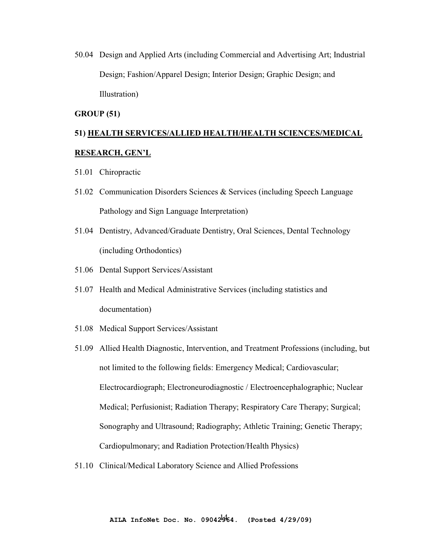50.04 Design and Applied Arts (including Commercial and Advertising Art; Industrial Design; Fashion/Apparel Design; Interior Design; Graphic Design; and Illustration)

#### **GROUP (51)**

# **51) HEALTH SERVICES/ALLIED HEALTH/HEALTH SCIENCES/MEDICAL RESEARCH, GEN'L**

- 51.01 Chiropractic
- 51.02 Communication Disorders Sciences & Services (including Speech Language Pathology and Sign Language Interpretation)
- 51.04 Dentistry, Advanced/Graduate Dentistry, Oral Sciences, Dental Technology (including Orthodontics)
- 51.06 Dental Support Services/Assistant
- 51.07 Health and Medical Administrative Services (including statistics and documentation)
- 51.08 Medical Support Services/Assistant
- 51.09 Allied Health Diagnostic, Intervention, and Treatment Professions (including, but not limited to the following fields: Emergency Medical; Cardiovascular; Electrocardiograph; Electroneurodiagnostic / Electroencephalographic; Nuclear Medical; Perfusionist; Radiation Therapy; Respiratory Care Therapy; Surgical; Sonography and Ultrasound; Radiography; Athletic Training; Genetic Therapy; Cardiopulmonary; and Radiation Protection/Health Physics)
- 51.10 Clinical/Medical Laboratory Science and Allied Professions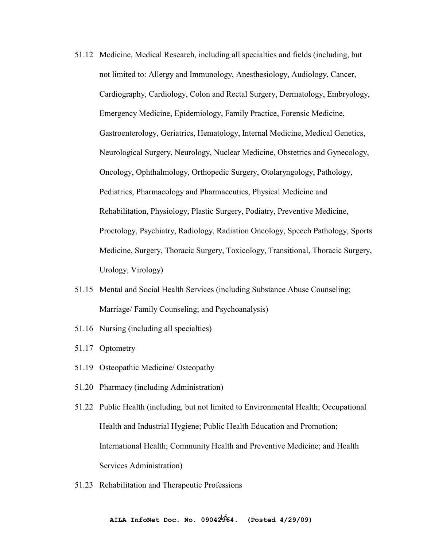- 51.12 Medicine, Medical Research, including all specialties and fields (including, but not limited to: Allergy and Immunology, Anesthesiology, Audiology, Cancer, Cardiography, Cardiology, Colon and Rectal Surgery, Dermatology, Embryology, Emergency Medicine, Epidemiology, Family Practice, Forensic Medicine, Gastroenterology, Geriatrics, Hematology, Internal Medicine, Medical Genetics, Neurological Surgery, Neurology, Nuclear Medicine, Obstetrics and Gynecology, Oncology, Ophthalmology, Orthopedic Surgery, Otolaryngology, Pathology, Pediatrics, Pharmacology and Pharmaceutics, Physical Medicine and Rehabilitation, Physiology, Plastic Surgery, Podiatry, Preventive Medicine, Proctology, Psychiatry, Radiology, Radiation Oncology, Speech Pathology, Sports Medicine, Surgery, Thoracic Surgery, Toxicology, Transitional, Thoracic Surgery, Urology, Virology)
- 51.15 Mental and Social Health Services (including Substance Abuse Counseling; Marriage/ Family Counseling; and Psychoanalysis)
- 51.16 Nursing (including all specialties)
- 51.17 Optometry
- 51.19 Osteopathic Medicine/ Osteopathy
- 51.20 Pharmacy (including Administration)
- 51.22 Public Health (including, but not limited to Environmental Health; Occupational Health and Industrial Hygiene; Public Health Education and Promotion; International Health; Community Health and Preventive Medicine; and Health Services Administration)
- 51.23 Rehabilitation and Therapeutic Professions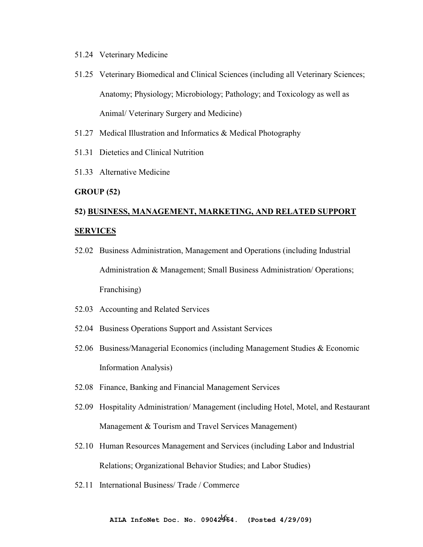- 51.24 Veterinary Medicine
- 51.25 Veterinary Biomedical and Clinical Sciences (including all Veterinary Sciences; Anatomy; Physiology; Microbiology; Pathology; and Toxicology as well as Animal/ Veterinary Surgery and Medicine)
- 51.27 Medical Illustration and Informatics & Medical Photography
- 51.31 Dietetics and Clinical Nutrition
- 51.33 Alternative Medicine

## **GROUP (52)**

# **52) BUSINESS, MANAGEMENT, MARKETING, AND RELATED SUPPORT SERVICES**

- 52.02 Business Administration, Management and Operations (including Industrial Administration & Management; Small Business Administration/ Operations; Franchising)
- 52.03 Accounting and Related Services
- 52.04 Business Operations Support and Assistant Services
- 52.06 Business/Managerial Economics (including Management Studies & Economic Information Analysis)
- 52.08 Finance, Banking and Financial Management Services
- 52.09 Hospitality Administration/ Management (including Hotel, Motel, and Restaurant Management & Tourism and Travel Services Management)
- 52.10 Human Resources Management and Services (including Labor and Industrial Relations; Organizational Behavior Studies; and Labor Studies)
- 52.11 International Business/ Trade / Commerce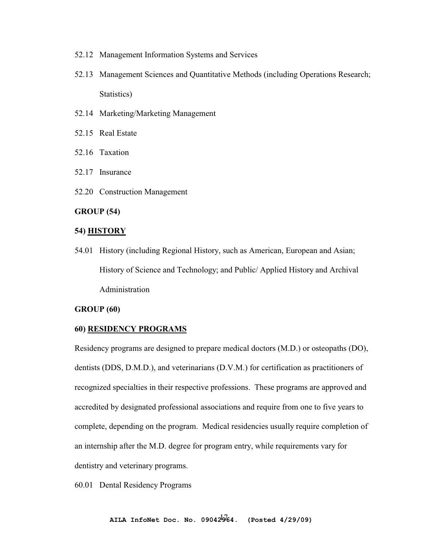- 52.12 Management Information Systems and Services
- 52.13 Management Sciences and Quantitative Methods (including Operations Research; Statistics)
- 52.14 Marketing/Marketing Management
- 52.15 Real Estate
- 52.16 Taxation
- 52.17 Insurance
- 52.20 Construction Management

#### **GROUP (54)**

#### **54) HISTORY**

54.01 History (including Regional History, such as American, European and Asian; History of Science and Technology; and Public/ Applied History and Archival Administration

#### **GROUP (60)**

#### **60) RESIDENCY PROGRAMS**

Residency programs are designed to prepare medical doctors (M.D.) or osteopaths (DO), dentists (DDS, D.M.D.), and veterinarians (D.V.M.) for certification as practitioners of recognized specialties in their respective professions. These programs are approved and accredited by designated professional associations and require from one to five years to complete, depending on the program. Medical residencies usually require completion of an internship after the M.D. degree for program entry, while requirements vary for dentistry and veterinary programs.

60.01 Dental Residency Programs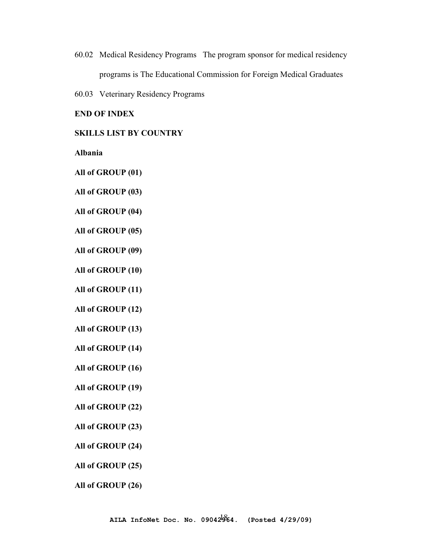- 60.02 Medical Residency Programs The program sponsor for medical residency programs is The Educational Commission for Foreign Medical Graduates
- 60.03 Veterinary Residency Programs

## **END OF INDEX**

## **SKILLS LIST BY COUNTRY**

**Albania** 

**All of GROUP (01)** 

**All of GROUP (03)** 

**All of GROUP (04)** 

**All of GROUP (05)** 

**All of GROUP (09)** 

**All of GROUP (10)** 

**All of GROUP (11)** 

**All of GROUP (12)** 

**All of GROUP (13)** 

**All of GROUP (14)** 

**All of GROUP (16)** 

**All of GROUP (19)** 

**All of GROUP (22)** 

**All of GROUP (23)** 

**All of GROUP (24)** 

**All of GROUP (25)** 

**All of GROUP (26)**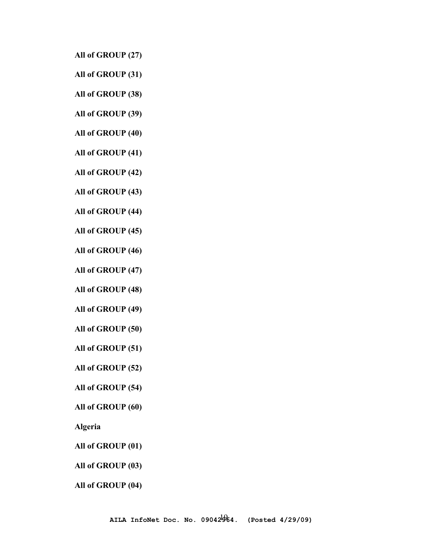**All of GROUP (27)** 

**All of GROUP (31)** 

**All of GROUP (38)** 

**All of GROUP (39)** 

**All of GROUP (40)** 

**All of GROUP (41)** 

**All of GROUP (42)** 

**All of GROUP (43)** 

**All of GROUP (44)** 

**All of GROUP (45)** 

**All of GROUP (46)** 

**All of GROUP (47)** 

**All of GROUP (48)** 

**All of GROUP (49)** 

**All of GROUP (50)** 

**All of GROUP (51)** 

**All of GROUP (52)** 

**All of GROUP (54)** 

**All of GROUP (60)** 

**Algeria** 

**All of GROUP (01)** 

**All of GROUP (03)** 

**All of GROUP (04)**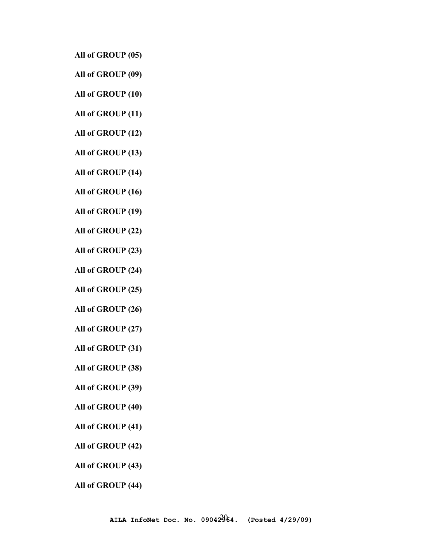**All of GROUP (05)** 

- **All of GROUP (09)**
- **All of GROUP (10)**
- **All of GROUP (11)**
- **All of GROUP (12)**
- **All of GROUP (13)**
- **All of GROUP (14)**
- **All of GROUP (16)**
- **All of GROUP (19)**
- **All of GROUP (22)**
- **All of GROUP (23)**
- **All of GROUP (24)**
- **All of GROUP (25)**
- **All of GROUP (26)**
- **All of GROUP (27)**
- **All of GROUP (31)**
- **All of GROUP (38)**
- **All of GROUP (39)**
- **All of GROUP (40)**
- **All of GROUP (41)**
- **All of GROUP (42)**
- **All of GROUP (43)**
- **All of GROUP (44)**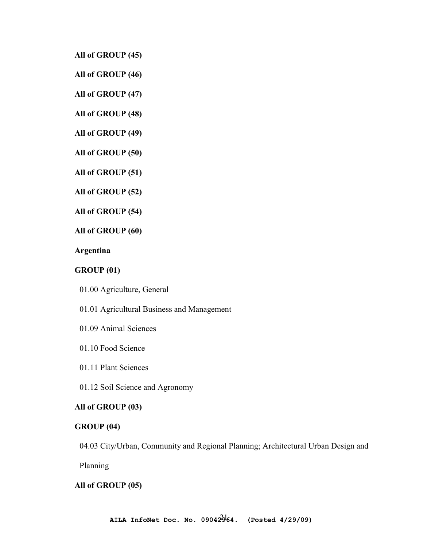**All of GROUP (45)** 

**All of GROUP (46)** 

**All of GROUP (47)** 

**All of GROUP (48)** 

**All of GROUP (49)** 

**All of GROUP (50)** 

**All of GROUP (51)** 

**All of GROUP (52)** 

**All of GROUP (54)** 

**All of GROUP (60)** 

**Argentina**

## **GROUP (01)**

01.00 Agriculture, General

01.01 Agricultural Business and Management

- 01.09 Animal Sciences
- 01.10 Food Science
- 01.11 Plant Sciences

01.12 Soil Science and Agronomy

# **All of GROUP (03)**

#### **GROUP (04)**

04.03 City/Urban, Community and Regional Planning; Architectural Urban Design and

Planning

## **All of GROUP (05)**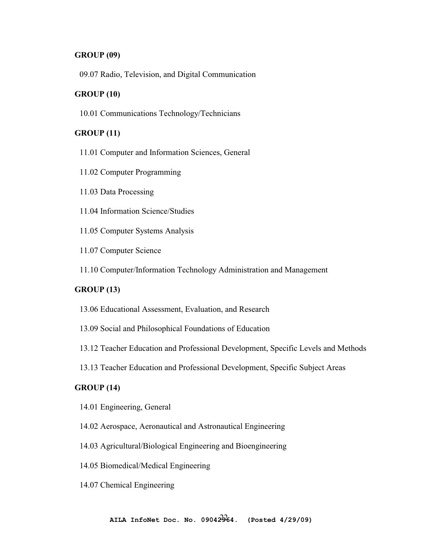## **GROUP (09)**

09.07 Radio, Television, and Digital Communication

## **GROUP (10)**

10.01 Communications Technology/Technicians

# **GROUP (11)**

- 11.01 Computer and Information Sciences, General
- 11.02 Computer Programming
- 11.03 Data Processing
- 11.04 Information Science/Studies
- 11.05 Computer Systems Analysis
- 11.07 Computer Science
- 11.10 Computer/Information Technology Administration and Management

## **GROUP (13)**

- 13.06 Educational Assessment, Evaluation, and Research
- 13.09 Social and Philosophical Foundations of Education
- 13.12 Teacher Education and Professional Development, Specific Levels and Methods
- 13.13 Teacher Education and Professional Development, Specific Subject Areas

# **GROUP (14)**

- 14.01 Engineering, General
- 14.02 Aerospace, Aeronautical and Astronautical Engineering
- 14.03 Agricultural/Biological Engineering and Bioengineering
- 14.05 Biomedical/Medical Engineering
- 14.07 Chemical Engineering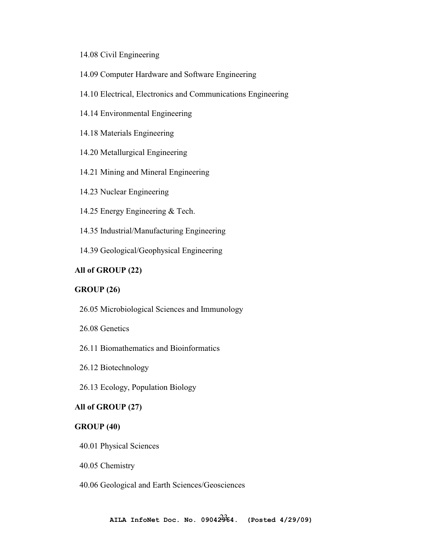## 14.08 Civil Engineering

- 14.09 Computer Hardware and Software Engineering
- 14.10 Electrical, Electronics and Communications Engineering
- 14.14 Environmental Engineering
- 14.18 Materials Engineering
- 14.20 Metallurgical Engineering
- 14.21 Mining and Mineral Engineering
- 14.23 Nuclear Engineering
- 14.25 Energy Engineering & Tech.
- 14.35 Industrial/Manufacturing Engineering
- 14.39 Geological/Geophysical Engineering

## **All of GROUP (22)**

## **GROUP (26)**

- 26.05 Microbiological Sciences and Immunology
- 26.08 Genetics
- 26.11 Biomathematics and Bioinformatics
- 26.12 Biotechnology
- 26.13 Ecology, Population Biology

## **All of GROUP (27)**

## **GROUP (40)**

- 40.01 Physical Sciences
- 40.05 Chemistry
- 40.06 Geological and Earth Sciences/Geosciences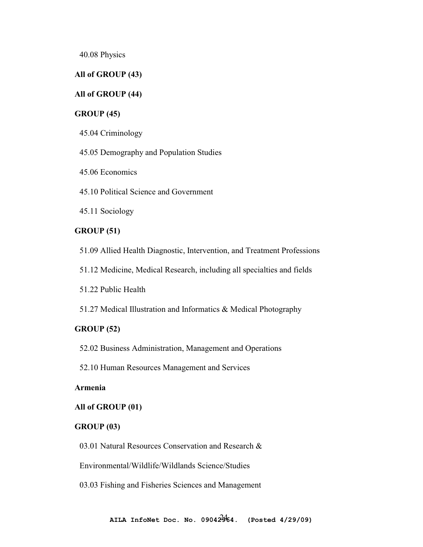40.08 Physics

# **All of GROUP (43)**

## **All of GROUP (44)**

# **GROUP (45)**

45.04 Criminology

45.05 Demography and Population Studies

45.06 Economics

45.10 Political Science and Government

45.11 Sociology

## **GROUP (51)**

51.09 Allied Health Diagnostic, Intervention, and Treatment Professions

51.12 Medicine, Medical Research, including all specialties and fields

51.22 Public Health

51.27 Medical Illustration and Informatics & Medical Photography

## **GROUP (52)**

52.02 Business Administration, Management and Operations

52.10 Human Resources Management and Services

# **Armenia**

#### **All of GROUP (01)**

#### **GROUP (03)**

03.01 Natural Resources Conservation and Research &

Environmental/Wildlife/Wildlands Science/Studies

03.03 Fishing and Fisheries Sciences and Management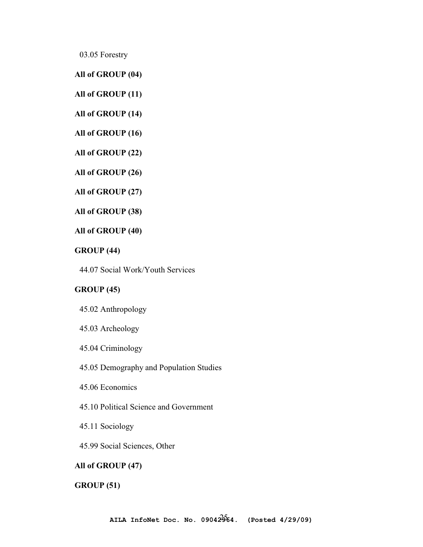03.05 Forestry

## **All of GROUP (04)**

**All of GROUP (11)** 

**All of GROUP (14)** 

**All of GROUP (16)** 

**All of GROUP (22)** 

**All of GROUP (26)** 

**All of GROUP (27)** 

**All of GROUP (38)** 

## **All of GROUP (40)**

# **GROUP (44)**

44.07 Social Work/Youth Services

# **GROUP (45)**

45.02 Anthropology

45.03 Archeology

45.04 Criminology

45.05 Demography and Population Studies

45.06 Economics

45.10 Political Science and Government

45.11 Sociology

45.99 Social Sciences, Other

## **All of GROUP (47)**

**GROUP (51)**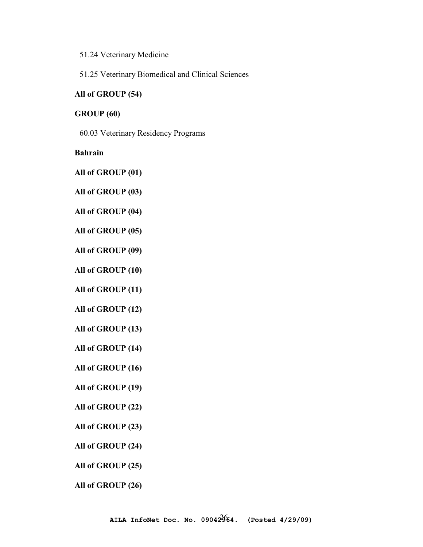- 51.24 Veterinary Medicine
- 51.25 Veterinary Biomedical and Clinical Sciences

## **All of GROUP (54)**

## **GROUP (60)**

60.03 Veterinary Residency Programs

# **Bahrain**

**All of GROUP (01)** 

- **All of GROUP (03)**
- **All of GROUP (04)**
- **All of GROUP (05)**
- **All of GROUP (09)**
- **All of GROUP (10)**
- **All of GROUP (11)**
- **All of GROUP (12)**
- **All of GROUP (13)**
- **All of GROUP (14)**
- **All of GROUP (16)**
- **All of GROUP (19)**
- **All of GROUP (22)**
- **All of GROUP (23)**
- **All of GROUP (24)**
- **All of GROUP (25)**
- **All of GROUP (26)**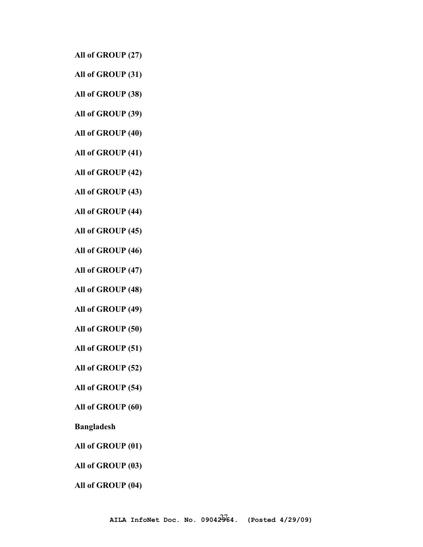**All of GROUP (27)** 

**All of GROUP (31)** 

**All of GROUP (38)** 

**All of GROUP (39)** 

**All of GROUP (40)** 

**All of GROUP (41)** 

**All of GROUP (42)** 

**All of GROUP (43)** 

**All of GROUP (44)** 

**All of GROUP (45)** 

**All of GROUP (46)** 

**All of GROUP (47)** 

**All of GROUP (48)** 

**All of GROUP (49)** 

**All of GROUP (50)** 

**All of GROUP (51)** 

**All of GROUP (52)** 

**All of GROUP (54)** 

**All of GROUP (60)** 

**Bangladesh** 

**All of GROUP (01)** 

**All of GROUP (03)** 

**All of GROUP (04)**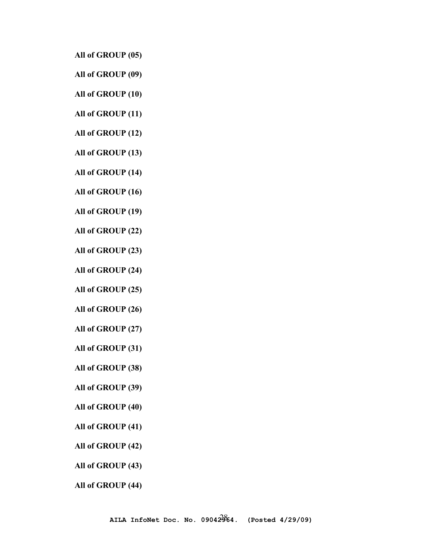**All of GROUP (05)** 

- **All of GROUP (09)**
- **All of GROUP (10)**
- **All of GROUP (11)**
- **All of GROUP (12)**
- **All of GROUP (13)**
- **All of GROUP (14)**
- **All of GROUP (16)**
- **All of GROUP (19)**
- **All of GROUP (22)**
- **All of GROUP (23)**
- **All of GROUP (24)**
- **All of GROUP (25)**
- **All of GROUP (26)**
- **All of GROUP (27)**
- **All of GROUP (31)**
- **All of GROUP (38)**
- **All of GROUP (39)**
- **All of GROUP (40)**
- **All of GROUP (41)**
- **All of GROUP (42)**
- **All of GROUP (43)**
- **All of GROUP (44)**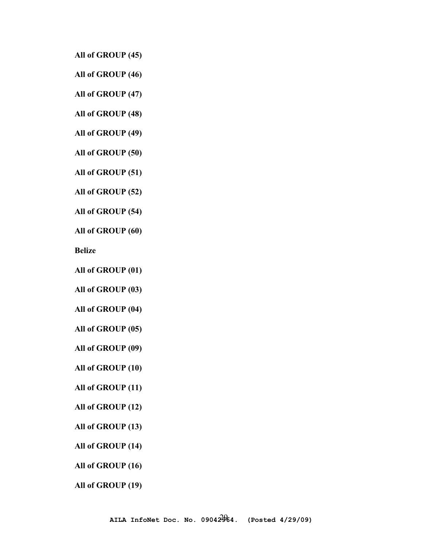**All of GROUP (45)** 

**All of GROUP (46)** 

**All of GROUP (47)** 

**All of GROUP (48)** 

**All of GROUP (49)** 

**All of GROUP (50)** 

**All of GROUP (51)** 

**All of GROUP (52)** 

**All of GROUP (54)** 

**All of GROUP (60)** 

**Belize** 

**All of GROUP (01)** 

**All of GROUP (03)** 

**All of GROUP (04)** 

**All of GROUP (05)** 

**All of GROUP (09)** 

**All of GROUP (10)** 

**All of GROUP (11)** 

**All of GROUP (12)** 

**All of GROUP (13)** 

**All of GROUP (14)** 

**All of GROUP (16)** 

**All of GROUP (19)**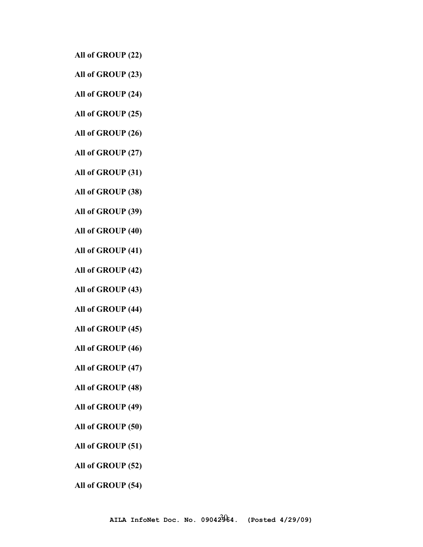**All of GROUP (22)** 

**All of GROUP (23)** 

**All of GROUP (24)** 

**All of GROUP (25)** 

**All of GROUP (26)** 

**All of GROUP (27)** 

**All of GROUP (31)** 

**All of GROUP (38)** 

**All of GROUP (39)** 

**All of GROUP (40)** 

**All of GROUP (41)** 

**All of GROUP (42)** 

**All of GROUP (43)** 

**All of GROUP (44)** 

**All of GROUP (45)** 

**All of GROUP (46)** 

**All of GROUP (47)** 

**All of GROUP (48)** 

**All of GROUP (49)** 

**All of GROUP (50)** 

**All of GROUP (51)** 

**All of GROUP (52)** 

**All of GROUP (54)**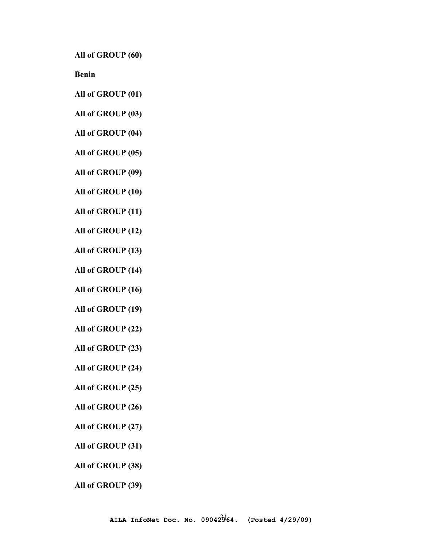**All of GROUP (60)** 

**Benin** 

- **All of GROUP (01)**
- **All of GROUP (03)**
- **All of GROUP (04)**
- **All of GROUP (05)**
- **All of GROUP (09)**
- **All of GROUP (10)**
- **All of GROUP (11)**
- **All of GROUP (12)**
- **All of GROUP (13)**
- **All of GROUP (14)**
- **All of GROUP (16)**
- **All of GROUP (19)**
- **All of GROUP (22)**
- **All of GROUP (23)**
- **All of GROUP (24)**
- **All of GROUP (25)**
- **All of GROUP (26)**
- **All of GROUP (27)**
- **All of GROUP (31)**
- **All of GROUP (38)**
- **All of GROUP (39)**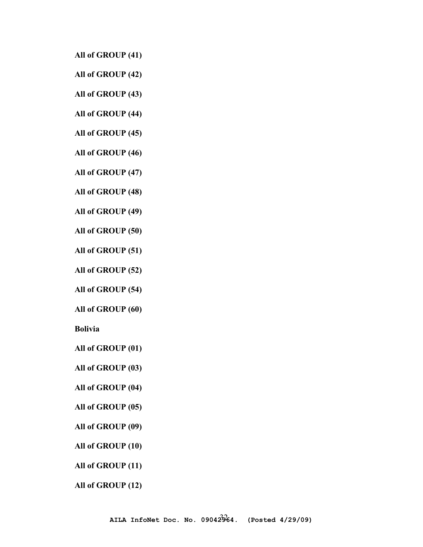**All of GROUP (41)** 

**All of GROUP (42)** 

**All of GROUP (43)** 

**All of GROUP (44)** 

**All of GROUP (45)** 

**All of GROUP (46)** 

**All of GROUP (47)** 

**All of GROUP (48)** 

**All of GROUP (49)** 

**All of GROUP (50)** 

**All of GROUP (51)** 

**All of GROUP (52)** 

**All of GROUP (54)** 

**All of GROUP (60)** 

**Bolivia**

**All of GROUP (01)** 

**All of GROUP (03)** 

**All of GROUP (04)** 

**All of GROUP (05)** 

**All of GROUP (09)** 

**All of GROUP (10)** 

**All of GROUP (11)** 

**All of GROUP (12)**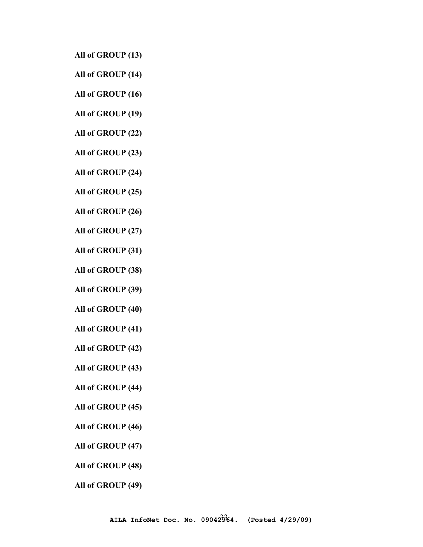**All of GROUP (13)** 

- **All of GROUP (14)**
- **All of GROUP (16)**
- **All of GROUP (19)**
- **All of GROUP (22)**
- **All of GROUP (23)**
- **All of GROUP (24)**
- **All of GROUP (25)**
- **All of GROUP (26)**
- **All of GROUP (27)**
- **All of GROUP (31)**
- **All of GROUP (38)**
- **All of GROUP (39)**
- **All of GROUP (40)**
- **All of GROUP (41)**
- **All of GROUP (42)**
- **All of GROUP (43)**
- **All of GROUP (44)**
- **All of GROUP (45)**
- **All of GROUP (46)**
- **All of GROUP (47)**
- **All of GROUP (48)**
- **All of GROUP (49)**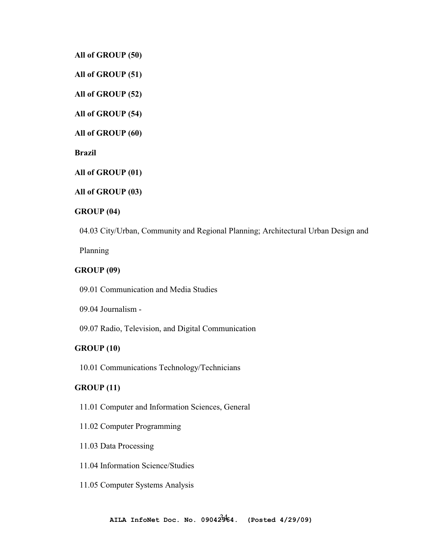**All of GROUP (50)** 

**All of GROUP (51)** 

**All of GROUP (52)** 

**All of GROUP (54)** 

**All of GROUP (60)** 

**Brazil** 

**All of GROUP (01)** 

**All of GROUP (03)** 

# **GROUP (04)**

04.03 City/Urban, Community and Regional Planning; Architectural Urban Design and

Planning

# **GROUP (09)**

09.01 Communication and Media Studies

09.04 Journalism -

09.07 Radio, Television, and Digital Communication

## **GROUP (10)**

10.01 Communications Technology/Technicians

# **GROUP (11)**

- 11.01 Computer and Information Sciences, General
- 11.02 Computer Programming
- 11.03 Data Processing
- 11.04 Information Science/Studies
- 11.05 Computer Systems Analysis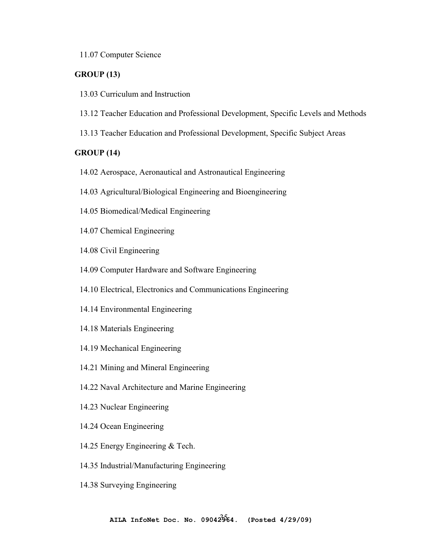## 11.07 Computer Science

# **GROUP (13)**

- 13.03 Curriculum and Instruction
- 13.12 Teacher Education and Professional Development, Specific Levels and Methods
- 13.13 Teacher Education and Professional Development, Specific Subject Areas

# **GROUP (14)**

- 14.02 Aerospace, Aeronautical and Astronautical Engineering
- 14.03 Agricultural/Biological Engineering and Bioengineering
- 14.05 Biomedical/Medical Engineering
- 14.07 Chemical Engineering
- 14.08 Civil Engineering
- 14.09 Computer Hardware and Software Engineering
- 14.10 Electrical, Electronics and Communications Engineering
- 14.14 Environmental Engineering
- 14.18 Materials Engineering
- 14.19 Mechanical Engineering
- 14.21 Mining and Mineral Engineering
- 14.22 Naval Architecture and Marine Engineering
- 14.23 Nuclear Engineering
- 14.24 Ocean Engineering
- 14.25 Energy Engineering & Tech.
- 14.35 Industrial/Manufacturing Engineering
- 14.38 Surveying Engineering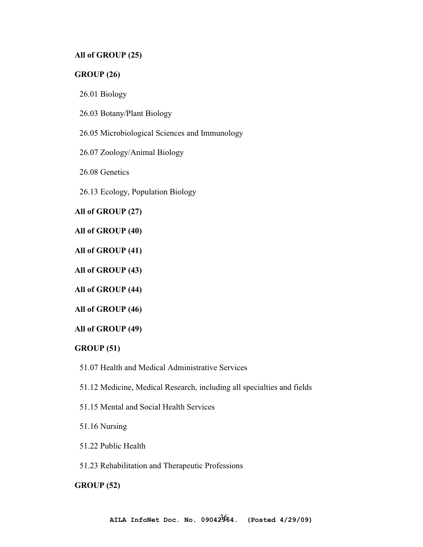# **All of GROUP (25)**

## **GROUP (26)**

26.01 Biology

26.03 Botany/Plant Biology

26.05 Microbiological Sciences and Immunology

26.07 Zoology/Animal Biology

26.08 Genetics

26.13 Ecology, Population Biology

**All of GROUP (27)** 

**All of GROUP (40)** 

**All of GROUP (41)** 

**All of GROUP (43)** 

**All of GROUP (44)** 

**All of GROUP (46)** 

**All of GROUP (49)** 

## **GROUP (51)**

51.07 Health and Medical Administrative Services

51.12 Medicine, Medical Research, including all specialties and fields

51.15 Mental and Social Health Services

51.16 Nursing

51.22 Public Health

51.23 Rehabilitation and Therapeutic Professions

**GROUP (52)**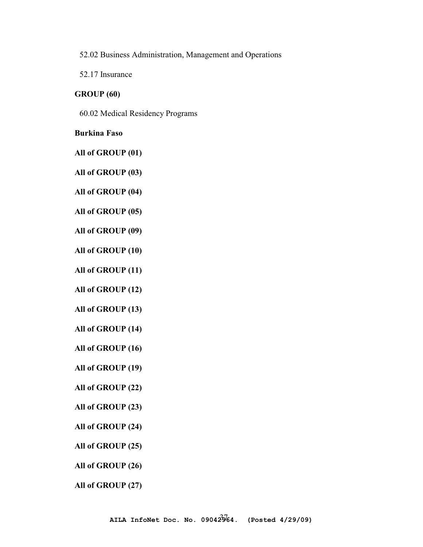52.02 Business Administration, Management and Operations

52.17 Insurance

#### **GROUP (60)**

60.02 Medical Residency Programs

### **Burkina Faso**

**All of GROUP (01)** 

**All of GROUP (03)** 

**All of GROUP (04)** 

**All of GROUP (05)** 

**All of GROUP (09)** 

**All of GROUP (10)** 

**All of GROUP (11)** 

**All of GROUP (12)** 

**All of GROUP (13)** 

**All of GROUP (14)** 

**All of GROUP (16)** 

**All of GROUP (19)** 

**All of GROUP (22)** 

**All of GROUP (23)** 

**All of GROUP (24)** 

**All of GROUP (25)** 

**All of GROUP (26)** 

**All of GROUP (27)**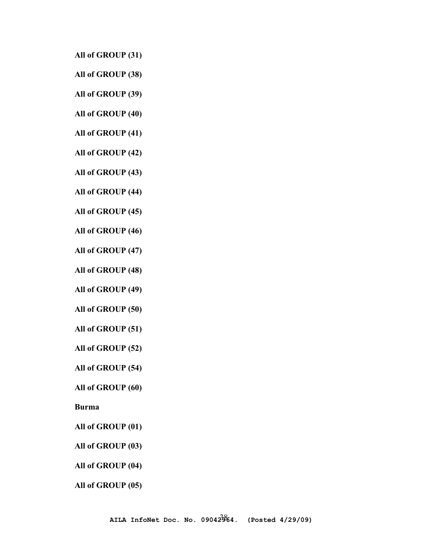**All of GROUP (31)** 

**All of GROUP (38)** 

**All of GROUP (39)** 

**All of GROUP (40)** 

**All of GROUP (41)** 

**All of GROUP (42)** 

**All of GROUP (43)** 

**All of GROUP (44)** 

**All of GROUP (45)** 

**All of GROUP (46)** 

**All of GROUP (47)** 

**All of GROUP (48)** 

**All of GROUP (49)** 

**All of GROUP (50)** 

**All of GROUP (51)** 

**All of GROUP (52)** 

**All of GROUP (54)** 

**All of GROUP (60)** 

**Burma** 

**All of GROUP (01)** 

**All of GROUP (03)** 

**All of GROUP (04)** 

**All of GROUP (05)**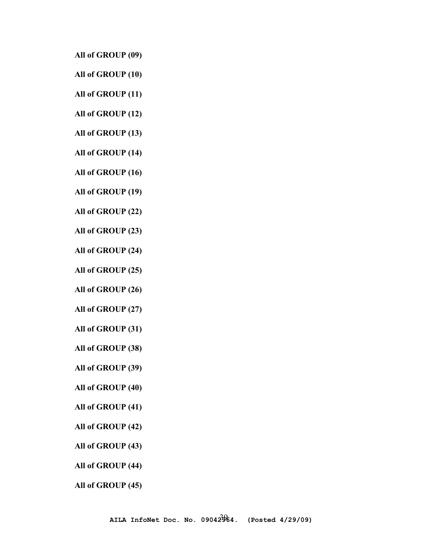**All of GROUP (09)** 

- **All of GROUP (10)**
- **All of GROUP (11)**
- **All of GROUP (12)**
- **All of GROUP (13)**
- **All of GROUP (14)**
- **All of GROUP (16)**
- **All of GROUP (19)**
- **All of GROUP (22)**
- **All of GROUP (23)**
- **All of GROUP (24)**
- **All of GROUP (25)**
- **All of GROUP (26)**
- **All of GROUP (27)**
- **All of GROUP (31)**
- **All of GROUP (38)**
- **All of GROUP (39)**
- **All of GROUP (40)**
- **All of GROUP (41)**
- **All of GROUP (42)**
- **All of GROUP (43)**
- **All of GROUP (44)**
- **All of GROUP (45)**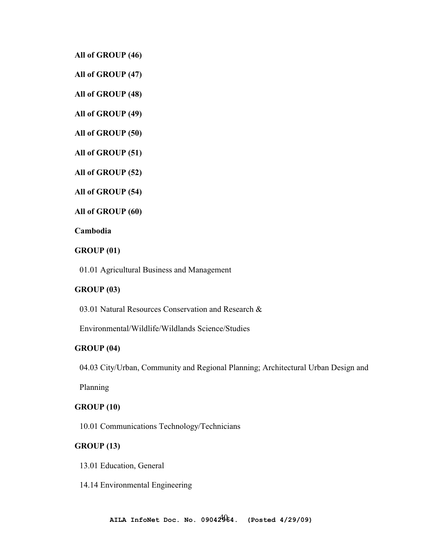**All of GROUP (46)** 

**All of GROUP (47)** 

**All of GROUP (48)** 

**All of GROUP (49)** 

**All of GROUP (50)** 

**All of GROUP (51)** 

**All of GROUP (52)** 

**All of GROUP (54)** 

**All of GROUP (60)** 

#### **Cambodia**

# **GROUP (01)**

01.01 Agricultural Business and Management

### **GROUP (03)**

03.01 Natural Resources Conservation and Research &

Environmental/Wildlife/Wildlands Science/Studies

#### **GROUP (04)**

04.03 City/Urban, Community and Regional Planning; Architectural Urban Design and

Planning

### **GROUP (10)**

10.01 Communications Technology/Technicians

# **GROUP (13)**

13.01 Education, General

14.14 Environmental Engineering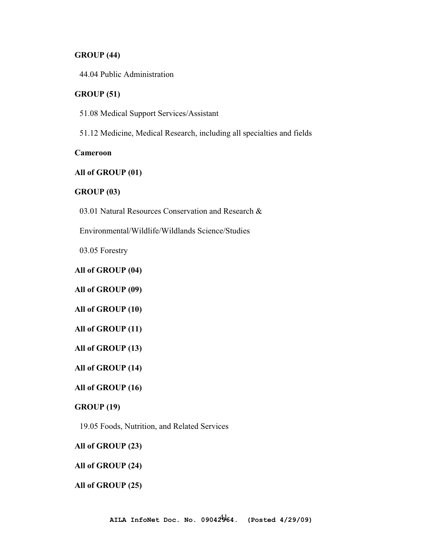### **GROUP (44)**

44.04 Public Administration

#### **GROUP (51)**

51.08 Medical Support Services/Assistant

51.12 Medicine, Medical Research, including all specialties and fields

### **Cameroon**

# **All of GROUP (01)**

#### **GROUP (03)**

03.01 Natural Resources Conservation and Research &

Environmental/Wildlife/Wildlands Science/Studies

03.05 Forestry

#### **All of GROUP (04)**

**All of GROUP (09)** 

**All of GROUP (10)** 

**All of GROUP (11)** 

**All of GROUP (13)** 

**All of GROUP (14)** 

**All of GROUP (16)** 

#### **GROUP (19)**

19.05 Foods, Nutrition, and Related Services

#### **All of GROUP (23)**

### **All of GROUP (24)**

#### **All of GROUP (25)**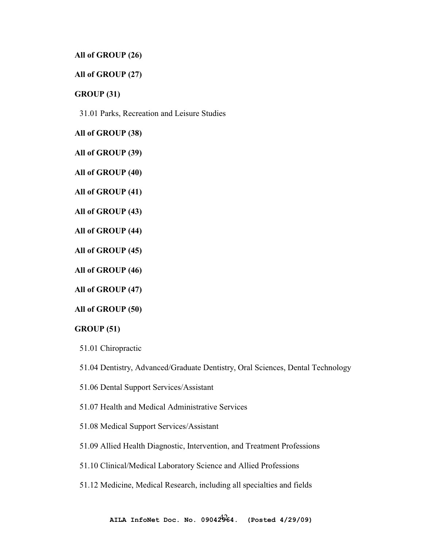### **All of GROUP (26)**

# **All of GROUP (27)**

**GROUP (31)** 

31.01 Parks, Recreation and Leisure Studies

**All of GROUP (38)** 

**All of GROUP (39)** 

**All of GROUP (40)** 

**All of GROUP (41)** 

**All of GROUP (43)** 

**All of GROUP (44)** 

**All of GROUP (45)** 

**All of GROUP (46)** 

**All of GROUP (47)** 

**All of GROUP (50)** 

### **GROUP (51)**

51.01 Chiropractic

51.04 Dentistry, Advanced/Graduate Dentistry, Oral Sciences, Dental Technology

- 51.06 Dental Support Services/Assistant
- 51.07 Health and Medical Administrative Services
- 51.08 Medical Support Services/Assistant

51.09 Allied Health Diagnostic, Intervention, and Treatment Professions

51.10 Clinical/Medical Laboratory Science and Allied Professions

### 51.12 Medicine, Medical Research, including all specialties and fields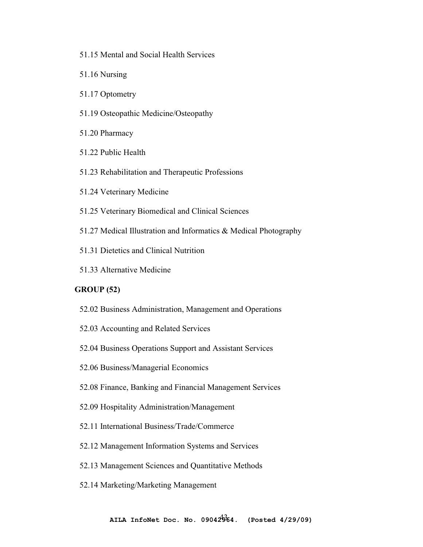- 51.15 Mental and Social Health Services
- 51.16 Nursing
- 51.17 Optometry
- 51.19 Osteopathic Medicine/Osteopathy
- 51.20 Pharmacy
- 51.22 Public Health
- 51.23 Rehabilitation and Therapeutic Professions
- 51.24 Veterinary Medicine
- 51.25 Veterinary Biomedical and Clinical Sciences
- 51.27 Medical Illustration and Informatics & Medical Photography
- 51.31 Dietetics and Clinical Nutrition
- 51.33 Alternative Medicine

## **GROUP (52)**

- 52.02 Business Administration, Management and Operations
- 52.03 Accounting and Related Services
- 52.04 Business Operations Support and Assistant Services
- 52.06 Business/Managerial Economics
- 52.08 Finance, Banking and Financial Management Services
- 52.09 Hospitality Administration/Management
- 52.11 International Business/Trade/Commerce
- 52.12 Management Information Systems and Services
- 52.13 Management Sciences and Quantitative Methods
- 52.14 Marketing/Marketing Management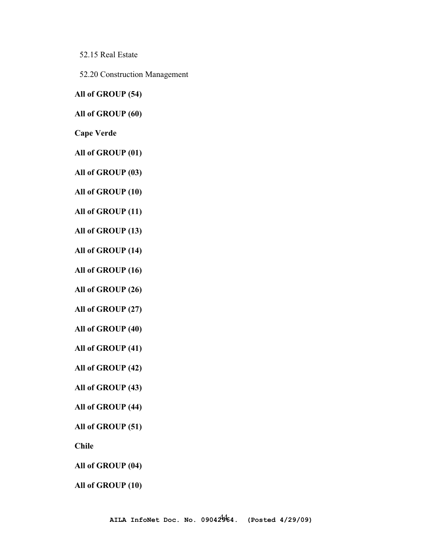52.15 Real Estate

52.20 Construction Management

**All of GROUP (54)** 

**All of GROUP (60)** 

**Cape Verde** 

**All of GROUP (01)** 

**All of GROUP (03)** 

**All of GROUP (10)** 

**All of GROUP (11)** 

**All of GROUP (13)** 

**All of GROUP (14)** 

**All of GROUP (16)** 

**All of GROUP (26)** 

**All of GROUP (27)** 

**All of GROUP (40)** 

**All of GROUP (41)** 

**All of GROUP (42)** 

**All of GROUP (43)** 

**All of GROUP (44)** 

**All of GROUP (51)** 

**Chile** 

**All of GROUP (04)** 

**All of GROUP (10)**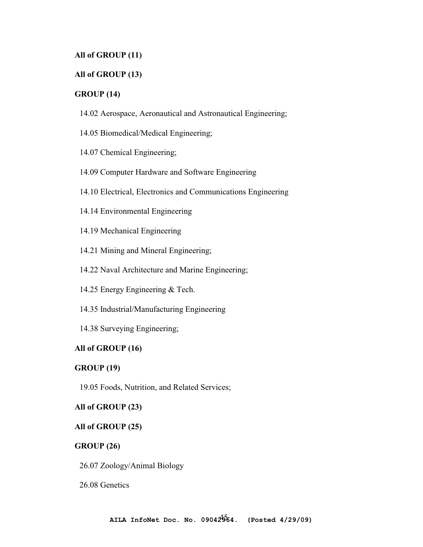# **All of GROUP (11)**

# **All of GROUP (13)**

# **GROUP (14)**

- 14.02 Aerospace, Aeronautical and Astronautical Engineering;
- 14.05 Biomedical/Medical Engineering;
- 14.07 Chemical Engineering;
- 14.09 Computer Hardware and Software Engineering
- 14.10 Electrical, Electronics and Communications Engineering
- 14.14 Environmental Engineering
- 14.19 Mechanical Engineering
- 14.21 Mining and Mineral Engineering;
- 14.22 Naval Architecture and Marine Engineering;
- 14.25 Energy Engineering & Tech.
- 14.35 Industrial/Manufacturing Engineering
- 14.38 Surveying Engineering;

# **All of GROUP (16)**

# **GROUP (19)**

19.05 Foods, Nutrition, and Related Services;

# **All of GROUP (23)**

# **All of GROUP (25)**

### **GROUP (26)**

26.07 Zoology/Animal Biology

26.08 Genetics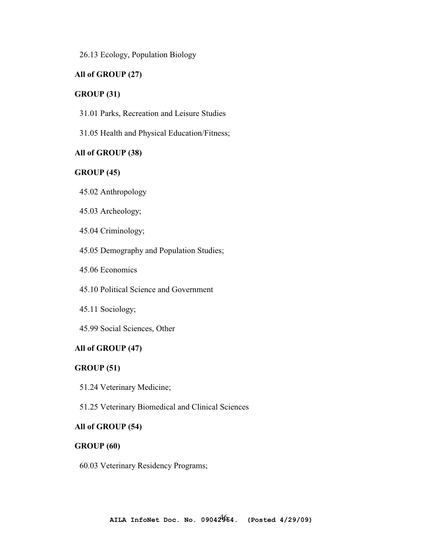26.13 Ecology, Population Biology

### **All of GROUP (27)**

#### **GROUP (31)**

- 31.01 Parks, Recreation and Leisure Studies
- 31.05 Health and Physical Education/Fitness;

### **All of GROUP (38)**

# **GROUP (45)**

- 45.02 Anthropology
- 45.03 Archeology;
- 45.04 Criminology;
- 45.05 Demography and Population Studies;
- 45.06 Economics
- 45.10 Political Science and Government
- 45.11 Sociology;
- 45.99 Social Sciences, Other

### **All of GROUP (47)**

#### **GROUP (51)**

- 51.24 Veterinary Medicine;
- 51.25 Veterinary Biomedical and Clinical Sciences

#### **All of GROUP (54)**

#### **GROUP (60)**

60.03 Veterinary Residency Programs;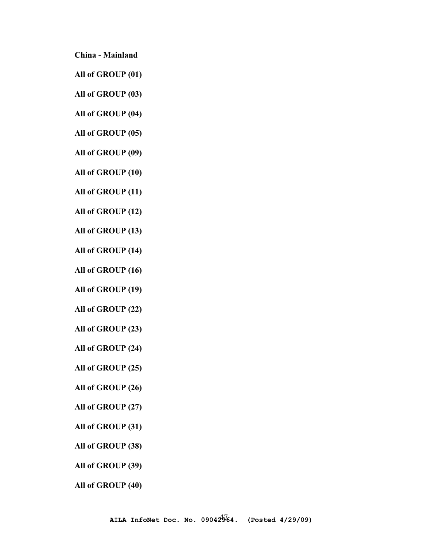**China - Mainland** 

**All of GROUP (01)** 

**All of GROUP (03)** 

**All of GROUP (04)** 

**All of GROUP (05)** 

**All of GROUP (09)** 

**All of GROUP (10)** 

**All of GROUP (11)** 

**All of GROUP (12)** 

**All of GROUP (13)** 

**All of GROUP (14)** 

**All of GROUP (16)** 

**All of GROUP (19)** 

**All of GROUP (22)** 

**All of GROUP (23)** 

**All of GROUP (24)** 

**All of GROUP (25)** 

**All of GROUP (26)** 

**All of GROUP (27)** 

**All of GROUP (31)** 

**All of GROUP (38)** 

**All of GROUP (39)** 

**All of GROUP (40)**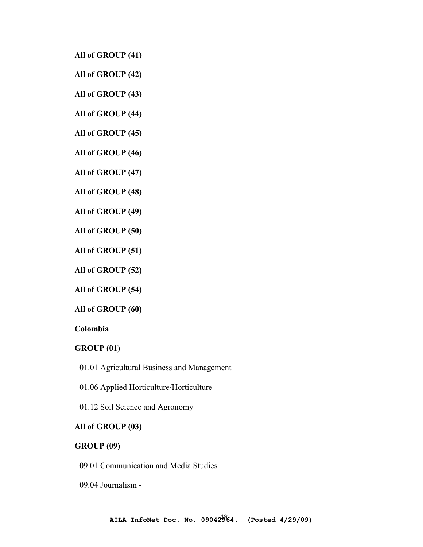**All of GROUP (41)** 

**All of GROUP (42)** 

**All of GROUP (43)** 

**All of GROUP (44)** 

**All of GROUP (45)** 

**All of GROUP (46)** 

**All of GROUP (47)** 

**All of GROUP (48)** 

**All of GROUP (49)** 

**All of GROUP (50)** 

**All of GROUP (51)** 

**All of GROUP (52)** 

**All of GROUP (54)** 

**All of GROUP (60)** 

**Colombia** 

#### **GROUP (01)**

01.01 Agricultural Business and Management

01.06 Applied Horticulture/Horticulture

01.12 Soil Science and Agronomy

### **All of GROUP (03)**

# **GROUP (09)**

09.01 Communication and Media Studies

09.04 Journalism -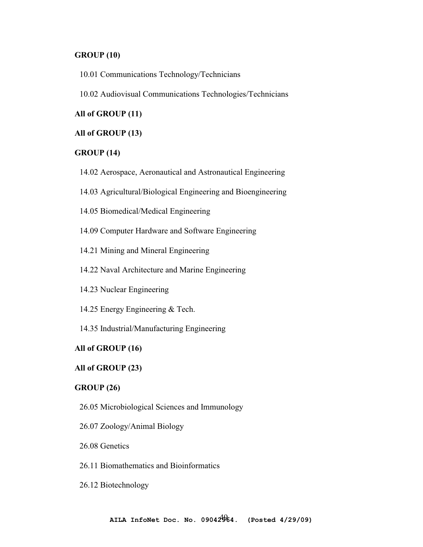### **GROUP (10)**

- 10.01 Communications Technology/Technicians
- 10.02 Audiovisual Communications Technologies/Technicians

#### **All of GROUP (11)**

#### **All of GROUP (13)**

### **GROUP (14)**

- 14.02 Aerospace, Aeronautical and Astronautical Engineering
- 14.03 Agricultural/Biological Engineering and Bioengineering
- 14.05 Biomedical/Medical Engineering
- 14.09 Computer Hardware and Software Engineering
- 14.21 Mining and Mineral Engineering
- 14.22 Naval Architecture and Marine Engineering
- 14.23 Nuclear Engineering
- 14.25 Energy Engineering & Tech.
- 14.35 Industrial/Manufacturing Engineering

#### **All of GROUP (16)**

### **All of GROUP (23)**

### **GROUP (26)**

- 26.05 Microbiological Sciences and Immunology
- 26.07 Zoology/Animal Biology
- 26.08 Genetics
- 26.11 Biomathematics and Bioinformatics
- 26.12 Biotechnology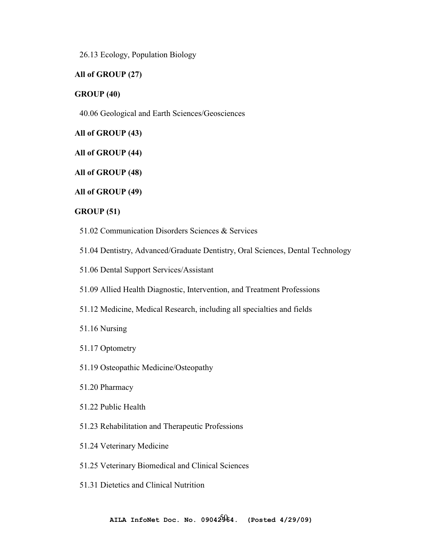26.13 Ecology, Population Biology

# **All of GROUP (27)**

### **GROUP (40)**

40.06 Geological and Earth Sciences/Geosciences

**All of GROUP (43)** 

**All of GROUP (44)** 

**All of GROUP (48)** 

**All of GROUP (49)** 

### **GROUP (51)**

- 51.02 Communication Disorders Sciences & Services
- 51.04 Dentistry, Advanced/Graduate Dentistry, Oral Sciences, Dental Technology
- 51.06 Dental Support Services/Assistant
- 51.09 Allied Health Diagnostic, Intervention, and Treatment Professions
- 51.12 Medicine, Medical Research, including all specialties and fields
- 51.16 Nursing
- 51.17 Optometry
- 51.19 Osteopathic Medicine/Osteopathy
- 51.20 Pharmacy
- 51.22 Public Health
- 51.23 Rehabilitation and Therapeutic Professions
- 51.24 Veterinary Medicine
- 51.25 Veterinary Biomedical and Clinical Sciences
- 51.31 Dietetics and Clinical Nutrition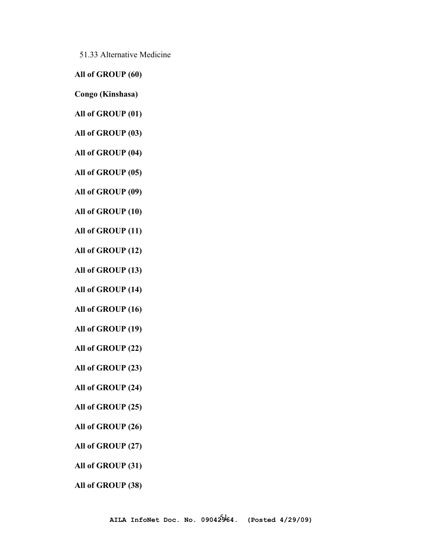51.33 Alternative Medicine

**All of GROUP (60)** 

**Congo (Kinshasa)** 

**All of GROUP (01)** 

**All of GROUP (03)** 

**All of GROUP (04)** 

**All of GROUP (05)** 

**All of GROUP (09)** 

**All of GROUP (10)** 

**All of GROUP (11)** 

**All of GROUP (12)** 

**All of GROUP (13)** 

**All of GROUP (14)** 

**All of GROUP (16)** 

**All of GROUP (19)** 

**All of GROUP (22)** 

**All of GROUP (23)** 

**All of GROUP (24)** 

**All of GROUP (25)** 

**All of GROUP (26)** 

**All of GROUP (27)** 

**All of GROUP (31)** 

**All of GROUP (38)**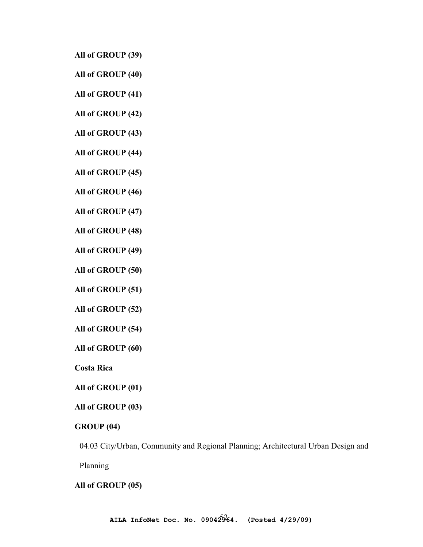**All of GROUP (39)** 

**All of GROUP (40)** 

**All of GROUP (41)** 

**All of GROUP (42)** 

**All of GROUP (43)** 

**All of GROUP (44)** 

**All of GROUP (45)** 

**All of GROUP (46)** 

**All of GROUP (47)** 

**All of GROUP (48)** 

**All of GROUP (49)** 

**All of GROUP (50)** 

**All of GROUP (51)** 

**All of GROUP (52)** 

**All of GROUP (54)** 

**All of GROUP (60)** 

**Costa Rica** 

**All of GROUP (01)** 

**All of GROUP (03)** 

**GROUP (04)** 

04.03 City/Urban, Community and Regional Planning; Architectural Urban Design and

Planning

#### **All of GROUP (05)**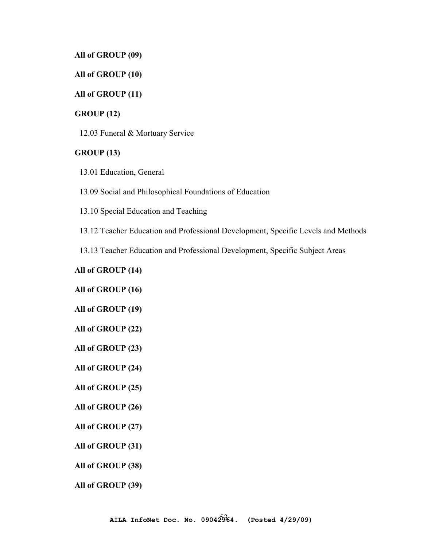#### **All of GROUP (09)**

### **All of GROUP (10)**

### **All of GROUP (11)**

### **GROUP (12)**

12.03 Funeral & Mortuary Service

#### **GROUP (13)**

13.01 Education, General

13.09 Social and Philosophical Foundations of Education

13.10 Special Education and Teaching

13.12 Teacher Education and Professional Development, Specific Levels and Methods

13.13 Teacher Education and Professional Development, Specific Subject Areas

#### **All of GROUP (14)**

**All of GROUP (16)** 

**All of GROUP (19)** 

**All of GROUP (22)** 

**All of GROUP (23)** 

**All of GROUP (24)** 

**All of GROUP (25)** 

#### **All of GROUP (26)**

**All of GROUP (27)** 

**All of GROUP (31)** 

**All of GROUP (38)** 

**All of GROUP (39)**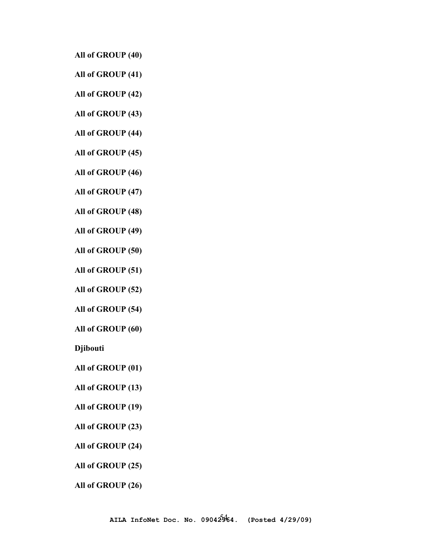**All of GROUP (40)** 

**All of GROUP (41)** 

**All of GROUP (42)** 

**All of GROUP (43)** 

**All of GROUP (44)** 

**All of GROUP (45)** 

**All of GROUP (46)** 

**All of GROUP (47)** 

**All of GROUP (48)** 

**All of GROUP (49)** 

**All of GROUP (50)** 

**All of GROUP (51)** 

**All of GROUP (52)** 

**All of GROUP (54)** 

**All of GROUP (60)** 

**Djibouti**

**All of GROUP (01)** 

**All of GROUP (13)** 

**All of GROUP (19)** 

**All of GROUP (23)** 

**All of GROUP (24)** 

**All of GROUP (25)** 

**All of GROUP (26)**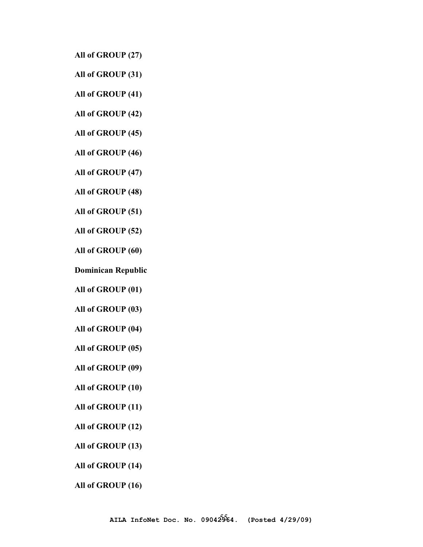**All of GROUP (27)** 

**All of GROUP (31)** 

**All of GROUP (41)** 

**All of GROUP (42)** 

**All of GROUP (45)** 

**All of GROUP (46)** 

**All of GROUP (47)** 

**All of GROUP (48)** 

**All of GROUP (51)** 

**All of GROUP (52)** 

**All of GROUP (60)** 

**Dominican Republic** 

**All of GROUP (01)** 

**All of GROUP (03)** 

**All of GROUP (04)** 

**All of GROUP (05)** 

**All of GROUP (09)** 

**All of GROUP (10)** 

**All of GROUP (11)** 

**All of GROUP (12)** 

**All of GROUP (13)** 

**All of GROUP (14)** 

**All of GROUP (16)**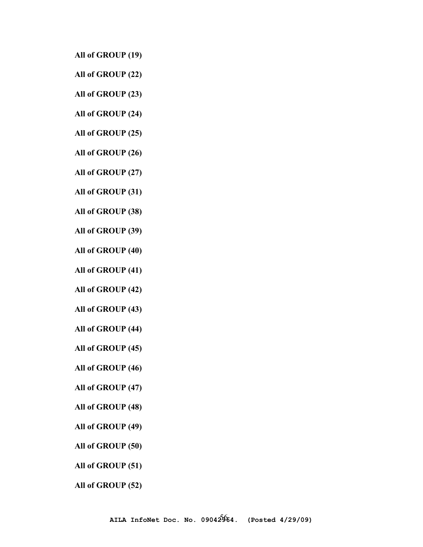- **All of GROUP (19)**
- **All of GROUP (22)**
- **All of GROUP (23)**
- **All of GROUP (24)**
- **All of GROUP (25)**
- **All of GROUP (26)**
- **All of GROUP (27)**
- **All of GROUP (31)**
- **All of GROUP (38)**
- **All of GROUP (39)**
- **All of GROUP (40)**
- **All of GROUP (41)**
- **All of GROUP (42)**
- **All of GROUP (43)**
- **All of GROUP (44)**
- **All of GROUP (45)**
- **All of GROUP (46)**
- **All of GROUP (47)**
- **All of GROUP (48)**
- **All of GROUP (49)**
- **All of GROUP (50)**
- **All of GROUP (51)**
- **All of GROUP (52)**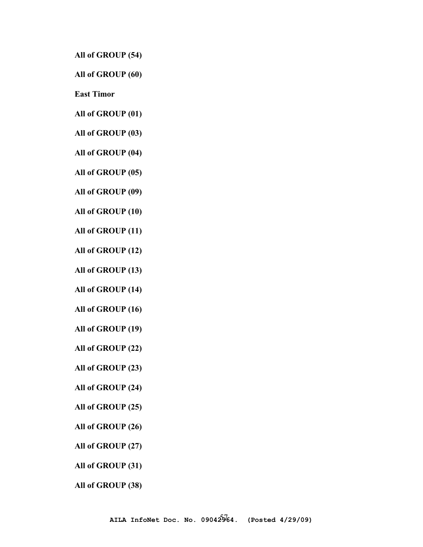**All of GROUP (54)** 

**All of GROUP (60)** 

**East Timor** 

**All of GROUP (01)** 

**All of GROUP (03)** 

**All of GROUP (04)** 

**All of GROUP (05)** 

**All of GROUP (09)** 

**All of GROUP (10)** 

**All of GROUP (11)** 

**All of GROUP (12)** 

**All of GROUP (13)** 

**All of GROUP (14)** 

**All of GROUP (16)** 

**All of GROUP (19)** 

**All of GROUP (22)** 

**All of GROUP (23)** 

**All of GROUP (24)** 

**All of GROUP (25)** 

**All of GROUP (26)** 

**All of GROUP (27)** 

**All of GROUP (31)** 

**All of GROUP (38)**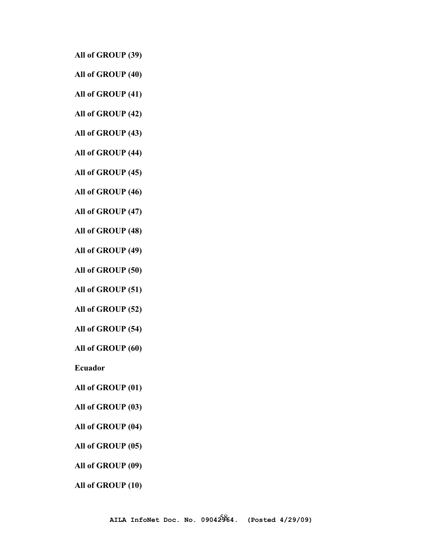**All of GROUP (39)** 

**All of GROUP (40)** 

**All of GROUP (41)** 

**All of GROUP (42)** 

**All of GROUP (43)** 

**All of GROUP (44)** 

**All of GROUP (45)** 

**All of GROUP (46)** 

**All of GROUP (47)** 

**All of GROUP (48)** 

**All of GROUP (49)** 

**All of GROUP (50)** 

**All of GROUP (51)** 

**All of GROUP (52)** 

**All of GROUP (54)** 

**All of GROUP (60)** 

**Ecuador** 

**All of GROUP (01)** 

**All of GROUP (03)** 

**All of GROUP (04)** 

**All of GROUP (05)** 

**All of GROUP (09)** 

**All of GROUP (10)**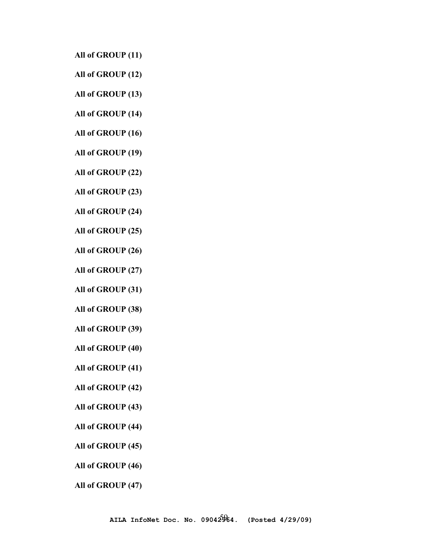- **All of GROUP (11)**
- **All of GROUP (12)**
- **All of GROUP (13)**
- **All of GROUP (14)**
- **All of GROUP (16)**
- **All of GROUP (19)**
- **All of GROUP (22)**
- **All of GROUP (23)**
- **All of GROUP (24)**
- **All of GROUP (25)**
- **All of GROUP (26)**
- **All of GROUP (27)**
- **All of GROUP (31)**
- **All of GROUP (38)**
- **All of GROUP (39)**
- **All of GROUP (40)**
- **All of GROUP (41)**
- **All of GROUP (42)**
- **All of GROUP (43)**
- **All of GROUP (44)**
- **All of GROUP (45)**
- **All of GROUP (46)**
- **All of GROUP (47)**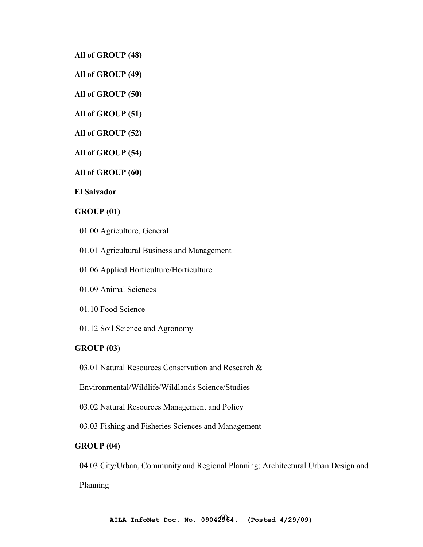**All of GROUP (48)** 

**All of GROUP (49)** 

**All of GROUP (50)** 

**All of GROUP (51)** 

**All of GROUP (52)** 

**All of GROUP (54)** 

**All of GROUP (60)** 

**El Salvador** 

#### **GROUP (01)**

- 01.00 Agriculture, General
- 01.01 Agricultural Business and Management
- 01.06 Applied Horticulture/Horticulture
- 01.09 Animal Sciences
- 01.10 Food Science
- 01.12 Soil Science and Agronomy

#### **GROUP (03)**

03.01 Natural Resources Conservation and Research &

Environmental/Wildlife/Wildlands Science/Studies

03.02 Natural Resources Management and Policy

03.03 Fishing and Fisheries Sciences and Management

# **GROUP (04)**

04.03 City/Urban, Community and Regional Planning; Architectural Urban Design and

Planning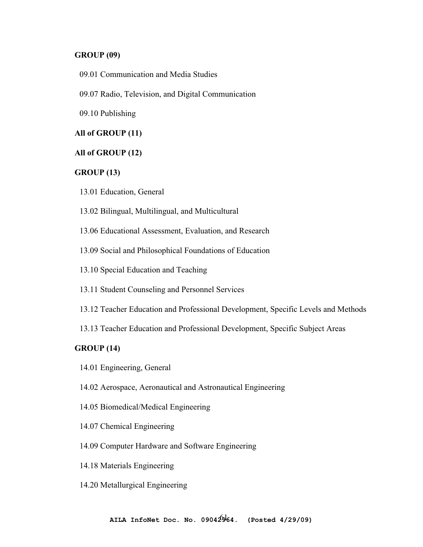#### **GROUP (09)**

- 09.01 Communication and Media Studies
- 09.07 Radio, Television, and Digital Communication
- 09.10 Publishing

### **All of GROUP (11)**

#### **All of GROUP (12)**

### **GROUP (13)**

- 13.01 Education, General
- 13.02 Bilingual, Multilingual, and Multicultural
- 13.06 Educational Assessment, Evaluation, and Research
- 13.09 Social and Philosophical Foundations of Education
- 13.10 Special Education and Teaching
- 13.11 Student Counseling and Personnel Services
- 13.12 Teacher Education and Professional Development, Specific Levels and Methods
- 13.13 Teacher Education and Professional Development, Specific Subject Areas

### **GROUP (14)**

- 14.01 Engineering, General
- 14.02 Aerospace, Aeronautical and Astronautical Engineering
- 14.05 Biomedical/Medical Engineering
- 14.07 Chemical Engineering
- 14.09 Computer Hardware and Software Engineering
- 14.18 Materials Engineering
- 14.20 Metallurgical Engineering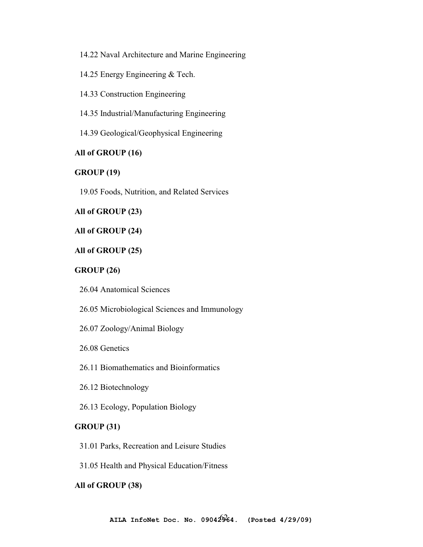14.22 Naval Architecture and Marine Engineering

14.25 Energy Engineering & Tech.

14.33 Construction Engineering

14.35 Industrial/Manufacturing Engineering

14.39 Geological/Geophysical Engineering

### **All of GROUP (16)**

### **GROUP (19)**

19.05 Foods, Nutrition, and Related Services

### **All of GROUP (23)**

#### **All of GROUP (24)**

### **All of GROUP (25)**

#### **GROUP (26)**

26.04 Anatomical Sciences

26.05 Microbiological Sciences and Immunology

26.07 Zoology/Animal Biology

26.08 Genetics

26.11 Biomathematics and Bioinformatics

26.12 Biotechnology

26.13 Ecology, Population Biology

### **GROUP (31)**

31.01 Parks, Recreation and Leisure Studies

31.05 Health and Physical Education/Fitness

#### **All of GROUP (38)**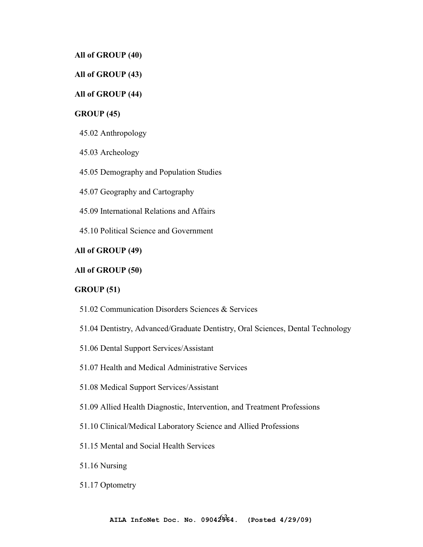**All of GROUP (40)** 

# **All of GROUP (43)**

# **All of GROUP (44)**

# **GROUP (45)**

45.02 Anthropology

45.03 Archeology

45.05 Demography and Population Studies

45.07 Geography and Cartography

45.09 International Relations and Affairs

45.10 Political Science and Government

# **All of GROUP (49)**

#### **All of GROUP (50)**

### **GROUP (51)**

- 51.02 Communication Disorders Sciences & Services
- 51.04 Dentistry, Advanced/Graduate Dentistry, Oral Sciences, Dental Technology
- 51.06 Dental Support Services/Assistant
- 51.07 Health and Medical Administrative Services
- 51.08 Medical Support Services/Assistant
- 51.09 Allied Health Diagnostic, Intervention, and Treatment Professions
- 51.10 Clinical/Medical Laboratory Science and Allied Professions
- 51.15 Mental and Social Health Services
- 51.16 Nursing
- 51.17 Optometry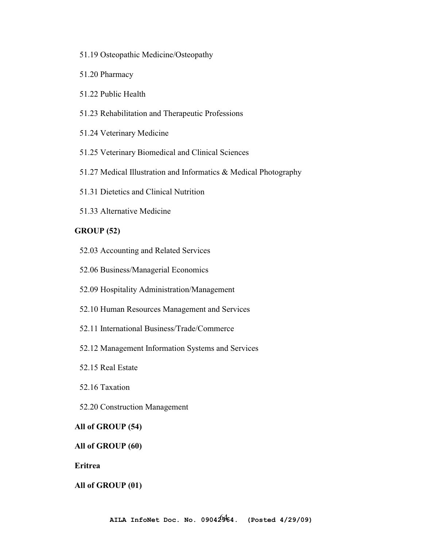- 51.19 Osteopathic Medicine/Osteopathy
- 51.20 Pharmacy
- 51.22 Public Health
- 51.23 Rehabilitation and Therapeutic Professions
- 51.24 Veterinary Medicine
- 51.25 Veterinary Biomedical and Clinical Sciences
- 51.27 Medical Illustration and Informatics & Medical Photography
- 51.31 Dietetics and Clinical Nutrition
- 51.33 Alternative Medicine

#### **GROUP (52)**

- 52.03 Accounting and Related Services
- 52.06 Business/Managerial Economics
- 52.09 Hospitality Administration/Management
- 52.10 Human Resources Management and Services
- 52.11 International Business/Trade/Commerce
- 52.12 Management Information Systems and Services
- 52.15 Real Estate
- 52.16 Taxation
- 52.20 Construction Management

#### **All of GROUP (54)**

#### **All of GROUP (60)**

**Eritrea** 

#### **All of GROUP (01)**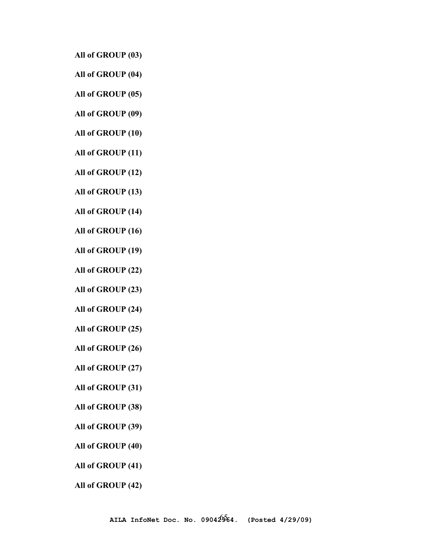**All of GROUP (03)** 

- **All of GROUP (04)**
- **All of GROUP (05)**
- **All of GROUP (09)**
- **All of GROUP (10)**
- **All of GROUP (11)**
- **All of GROUP (12)**
- **All of GROUP (13)**
- **All of GROUP (14)**
- **All of GROUP (16)**
- **All of GROUP (19)**
- **All of GROUP (22)**
- **All of GROUP (23)**
- **All of GROUP (24)**
- **All of GROUP (25)**
- **All of GROUP (26)**
- **All of GROUP (27)**
- **All of GROUP (31)**
- **All of GROUP (38)**
- **All of GROUP (39)**
- **All of GROUP (40)**
- **All of GROUP (41)**
- **All of GROUP (42)**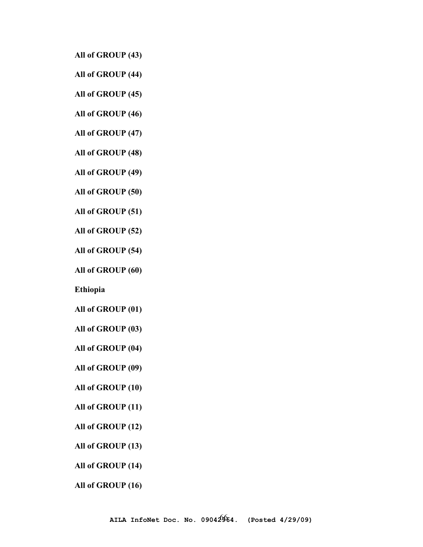**All of GROUP (43)** 

**All of GROUP (44)** 

**All of GROUP (45)** 

**All of GROUP (46)** 

**All of GROUP (47)** 

**All of GROUP (48)** 

**All of GROUP (49)** 

**All of GROUP (50)** 

**All of GROUP (51)** 

**All of GROUP (52)** 

**All of GROUP (54)** 

**All of GROUP (60)** 

**Ethiopia**

**All of GROUP (01)** 

**All of GROUP (03)** 

**All of GROUP (04)** 

**All of GROUP (09)** 

**All of GROUP (10)** 

**All of GROUP (11)** 

**All of GROUP (12)** 

**All of GROUP (13)** 

**All of GROUP (14)** 

**All of GROUP (16)**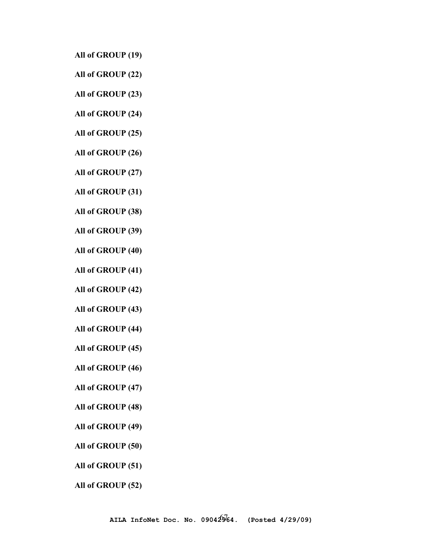- **All of GROUP (19)**
- **All of GROUP (22)**
- **All of GROUP (23)**
- **All of GROUP (24)**
- **All of GROUP (25)**
- **All of GROUP (26)**
- **All of GROUP (27)**
- **All of GROUP (31)**
- **All of GROUP (38)**
- **All of GROUP (39)**
- **All of GROUP (40)**
- **All of GROUP (41)**
- **All of GROUP (42)**
- **All of GROUP (43)**
- **All of GROUP (44)**
- **All of GROUP (45)**
- **All of GROUP (46)**
- **All of GROUP (47)**
- **All of GROUP (48)**
- **All of GROUP (49)**
- **All of GROUP (50)**
- **All of GROUP (51)**
- **All of GROUP (52)**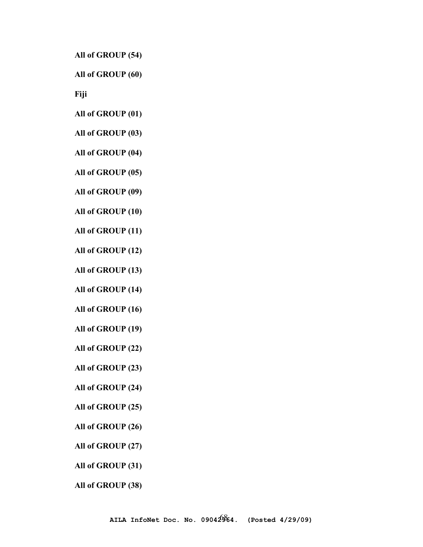**All of GROUP (54)** 

**All of GROUP (60)** 

**Fiji** 

**All of GROUP (01)** 

**All of GROUP (03)** 

**All of GROUP (04)** 

**All of GROUP (05)** 

**All of GROUP (09)** 

**All of GROUP (10)** 

**All of GROUP (11)** 

**All of GROUP (12)** 

**All of GROUP (13)** 

**All of GROUP (14)** 

**All of GROUP (16)** 

**All of GROUP (19)** 

**All of GROUP (22)** 

**All of GROUP (23)** 

**All of GROUP (24)** 

**All of GROUP (25)** 

**All of GROUP (26)** 

**All of GROUP (27)** 

**All of GROUP (31)** 

**All of GROUP (38)**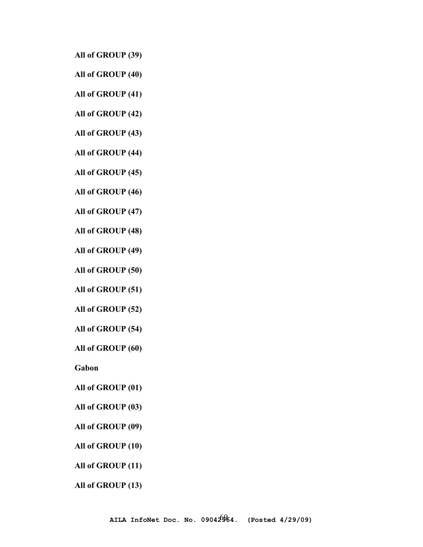**All of GROUP (39)** 

**All of GROUP (40)** 

**All of GROUP (41)** 

**All of GROUP (42)** 

**All of GROUP (43)** 

**All of GROUP (44)** 

**All of GROUP (45)** 

**All of GROUP (46)** 

**All of GROUP (47)** 

**All of GROUP (48)** 

**All of GROUP (49)** 

**All of GROUP (50)** 

**All of GROUP (51)** 

**All of GROUP (52)** 

**All of GROUP (54)** 

**All of GROUP (60)** 

**Gabon** 

**All of GROUP (01)** 

**All of GROUP (03)** 

**All of GROUP (09)** 

**All of GROUP (10)** 

**All of GROUP (11)** 

**All of GROUP (13)**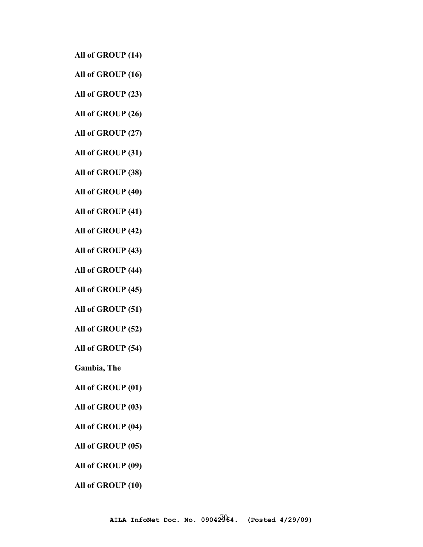- **All of GROUP (14)**
- **All of GROUP (16)**
- **All of GROUP (23)**
- **All of GROUP (26)**
- **All of GROUP (27)**
- **All of GROUP (31)**
- **All of GROUP (38)**
- **All of GROUP (40)**
- **All of GROUP (41)**
- **All of GROUP (42)**
- **All of GROUP (43)**
- **All of GROUP (44)**
- **All of GROUP (45)**
- **All of GROUP (51)**
- **All of GROUP (52)**
- **All of GROUP (54)**
- **Gambia, The**
- **All of GROUP (01)**
- **All of GROUP (03)**
- **All of GROUP (04)**
- **All of GROUP (05)**
- **All of GROUP (09)**
- **All of GROUP (10)**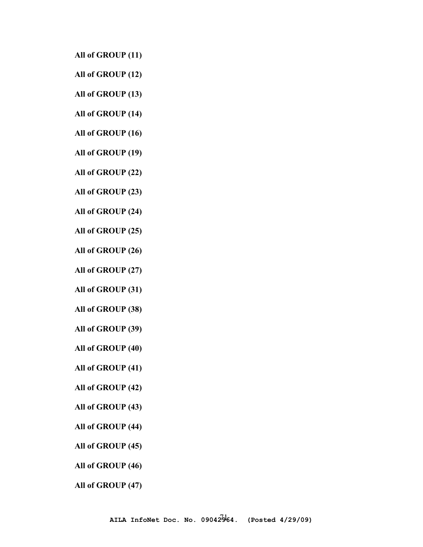- **All of GROUP (11)**
- **All of GROUP (12)**
- **All of GROUP (13)**
- **All of GROUP (14)**
- **All of GROUP (16)**
- **All of GROUP (19)**
- **All of GROUP (22)**
- **All of GROUP (23)**
- **All of GROUP (24)**
- **All of GROUP (25)**
- **All of GROUP (26)**
- **All of GROUP (27)**
- **All of GROUP (31)**
- **All of GROUP (38)**
- **All of GROUP (39)**
- **All of GROUP (40)**
- **All of GROUP (41)**
- **All of GROUP (42)**
- **All of GROUP (43)**
- **All of GROUP (44)**
- **All of GROUP (45)**
- **All of GROUP (46)**
- **All of GROUP (47)**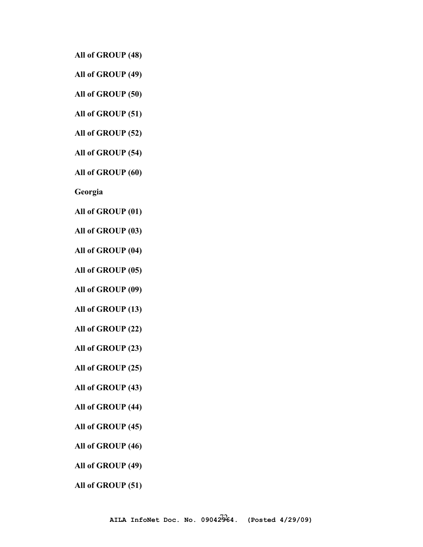**All of GROUP (48)** 

**All of GROUP (49)** 

**All of GROUP (50)** 

**All of GROUP (51)** 

**All of GROUP (52)** 

**All of GROUP (54)** 

**All of GROUP (60)** 

**Georgia** 

**All of GROUP (01)** 

**All of GROUP (03)** 

**All of GROUP (04)** 

**All of GROUP (05)** 

**All of GROUP (09)** 

**All of GROUP (13)** 

**All of GROUP (22)** 

**All of GROUP (23)** 

**All of GROUP (25)** 

**All of GROUP (43)** 

**All of GROUP (44)** 

**All of GROUP (45)** 

**All of GROUP (46)** 

**All of GROUP (49)** 

**All of GROUP (51)**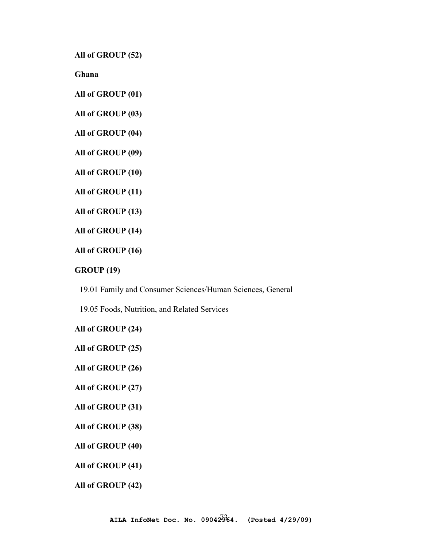**All of GROUP (52)** 

**Ghana** 

**All of GROUP (01)** 

**All of GROUP (03)** 

**All of GROUP (04)** 

**All of GROUP (09)** 

**All of GROUP (10)** 

**All of GROUP (11)** 

**All of GROUP (13)** 

**All of GROUP (14)** 

**All of GROUP (16)** 

**GROUP (19)** 

19.01 Family and Consumer Sciences/Human Sciences, General

19.05 Foods, Nutrition, and Related Services

**All of GROUP (24)** 

**All of GROUP (25)** 

**All of GROUP (26)** 

**All of GROUP (27)** 

**All of GROUP (31)** 

**All of GROUP (38)** 

**All of GROUP (40)** 

**All of GROUP (41)** 

**All of GROUP (42)**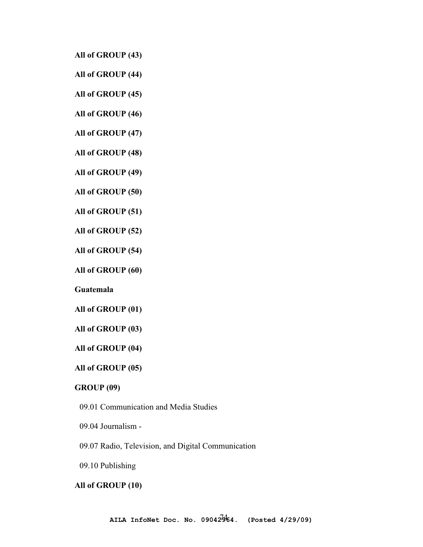**All of GROUP (43)** 

**All of GROUP (44)** 

**All of GROUP (45)** 

**All of GROUP (46)** 

**All of GROUP (47)** 

**All of GROUP (48)** 

**All of GROUP (49)** 

**All of GROUP (50)** 

**All of GROUP (51)** 

**All of GROUP (52)** 

**All of GROUP (54)** 

**All of GROUP (60)** 

**Guatemala** 

**All of GROUP (01)** 

**All of GROUP (03)** 

**All of GROUP (04)** 

**All of GROUP (05)** 

## **GROUP (09)**

09.01 Communication and Media Studies

09.04 Journalism -

09.07 Radio, Television, and Digital Communication

09.10 Publishing

#### **All of GROUP (10)**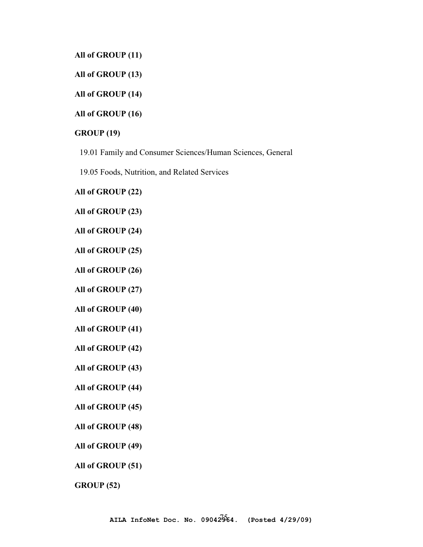**All of GROUP (11)** 

**All of GROUP (13)** 

**All of GROUP (14)** 

**All of GROUP (16)** 

#### **GROUP (19)**

19.01 Family and Consumer Sciences/Human Sciences, General

19.05 Foods, Nutrition, and Related Services

**All of GROUP (22)** 

**All of GROUP (23)** 

**All of GROUP (24)** 

**All of GROUP (25)** 

**All of GROUP (26)** 

**All of GROUP (27)** 

**All of GROUP (40)** 

**All of GROUP (41)** 

**All of GROUP (42)** 

**All of GROUP (43)** 

**All of GROUP (44)** 

**All of GROUP (45)** 

**All of GROUP (48)** 

**All of GROUP (49)** 

**All of GROUP (51)** 

**GROUP (52)**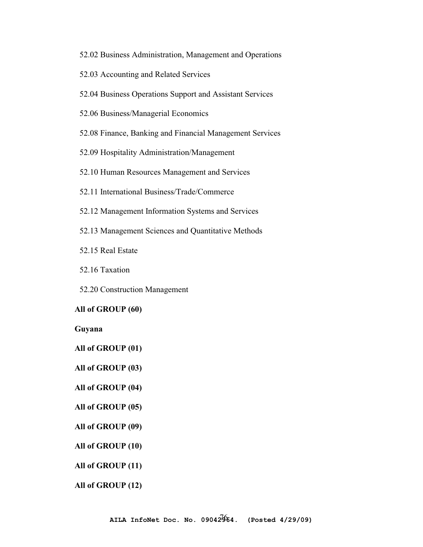- 52.02 Business Administration, Management and Operations
- 52.03 Accounting and Related Services
- 52.04 Business Operations Support and Assistant Services
- 52.06 Business/Managerial Economics
- 52.08 Finance, Banking and Financial Management Services

52.09 Hospitality Administration/Management

52.10 Human Resources Management and Services

- 52.11 International Business/Trade/Commerce
- 52.12 Management Information Systems and Services
- 52.13 Management Sciences and Quantitative Methods
- 52.15 Real Estate
- 52.16 Taxation
- 52.20 Construction Management

#### **All of GROUP (60)**

**Guyana** 

- **All of GROUP (01)**
- **All of GROUP (03)**
- **All of GROUP (04)**

#### **All of GROUP (05)**

- **All of GROUP (09)**
- **All of GROUP (10)**
- **All of GROUP (11)**
- **All of GROUP (12)**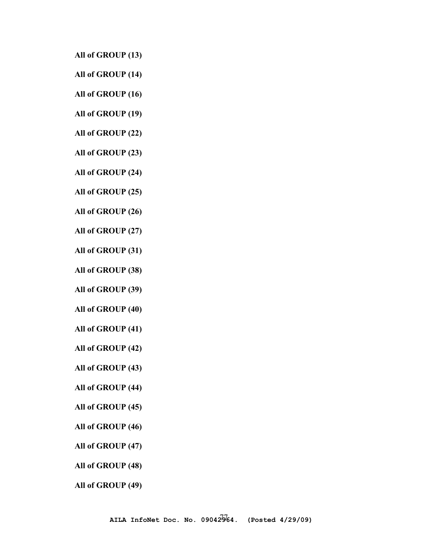**All of GROUP (13)** 

- **All of GROUP (14)**
- **All of GROUP (16)**
- **All of GROUP (19)**
- **All of GROUP (22)**
- **All of GROUP (23)**
- **All of GROUP (24)**
- **All of GROUP (25)**
- **All of GROUP (26)**
- **All of GROUP (27)**
- **All of GROUP (31)**
- **All of GROUP (38)**
- **All of GROUP (39)**
- **All of GROUP (40)**
- **All of GROUP (41)**
- **All of GROUP (42)**
- **All of GROUP (43)**
- **All of GROUP (44)**
- **All of GROUP (45)**
- **All of GROUP (46)**
- **All of GROUP (47)**
- **All of GROUP (48)**
- **All of GROUP (49)**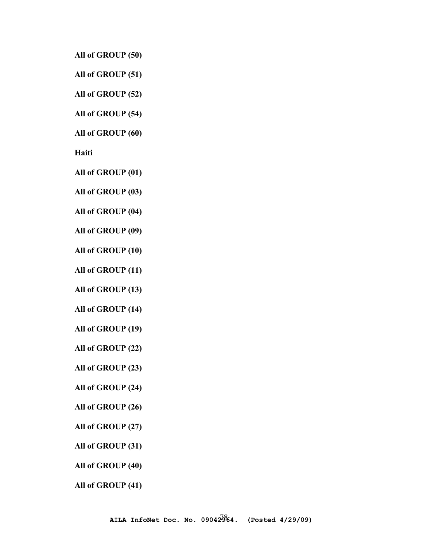**All of GROUP (50)** 

**All of GROUP (51)** 

**All of GROUP (52)** 

**All of GROUP (54)** 

**All of GROUP (60)** 

**Haiti**

**All of GROUP (01)** 

**All of GROUP (03)** 

**All of GROUP (04)** 

**All of GROUP (09)** 

**All of GROUP (10)** 

**All of GROUP (11)** 

**All of GROUP (13)** 

**All of GROUP (14)** 

**All of GROUP (19)** 

**All of GROUP (22)** 

**All of GROUP (23)** 

**All of GROUP (24)** 

**All of GROUP (26)** 

**All of GROUP (27)** 

**All of GROUP (31)** 

**All of GROUP (40)** 

**All of GROUP (41)**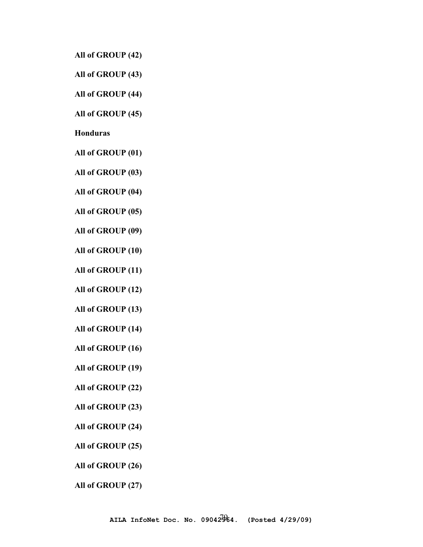**All of GROUP (42)** 

**All of GROUP (43)** 

**All of GROUP (44)** 

**All of GROUP (45)** 

**Honduras** 

**All of GROUP (01)** 

**All of GROUP (03)** 

**All of GROUP (04)** 

**All of GROUP (05)** 

**All of GROUP (09)** 

**All of GROUP (10)** 

**All of GROUP (11)** 

**All of GROUP (12)** 

**All of GROUP (13)** 

**All of GROUP (14)** 

**All of GROUP (16)** 

**All of GROUP (19)** 

**All of GROUP (22)** 

**All of GROUP (23)** 

**All of GROUP (24)** 

**All of GROUP (25)** 

**All of GROUP (26)** 

**All of GROUP (27)**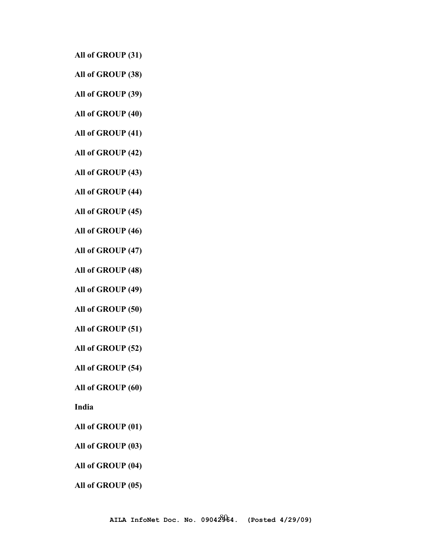**All of GROUP (31)** 

**All of GROUP (38)** 

**All of GROUP (39)** 

**All of GROUP (40)** 

**All of GROUP (41)** 

**All of GROUP (42)** 

**All of GROUP (43)** 

**All of GROUP (44)** 

**All of GROUP (45)** 

**All of GROUP (46)** 

**All of GROUP (47)** 

**All of GROUP (48)** 

**All of GROUP (49)** 

**All of GROUP (50)** 

**All of GROUP (51)** 

**All of GROUP (52)** 

**All of GROUP (54)** 

**All of GROUP (60)** 

**India**

**All of GROUP (01)** 

**All of GROUP (03)** 

**All of GROUP (04)** 

**All of GROUP (05)**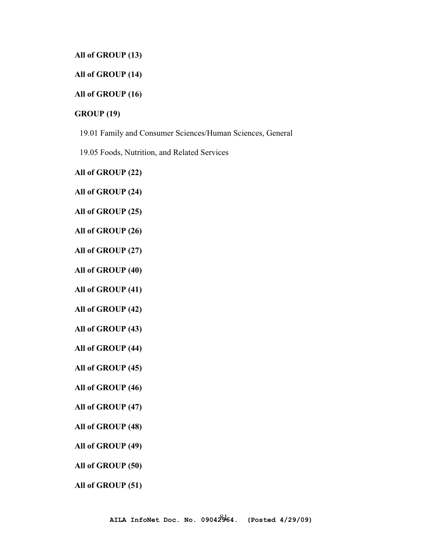**All of GROUP (13)** 

**All of GROUP (14)** 

## **All of GROUP (16)**

## **GROUP (19)**

19.01 Family and Consumer Sciences/Human Sciences, General

19.05 Foods, Nutrition, and Related Services

**All of GROUP (22)** 

**All of GROUP (24)** 

**All of GROUP (25)** 

**All of GROUP (26)** 

**All of GROUP (27)** 

**All of GROUP (40)** 

**All of GROUP (41)** 

**All of GROUP (42)** 

**All of GROUP (43)** 

**All of GROUP (44)** 

**All of GROUP (45)** 

**All of GROUP (46)** 

**All of GROUP (47)** 

**All of GROUP (48)** 

**All of GROUP (49)** 

**All of GROUP (50)** 

**All of GROUP (51)**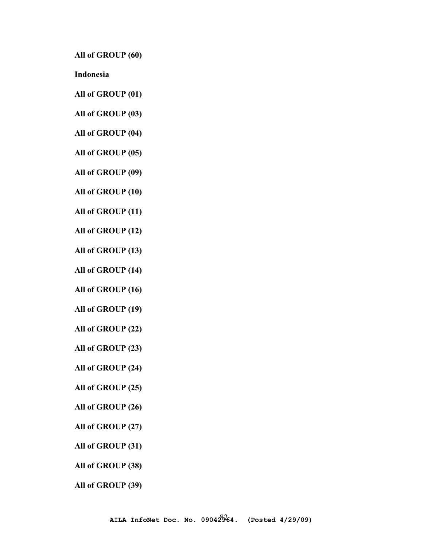**All of GROUP (60)** 

**Indonesia** 

- **All of GROUP (01)**
- **All of GROUP (03)**
- **All of GROUP (04)**
- **All of GROUP (05)**
- **All of GROUP (09)**
- **All of GROUP (10)**
- **All of GROUP (11)**
- **All of GROUP (12)**
- **All of GROUP (13)**
- **All of GROUP (14)**
- **All of GROUP (16)**
- **All of GROUP (19)**
- **All of GROUP (22)**
- **All of GROUP (23)**
- **All of GROUP (24)**
- **All of GROUP (25)**
- **All of GROUP (26)**
- **All of GROUP (27)**
- **All of GROUP (31)**
- **All of GROUP (38)**
- **All of GROUP (39)**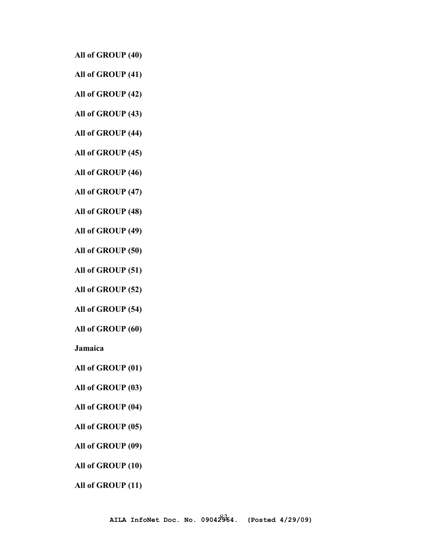**All of GROUP (40)** 

**All of GROUP (41)** 

**All of GROUP (42)** 

**All of GROUP (43)** 

**All of GROUP (44)** 

**All of GROUP (45)** 

**All of GROUP (46)** 

**All of GROUP (47)** 

**All of GROUP (48)** 

**All of GROUP (49)** 

**All of GROUP (50)** 

**All of GROUP (51)** 

**All of GROUP (52)** 

**All of GROUP (54)** 

**All of GROUP (60)** 

**Jamaica** 

**All of GROUP (01)** 

**All of GROUP (03)** 

**All of GROUP (04)** 

**All of GROUP (05)** 

**All of GROUP (09)** 

**All of GROUP (10)** 

**All of GROUP (11)**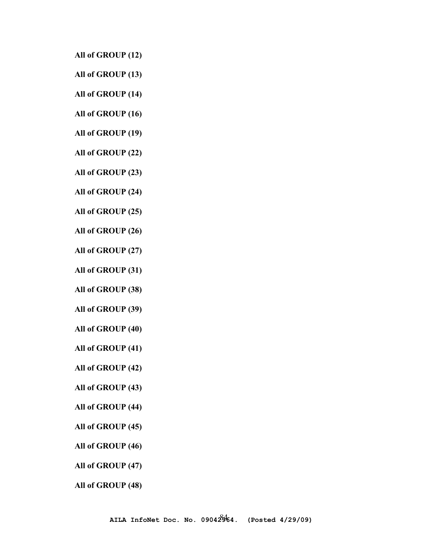**All of GROUP (12)** 

**All of GROUP (13)** 

**All of GROUP (14)** 

**All of GROUP (16)** 

**All of GROUP (19)** 

**All of GROUP (22)** 

**All of GROUP (23)** 

**All of GROUP (24)** 

**All of GROUP (25)** 

**All of GROUP (26)** 

**All of GROUP (27)** 

**All of GROUP (31)** 

**All of GROUP (38)** 

**All of GROUP (39)** 

**All of GROUP (40)** 

**All of GROUP (41)** 

**All of GROUP (42)** 

**All of GROUP (43)** 

**All of GROUP (44)** 

**All of GROUP (45)** 

**All of GROUP (46)** 

**All of GROUP (47)** 

**All of GROUP (48)**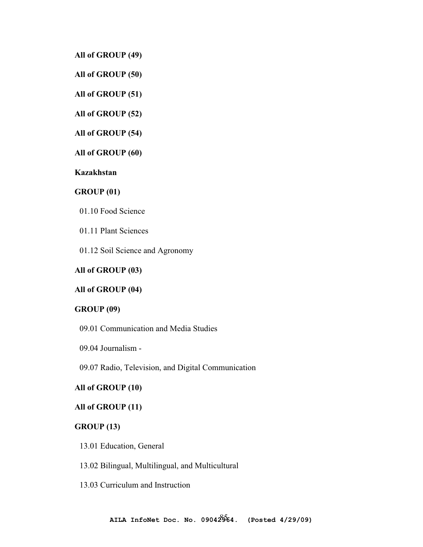**All of GROUP (49)** 

**All of GROUP (50)** 

**All of GROUP (51)** 

**All of GROUP (52)** 

**All of GROUP (54)** 

**All of GROUP (60)** 

**Kazakhstan** 

**GROUP (01)** 

01.10 Food Science

01.11 Plant Sciences

01.12 Soil Science and Agronomy

## **All of GROUP (03)**

**All of GROUP (04)** 

## **GROUP (09)**

09.01 Communication and Media Studies

09.04 Journalism -

09.07 Radio, Television, and Digital Communication

## **All of GROUP (10)**

#### **All of GROUP (11)**

#### **GROUP (13)**

13.01 Education, General

13.02 Bilingual, Multilingual, and Multicultural

13.03 Curriculum and Instruction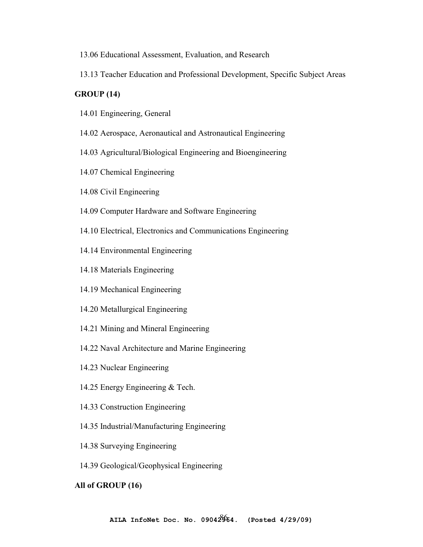- 13.06 Educational Assessment, Evaluation, and Research
- 13.13 Teacher Education and Professional Development, Specific Subject Areas

### **GROUP (14)**

- 14.01 Engineering, General
- 14.02 Aerospace, Aeronautical and Astronautical Engineering
- 14.03 Agricultural/Biological Engineering and Bioengineering
- 14.07 Chemical Engineering
- 14.08 Civil Engineering
- 14.09 Computer Hardware and Software Engineering
- 14.10 Electrical, Electronics and Communications Engineering
- 14.14 Environmental Engineering
- 14.18 Materials Engineering
- 14.19 Mechanical Engineering
- 14.20 Metallurgical Engineering
- 14.21 Mining and Mineral Engineering
- 14.22 Naval Architecture and Marine Engineering
- 14.23 Nuclear Engineering
- 14.25 Energy Engineering & Tech.
- 14.33 Construction Engineering
- 14.35 Industrial/Manufacturing Engineering
- 14.38 Surveying Engineering
- 14.39 Geological/Geophysical Engineering

#### **All of GROUP (16)**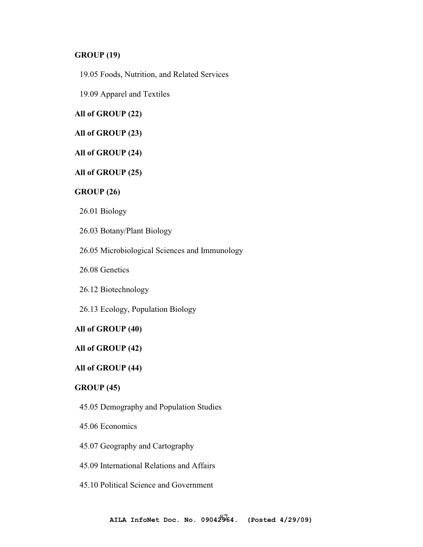## **GROUP (19)**

19.05 Foods, Nutrition, and Related Services

19.09 Apparel and Textiles

# **All of GROUP (22)**

## **All of GROUP (23)**

## **All of GROUP (24)**

## **All of GROUP (25)**

## **GROUP (26)**

26.01 Biology

26.03 Botany/Plant Biology

- 26.05 Microbiological Sciences and Immunology
- 26.08 Genetics
- 26.12 Biotechnology
- 26.13 Ecology, Population Biology

#### **All of GROUP (40)**

#### **All of GROUP (42)**

### **All of GROUP (44)**

## **GROUP (45)**

- 45.05 Demography and Population Studies
- 45.06 Economics
- 45.07 Geography and Cartography
- 45.09 International Relations and Affairs
- 45.10 Political Science and Government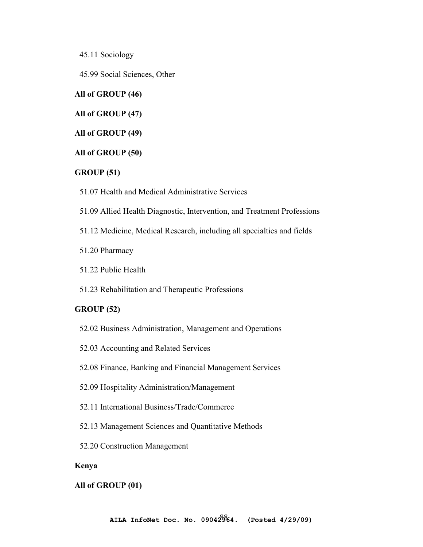45.11 Sociology

45.99 Social Sciences, Other

## **All of GROUP (46)**

## **All of GROUP (47)**

**All of GROUP (49)** 

### **All of GROUP (50)**

## **GROUP (51)**

51.07 Health and Medical Administrative Services

- 51.09 Allied Health Diagnostic, Intervention, and Treatment Professions
- 51.12 Medicine, Medical Research, including all specialties and fields
- 51.20 Pharmacy
- 51.22 Public Health
- 51.23 Rehabilitation and Therapeutic Professions

### **GROUP (52)**

- 52.02 Business Administration, Management and Operations
- 52.03 Accounting and Related Services
- 52.08 Finance, Banking and Financial Management Services
- 52.09 Hospitality Administration/Management
- 52.11 International Business/Trade/Commerce
- 52.13 Management Sciences and Quantitative Methods
- 52.20 Construction Management

## **Kenya**

#### **All of GROUP (01)**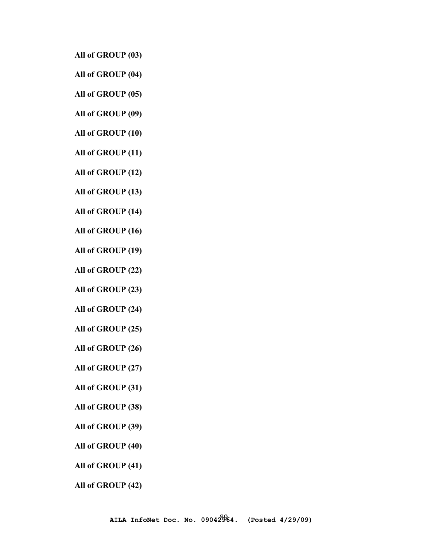**All of GROUP (03)** 

- **All of GROUP (04)**
- **All of GROUP (05)**
- **All of GROUP (09)**
- **All of GROUP (10)**
- **All of GROUP (11)**
- **All of GROUP (12)**
- **All of GROUP (13)**
- **All of GROUP (14)**
- **All of GROUP (16)**
- **All of GROUP (19)**
- **All of GROUP (22)**
- **All of GROUP (23)**
- **All of GROUP (24)**
- **All of GROUP (25)**
- **All of GROUP (26)**
- **All of GROUP (27)**
- **All of GROUP (31)**
- **All of GROUP (38)**
- **All of GROUP (39)**
- **All of GROUP (40)**
- **All of GROUP (41)**
- **All of GROUP (42)**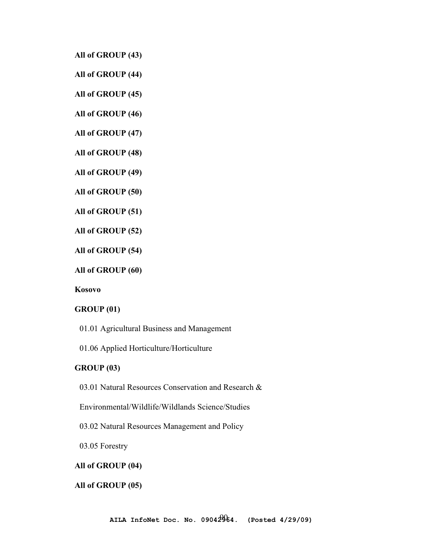**All of GROUP (43)** 

**All of GROUP (44)** 

**All of GROUP (45)** 

**All of GROUP (46)** 

**All of GROUP (47)** 

**All of GROUP (48)** 

**All of GROUP (49)** 

**All of GROUP (50)** 

**All of GROUP (51)** 

**All of GROUP (52)** 

**All of GROUP (54)** 

**All of GROUP (60)** 

**Kosovo** 

#### **GROUP (01)**

01.01 Agricultural Business and Management

01.06 Applied Horticulture/Horticulture

## **GROUP (03)**

03.01 Natural Resources Conservation and Research &

Environmental/Wildlife/Wildlands Science/Studies

03.02 Natural Resources Management and Policy

03.05 Forestry

#### **All of GROUP (04)**

## **All of GROUP (05)**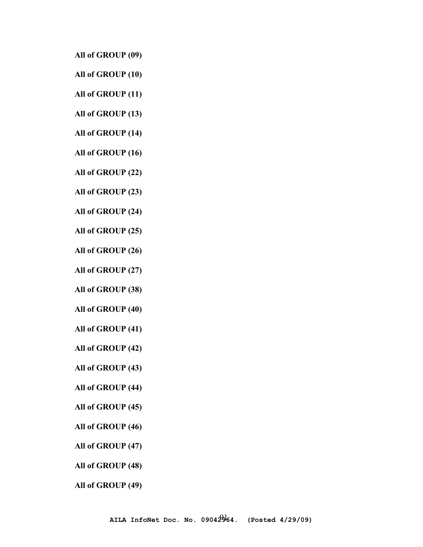**All of GROUP (09)** 

**All of GROUP (10)** 

**All of GROUP (11)** 

**All of GROUP (13)** 

**All of GROUP (14)** 

**All of GROUP (16)** 

**All of GROUP (22)** 

**All of GROUP (23)** 

**All of GROUP (24)** 

**All of GROUP (25)** 

**All of GROUP (26)** 

**All of GROUP (27)** 

**All of GROUP (38)** 

**All of GROUP (40)** 

**All of GROUP (41)** 

**All of GROUP (42)** 

**All of GROUP (43)** 

**All of GROUP (44)** 

**All of GROUP (45)** 

**All of GROUP (46)** 

**All of GROUP (47)** 

**All of GROUP (48)** 

**All of GROUP (49)**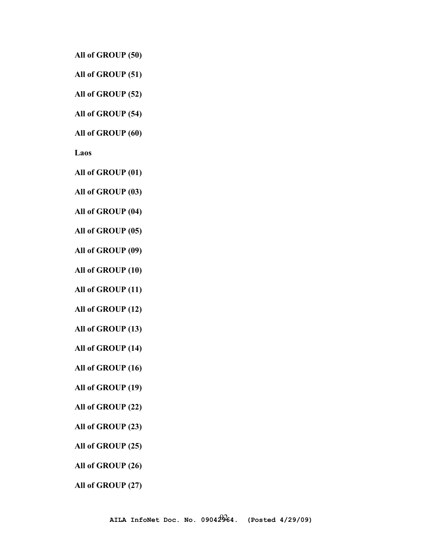**All of GROUP (50)** 

**All of GROUP (51)** 

**All of GROUP (52)** 

**All of GROUP (54)** 

**All of GROUP (60)** 

**Laos**

**All of GROUP (01)** 

**All of GROUP (03)** 

**All of GROUP (04)** 

**All of GROUP (05)** 

**All of GROUP (09)** 

**All of GROUP (10)** 

**All of GROUP (11)** 

**All of GROUP (12)** 

**All of GROUP (13)** 

**All of GROUP (14)** 

**All of GROUP (16)** 

**All of GROUP (19)** 

**All of GROUP (22)** 

**All of GROUP (23)** 

**All of GROUP (25)** 

**All of GROUP (26)** 

**All of GROUP (27)**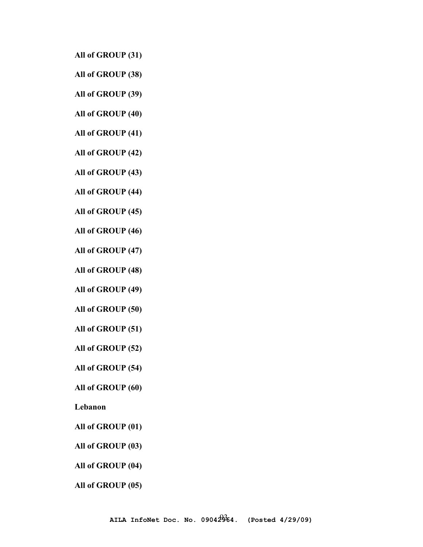**All of GROUP (31)** 

**All of GROUP (38)** 

**All of GROUP (39)** 

**All of GROUP (40)** 

**All of GROUP (41)** 

**All of GROUP (42)** 

**All of GROUP (43)** 

**All of GROUP (44)** 

**All of GROUP (45)** 

**All of GROUP (46)** 

**All of GROUP (47)** 

**All of GROUP (48)** 

**All of GROUP (49)** 

**All of GROUP (50)** 

**All of GROUP (51)** 

**All of GROUP (52)** 

**All of GROUP (54)** 

**All of GROUP (60)** 

**Lebanon** 

**All of GROUP (01)** 

**All of GROUP (03)** 

**All of GROUP (04)** 

**All of GROUP (05)**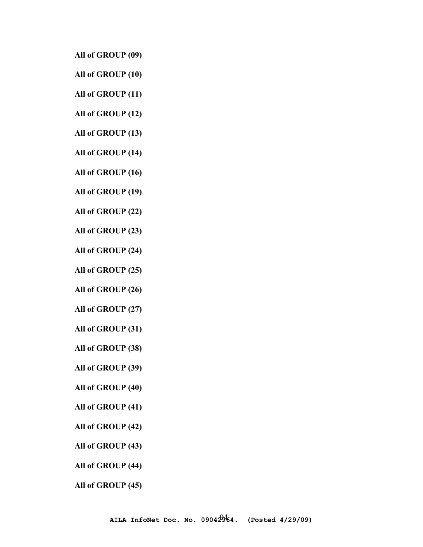**All of GROUP (09)** 

- **All of GROUP (10)**
- **All of GROUP (11)**
- **All of GROUP (12)**
- **All of GROUP (13)**
- **All of GROUP (14)**
- **All of GROUP (16)**
- **All of GROUP (19)**
- **All of GROUP (22)**
- **All of GROUP (23)**
- **All of GROUP (24)**
- **All of GROUP (25)**
- **All of GROUP (26)**
- **All of GROUP (27)**
- **All of GROUP (31)**
- **All of GROUP (38)**
- **All of GROUP (39)**
- **All of GROUP (40)**
- **All of GROUP (41)**
- **All of GROUP (42)**
- **All of GROUP (43)**
- **All of GROUP (44)**
- **All of GROUP (45)**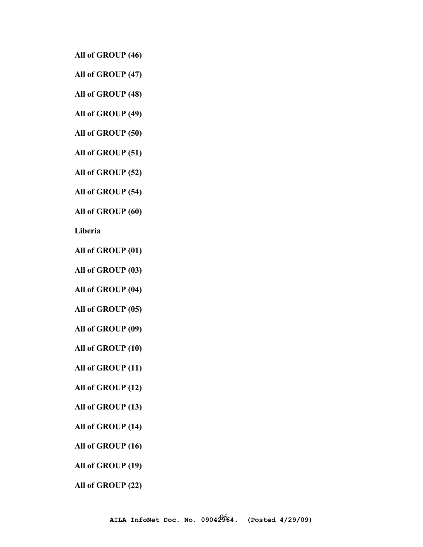**All of GROUP (46)** 

**All of GROUP (47)** 

**All of GROUP (48)** 

**All of GROUP (49)** 

**All of GROUP (50)** 

**All of GROUP (51)** 

**All of GROUP (52)** 

**All of GROUP (54)** 

**All of GROUP (60)** 

**Liberia** 

**All of GROUP (01)** 

**All of GROUP (03)** 

**All of GROUP (04)** 

**All of GROUP (05)** 

**All of GROUP (09)** 

**All of GROUP (10)** 

**All of GROUP (11)** 

**All of GROUP (12)** 

**All of GROUP (13)** 

**All of GROUP (14)** 

**All of GROUP (16)** 

**All of GROUP (19)** 

**All of GROUP (22)**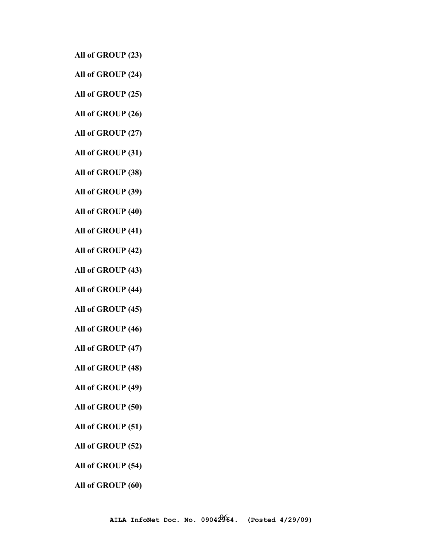- **All of GROUP (23)**
- **All of GROUP (24)**
- **All of GROUP (25)**
- **All of GROUP (26)**
- **All of GROUP (27)**
- **All of GROUP (31)**
- **All of GROUP (38)**
- **All of GROUP (39)**
- **All of GROUP (40)**
- **All of GROUP (41)**
- **All of GROUP (42)**
- **All of GROUP (43)**
- **All of GROUP (44)**
- **All of GROUP (45)**
- **All of GROUP (46)**
- **All of GROUP (47)**
- **All of GROUP (48)**
- **All of GROUP (49)**
- **All of GROUP (50)**
- **All of GROUP (51)**
- **All of GROUP (52)**
- **All of GROUP (54)**
- **All of GROUP (60)**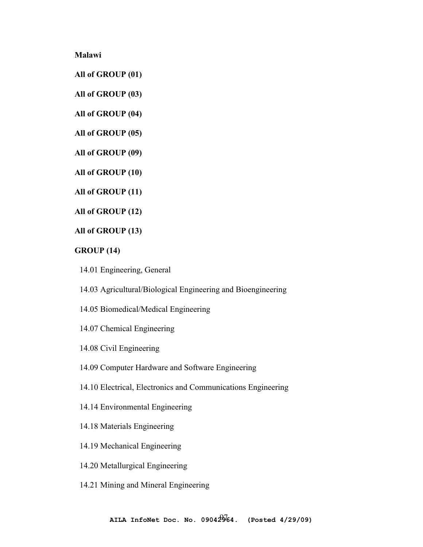**Malawi** 

**All of GROUP (01)** 

**All of GROUP (03)** 

**All of GROUP (04)** 

**All of GROUP (05)** 

**All of GROUP (09)** 

**All of GROUP (10)** 

**All of GROUP (11)** 

**All of GROUP (12)** 

**All of GROUP (13)** 

# **GROUP (14)**

14.01 Engineering, General

14.03 Agricultural/Biological Engineering and Bioengineering

- 14.05 Biomedical/Medical Engineering
- 14.07 Chemical Engineering
- 14.08 Civil Engineering
- 14.09 Computer Hardware and Software Engineering
- 14.10 Electrical, Electronics and Communications Engineering
- 14.14 Environmental Engineering
- 14.18 Materials Engineering
- 14.19 Mechanical Engineering
- 14.20 Metallurgical Engineering
- 14.21 Mining and Mineral Engineering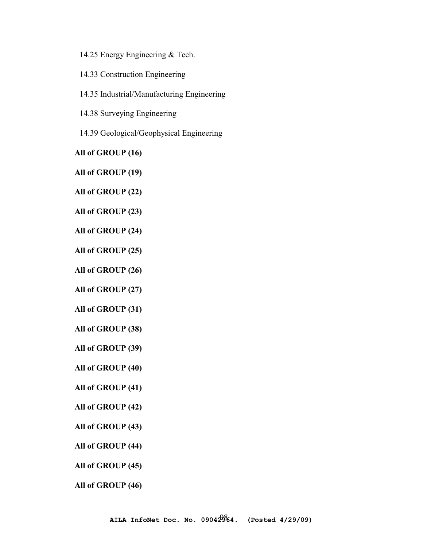14.25 Energy Engineering & Tech.

14.33 Construction Engineering

14.35 Industrial/Manufacturing Engineering

14.38 Surveying Engineering

14.39 Geological/Geophysical Engineering

**All of GROUP (16)** 

**All of GROUP (19)** 

**All of GROUP (22)** 

**All of GROUP (23)** 

**All of GROUP (24)** 

**All of GROUP (25)** 

**All of GROUP (26)** 

**All of GROUP (27)** 

**All of GROUP (31)** 

**All of GROUP (38)** 

**All of GROUP (39)** 

**All of GROUP (40)** 

**All of GROUP (41)** 

**All of GROUP (42)** 

**All of GROUP (43)** 

**All of GROUP (44)** 

**All of GROUP (45)** 

**All of GROUP (46)**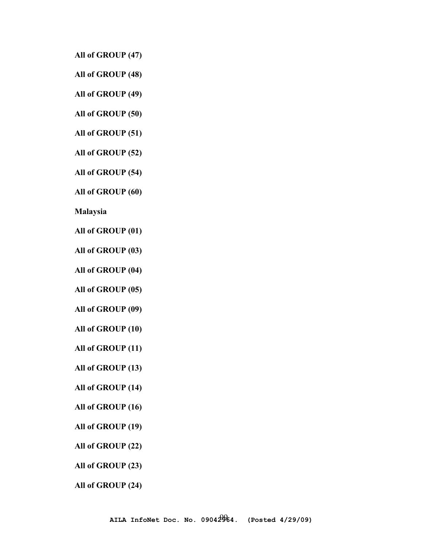**All of GROUP (47)** 

**All of GROUP (48)** 

**All of GROUP (49)** 

**All of GROUP (50)** 

**All of GROUP (51)** 

**All of GROUP (52)** 

**All of GROUP (54)** 

**All of GROUP (60)** 

**Malaysia**

**All of GROUP (01)** 

**All of GROUP (03)** 

**All of GROUP (04)** 

**All of GROUP (05)** 

**All of GROUP (09)** 

**All of GROUP (10)** 

**All of GROUP (11)** 

**All of GROUP (13)** 

**All of GROUP (14)** 

**All of GROUP (16)** 

**All of GROUP (19)** 

**All of GROUP (22)** 

**All of GROUP (23)** 

**All of GROUP (24)**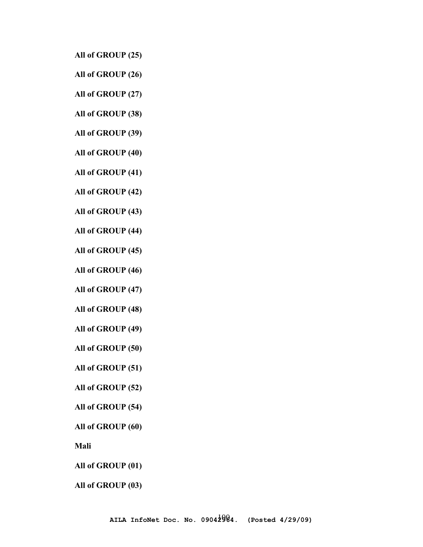**All of GROUP (25)** 

**All of GROUP (26)** 

**All of GROUP (27)** 

**All of GROUP (38)** 

**All of GROUP (39)** 

**All of GROUP (40)** 

**All of GROUP (41)** 

**All of GROUP (42)** 

**All of GROUP (43)** 

**All of GROUP (44)** 

**All of GROUP (45)** 

**All of GROUP (46)** 

**All of GROUP (47)** 

**All of GROUP (48)** 

**All of GROUP (49)** 

**All of GROUP (50)** 

**All of GROUP (51)** 

**All of GROUP (52)** 

**All of GROUP (54)** 

**All of GROUP (60)** 

**Mali** 

**All of GROUP (01)** 

**All of GROUP (03)**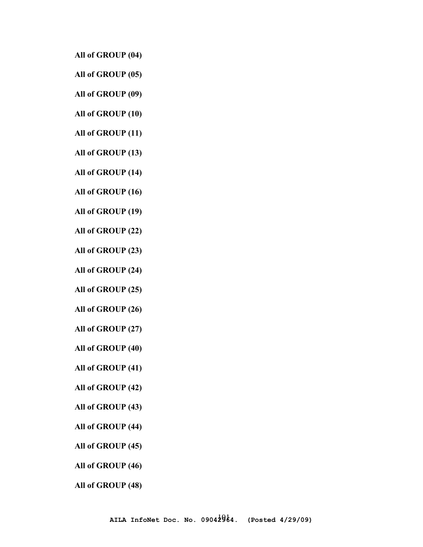**All of GROUP (04)** 

**All of GROUP (05)** 

**All of GROUP (09)** 

**All of GROUP (10)** 

**All of GROUP (11)** 

**All of GROUP (13)** 

**All of GROUP (14)** 

**All of GROUP (16)** 

**All of GROUP (19)** 

**All of GROUP (22)** 

**All of GROUP (23)** 

**All of GROUP (24)** 

**All of GROUP (25)** 

**All of GROUP (26)** 

**All of GROUP (27)** 

**All of GROUP (40)** 

**All of GROUP (41)** 

**All of GROUP (42)** 

**All of GROUP (43)** 

**All of GROUP (44)** 

**All of GROUP (45)** 

**All of GROUP (46)** 

**All of GROUP (48)**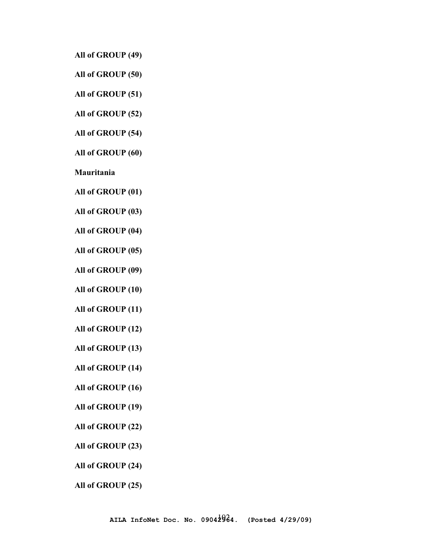**All of GROUP (49)** 

**All of GROUP (50)** 

**All of GROUP (51)** 

**All of GROUP (52)** 

**All of GROUP (54)** 

**All of GROUP (60)** 

**Mauritania** 

**All of GROUP (01)** 

**All of GROUP (03)** 

**All of GROUP (04)** 

**All of GROUP (05)** 

**All of GROUP (09)** 

**All of GROUP (10)** 

**All of GROUP (11)** 

**All of GROUP (12)** 

**All of GROUP (13)** 

**All of GROUP (14)** 

**All of GROUP (16)** 

**All of GROUP (19)** 

**All of GROUP (22)** 

**All of GROUP (23)** 

**All of GROUP (24)** 

**All of GROUP (25)**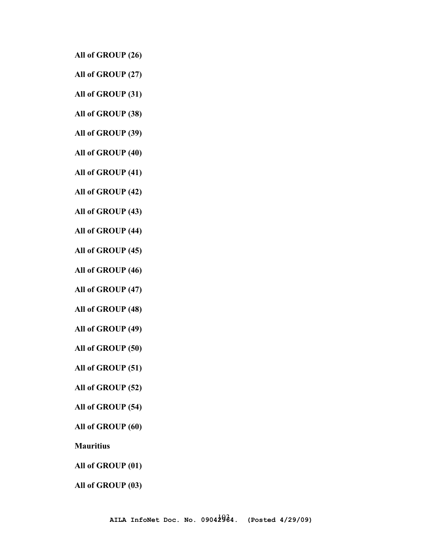**All of GROUP (26)** 

**All of GROUP (27)** 

**All of GROUP (31)** 

**All of GROUP (38)** 

**All of GROUP (39)** 

**All of GROUP (40)** 

**All of GROUP (41)** 

**All of GROUP (42)** 

**All of GROUP (43)** 

**All of GROUP (44)** 

**All of GROUP (45)** 

**All of GROUP (46)** 

**All of GROUP (47)** 

**All of GROUP (48)** 

**All of GROUP (49)** 

**All of GROUP (50)** 

**All of GROUP (51)** 

**All of GROUP (52)** 

**All of GROUP (54)** 

**All of GROUP (60)** 

**Mauritius** 

**All of GROUP (01)** 

**All of GROUP (03)**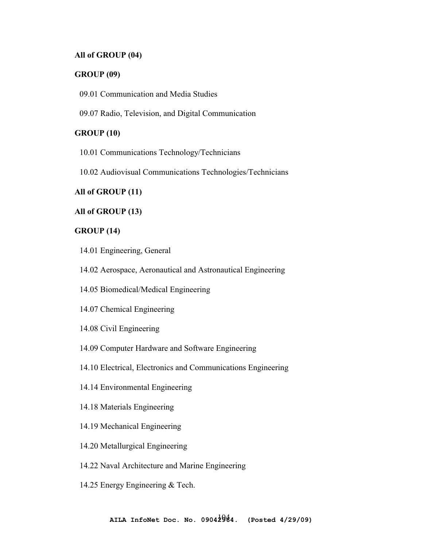## **All of GROUP (04)**

#### **GROUP (09)**

09.01 Communication and Media Studies

09.07 Radio, Television, and Digital Communication

## **GROUP (10)**

10.01 Communications Technology/Technicians

10.02 Audiovisual Communications Technologies/Technicians

## **All of GROUP (11)**

#### **All of GROUP (13)**

#### **GROUP (14)**

- 14.01 Engineering, General
- 14.02 Aerospace, Aeronautical and Astronautical Engineering
- 14.05 Biomedical/Medical Engineering
- 14.07 Chemical Engineering
- 14.08 Civil Engineering
- 14.09 Computer Hardware and Software Engineering
- 14.10 Electrical, Electronics and Communications Engineering
- 14.14 Environmental Engineering
- 14.18 Materials Engineering
- 14.19 Mechanical Engineering
- 14.20 Metallurgical Engineering
- 14.22 Naval Architecture and Marine Engineering
- 14.25 Energy Engineering & Tech.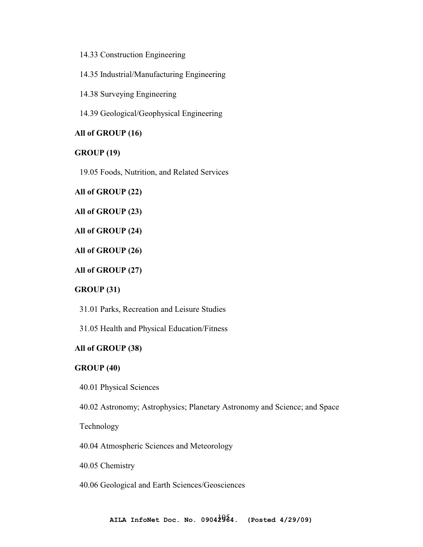14.33 Construction Engineering

14.35 Industrial/Manufacturing Engineering

14.38 Surveying Engineering

14.39 Geological/Geophysical Engineering

## **All of GROUP (16)**

#### **GROUP (19)**

19.05 Foods, Nutrition, and Related Services

**All of GROUP (22)** 

**All of GROUP (23)** 

**All of GROUP (24)** 

**All of GROUP (26)** 

**All of GROUP (27)** 

#### **GROUP (31)**

31.01 Parks, Recreation and Leisure Studies

31.05 Health and Physical Education/Fitness

#### **All of GROUP (38)**

### **GROUP (40)**

40.01 Physical Sciences

40.02 Astronomy; Astrophysics; Planetary Astronomy and Science; and Space

Technology

40.04 Atmospheric Sciences and Meteorology

40.05 Chemistry

40.06 Geological and Earth Sciences/Geosciences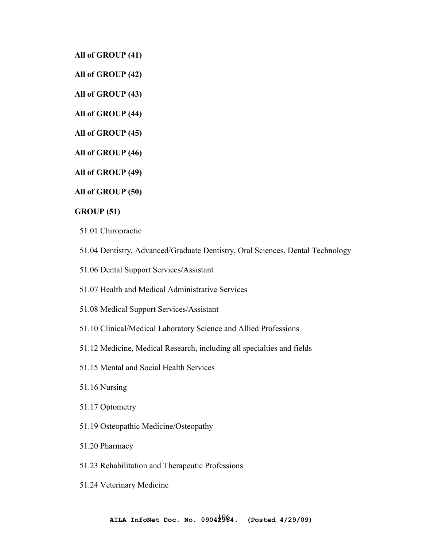**All of GROUP (41)** 

**All of GROUP (42)** 

**All of GROUP (43)** 

**All of GROUP (44)** 

**All of GROUP (45)** 

**All of GROUP (46)** 

**All of GROUP (49)** 

**All of GROUP (50)** 

**GROUP (51)** 

51.01 Chiropractic

51.04 Dentistry, Advanced/Graduate Dentistry, Oral Sciences, Dental Technology

51.06 Dental Support Services/Assistant

51.07 Health and Medical Administrative Services

51.08 Medical Support Services/Assistant

51.10 Clinical/Medical Laboratory Science and Allied Professions

51.12 Medicine, Medical Research, including all specialties and fields

51.15 Mental and Social Health Services

51.16 Nursing

51.17 Optometry

51.19 Osteopathic Medicine/Osteopathy

51.20 Pharmacy

51.23 Rehabilitation and Therapeutic Professions

51.24 Veterinary Medicine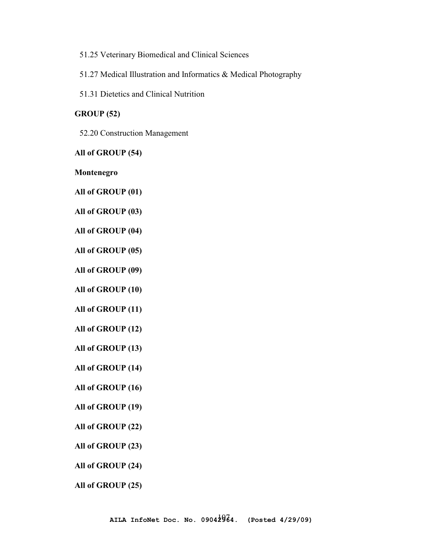51.25 Veterinary Biomedical and Clinical Sciences

51.27 Medical Illustration and Informatics & Medical Photography

51.31 Dietetics and Clinical Nutrition

## **GROUP (52)**

52.20 Construction Management

**All of GROUP (54)** 

**Montenegro** 

**All of GROUP (01)** 

**All of GROUP (03)** 

**All of GROUP (04)** 

**All of GROUP (05)** 

**All of GROUP (09)** 

**All of GROUP (10)** 

**All of GROUP (11)** 

**All of GROUP (12)** 

**All of GROUP (13)** 

**All of GROUP (14)** 

**All of GROUP (16)** 

**All of GROUP (19)** 

**All of GROUP (22)** 

**All of GROUP (23)** 

**All of GROUP (24)** 

**All of GROUP (25)**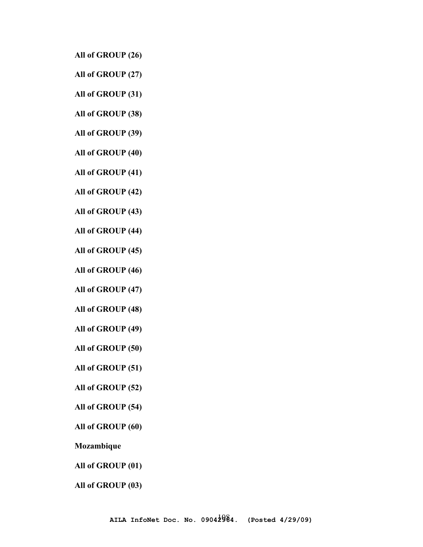**All of GROUP (26)** 

**All of GROUP (27)** 

**All of GROUP (31)** 

**All of GROUP (38)** 

**All of GROUP (39)** 

**All of GROUP (40)** 

**All of GROUP (41)** 

**All of GROUP (42)** 

**All of GROUP (43)** 

**All of GROUP (44)** 

**All of GROUP (45)** 

**All of GROUP (46)** 

**All of GROUP (47)** 

**All of GROUP (48)** 

**All of GROUP (49)** 

**All of GROUP (50)** 

**All of GROUP (51)** 

**All of GROUP (52)** 

**All of GROUP (54)** 

**All of GROUP (60)** 

**Mozambique** 

**All of GROUP (01)** 

**All of GROUP (03)**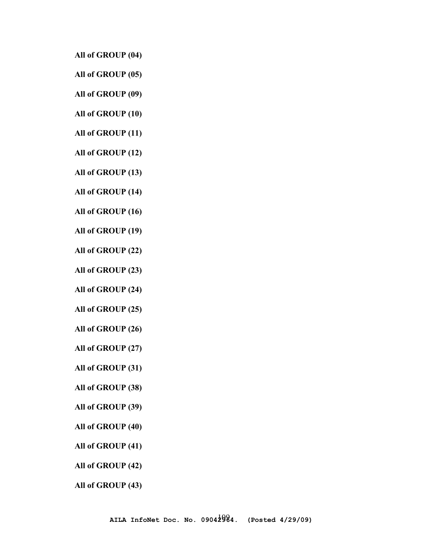**All of GROUP (04)** 

**All of GROUP (05)** 

**All of GROUP (09)** 

**All of GROUP (10)** 

**All of GROUP (11)** 

**All of GROUP (12)** 

**All of GROUP (13)** 

**All of GROUP (14)** 

**All of GROUP (16)** 

**All of GROUP (19)** 

**All of GROUP (22)** 

**All of GROUP (23)** 

**All of GROUP (24)** 

**All of GROUP (25)** 

**All of GROUP (26)** 

**All of GROUP (27)** 

**All of GROUP (31)** 

**All of GROUP (38)** 

**All of GROUP (39)** 

**All of GROUP (40)** 

**All of GROUP (41)** 

**All of GROUP (42)** 

**All of GROUP (43)**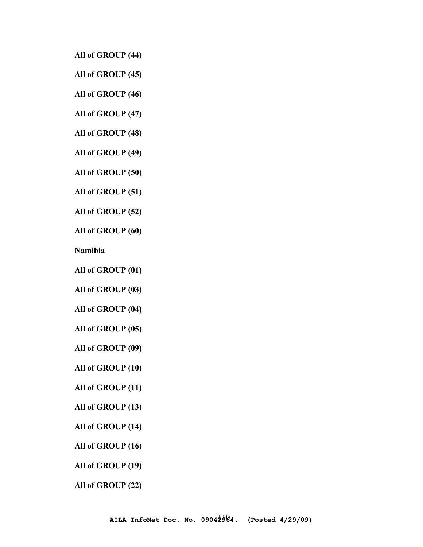**All of GROUP (44)** 

**All of GROUP (45)** 

**All of GROUP (46)** 

**All of GROUP (47)** 

**All of GROUP (48)** 

**All of GROUP (49)** 

**All of GROUP (50)** 

**All of GROUP (51)** 

**All of GROUP (52)** 

**All of GROUP (60)** 

**Namibia** 

**All of GROUP (01)** 

**All of GROUP (03)** 

**All of GROUP (04)** 

**All of GROUP (05)** 

**All of GROUP (09)** 

**All of GROUP (10)** 

**All of GROUP (11)** 

**All of GROUP (13)** 

**All of GROUP (14)** 

**All of GROUP (16)** 

**All of GROUP (19)** 

**All of GROUP (22)**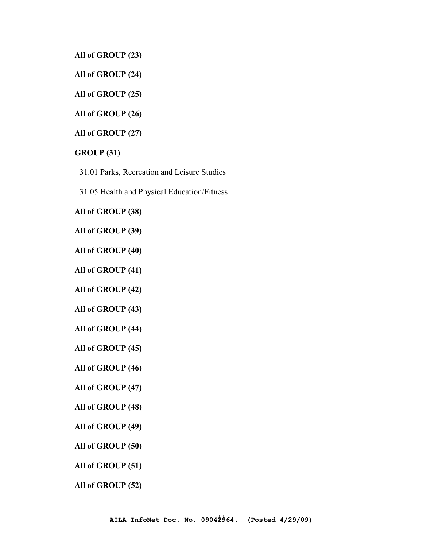**All of GROUP (23)** 

**All of GROUP (24)** 

**All of GROUP (25)** 

**All of GROUP (26)** 

**All of GROUP (27)** 

#### **GROUP (31)**

31.01 Parks, Recreation and Leisure Studies

31.05 Health and Physical Education/Fitness

#### **All of GROUP (38)**

**All of GROUP (39)** 

**All of GROUP (40)** 

**All of GROUP (41)** 

**All of GROUP (42)** 

**All of GROUP (43)** 

**All of GROUP (44)** 

**All of GROUP (45)** 

**All of GROUP (46)** 

**All of GROUP (47)** 

**All of GROUP (48)** 

**All of GROUP (49)** 

**All of GROUP (50)** 

**All of GROUP (51)** 

**All of GROUP (52)**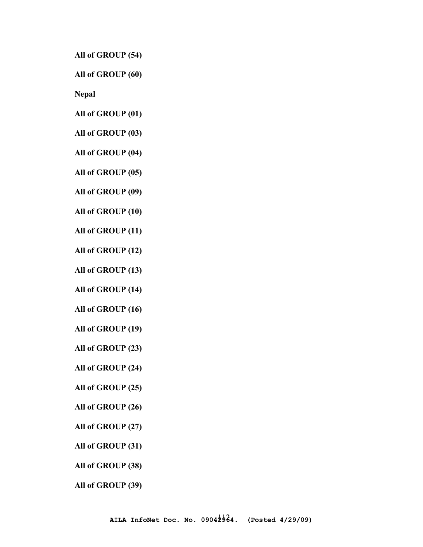**All of GROUP (54)** 

**All of GROUP (60)** 

**Nepal** 

**All of GROUP (01)** 

**All of GROUP (03)** 

**All of GROUP (04)** 

**All of GROUP (05)** 

**All of GROUP (09)** 

**All of GROUP (10)** 

**All of GROUP (11)** 

**All of GROUP (12)** 

**All of GROUP (13)** 

**All of GROUP (14)** 

**All of GROUP (16)** 

**All of GROUP (19)** 

**All of GROUP (23)** 

**All of GROUP (24)** 

**All of GROUP (25)** 

**All of GROUP (26)** 

**All of GROUP (27)** 

**All of GROUP (31)** 

**All of GROUP (38)** 

**All of GROUP (39)**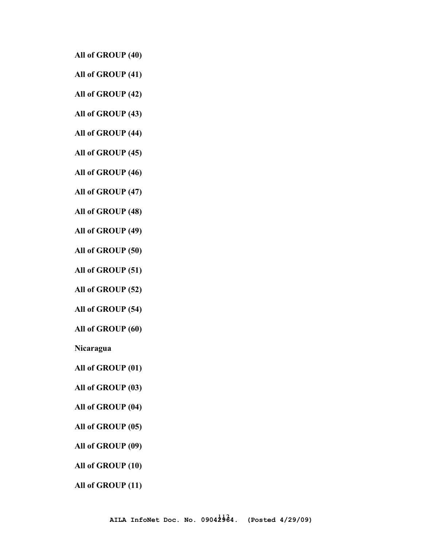**All of GROUP (40)** 

**All of GROUP (41)** 

**All of GROUP (42)** 

**All of GROUP (43)** 

**All of GROUP (44)** 

**All of GROUP (45)** 

**All of GROUP (46)** 

**All of GROUP (47)** 

**All of GROUP (48)** 

**All of GROUP (49)** 

**All of GROUP (50)** 

**All of GROUP (51)** 

**All of GROUP (52)** 

**All of GROUP (54)** 

**All of GROUP (60)** 

**Nicaragua**

**All of GROUP (01)** 

**All of GROUP (03)** 

**All of GROUP (04)** 

**All of GROUP (05)** 

**All of GROUP (09)** 

**All of GROUP (10)** 

**All of GROUP (11)**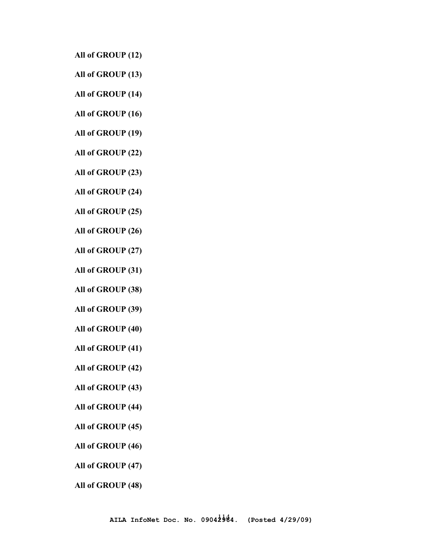**All of GROUP (12)** 

**All of GROUP (13)** 

**All of GROUP (14)** 

**All of GROUP (16)** 

**All of GROUP (19)** 

**All of GROUP (22)** 

**All of GROUP (23)** 

**All of GROUP (24)** 

**All of GROUP (25)** 

**All of GROUP (26)** 

**All of GROUP (27)** 

**All of GROUP (31)** 

**All of GROUP (38)** 

**All of GROUP (39)** 

**All of GROUP (40)** 

**All of GROUP (41)** 

**All of GROUP (42)** 

**All of GROUP (43)** 

**All of GROUP (44)** 

**All of GROUP (45)** 

**All of GROUP (46)** 

**All of GROUP (47)** 

**All of GROUP (48)**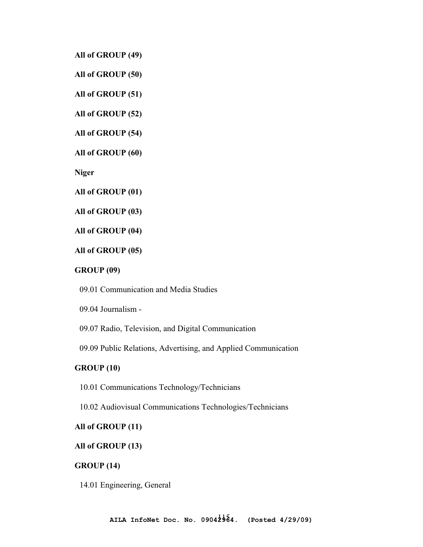**All of GROUP (49)** 

**All of GROUP (50)** 

**All of GROUP (51)** 

**All of GROUP (52)** 

**All of GROUP (54)** 

**All of GROUP (60)** 

**Niger** 

**All of GROUP (01)** 

**All of GROUP (03)** 

**All of GROUP (04)** 

**All of GROUP (05)** 

#### **GROUP (09)**

09.01 Communication and Media Studies

09.04 Journalism -

09.07 Radio, Television, and Digital Communication

09.09 Public Relations, Advertising, and Applied Communication

## **GROUP (10)**

10.01 Communications Technology/Technicians

10.02 Audiovisual Communications Technologies/Technicians

## **All of GROUP (11)**

## **All of GROUP (13)**

## **GROUP (14)**

14.01 Engineering, General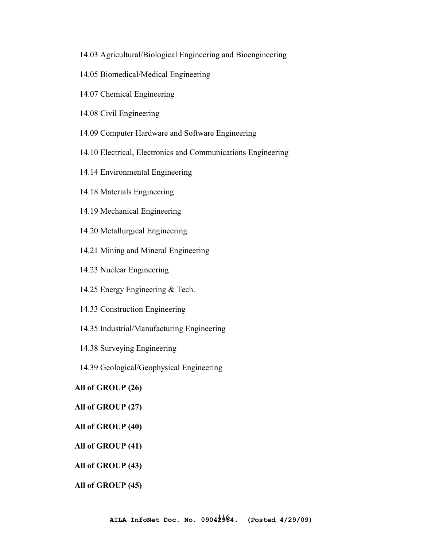- 14.03 Agricultural/Biological Engineering and Bioengineering
- 14.05 Biomedical/Medical Engineering
- 14.07 Chemical Engineering
- 14.08 Civil Engineering
- 14.09 Computer Hardware and Software Engineering
- 14.10 Electrical, Electronics and Communications Engineering
- 14.14 Environmental Engineering
- 14.18 Materials Engineering
- 14.19 Mechanical Engineering
- 14.20 Metallurgical Engineering
- 14.21 Mining and Mineral Engineering
- 14.23 Nuclear Engineering
- 14.25 Energy Engineering & Tech.
- 14.33 Construction Engineering
- 14.35 Industrial/Manufacturing Engineering
- 14.38 Surveying Engineering
- 14.39 Geological/Geophysical Engineering

# **All of GROUP (26)**

### **All of GROUP (27)**

**All of GROUP (40)** 

**All of GROUP (41)** 

## **All of GROUP (43)**

**All of GROUP (45)**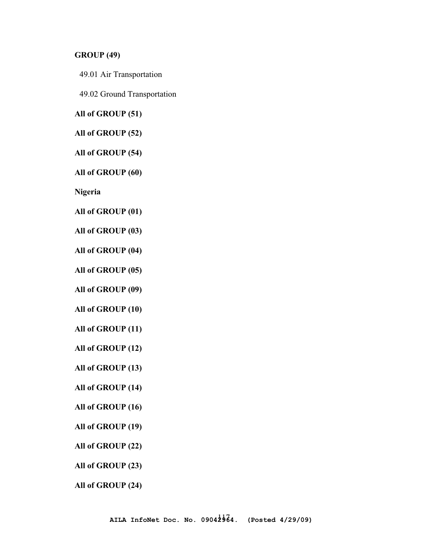#### **GROUP (49)**

49.01 Air Transportation

49.02 Ground Transportation

**All of GROUP (51)** 

**All of GROUP (52)** 

**All of GROUP (54)** 

**All of GROUP (60)** 

**Nigeria** 

**All of GROUP (01)** 

**All of GROUP (03)** 

**All of GROUP (04)** 

**All of GROUP (05)** 

**All of GROUP (09)** 

**All of GROUP (10)** 

**All of GROUP (11)** 

**All of GROUP (12)** 

**All of GROUP (13)** 

**All of GROUP (14)** 

**All of GROUP (16)** 

**All of GROUP (19)** 

**All of GROUP (22)** 

**All of GROUP (23)** 

**All of GROUP (24)**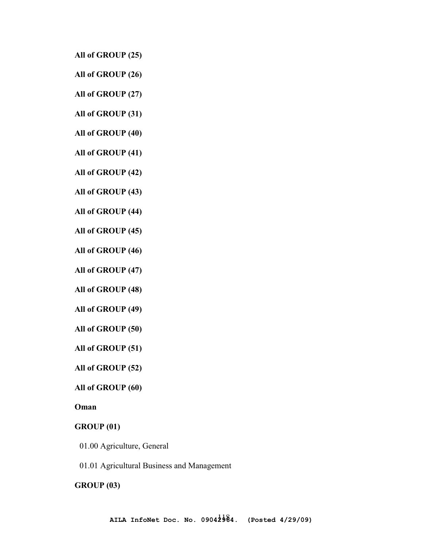**All of GROUP (25)** 

- **All of GROUP (26)**
- **All of GROUP (27)**
- **All of GROUP (31)**
- **All of GROUP (40)**
- **All of GROUP (41)**
- **All of GROUP (42)**
- **All of GROUP (43)**
- **All of GROUP (44)**
- **All of GROUP (45)**
- **All of GROUP (46)**
- **All of GROUP (47)**
- **All of GROUP (48)**
- **All of GROUP (49)**
- **All of GROUP (50)**
- **All of GROUP (51)**
- **All of GROUP (52)**
- **All of GROUP (60)**

# **Oman**

## **GROUP (01)**

- 01.00 Agriculture, General
- 01.01 Agricultural Business and Management

#### **GROUP (03)**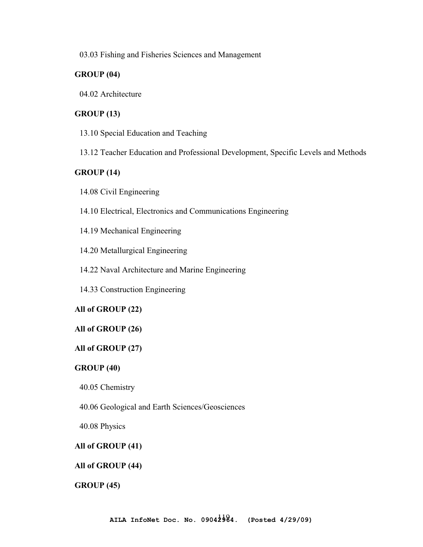03.03 Fishing and Fisheries Sciences and Management

# **GROUP (04)**

04.02 Architecture

# **GROUP (13)**

13.10 Special Education and Teaching

13.12 Teacher Education and Professional Development, Specific Levels and Methods

# **GROUP (14)**

14.08 Civil Engineering

14.10 Electrical, Electronics and Communications Engineering

14.19 Mechanical Engineering

14.20 Metallurgical Engineering

14.22 Naval Architecture and Marine Engineering

14.33 Construction Engineering

## **All of GROUP (22)**

#### **All of GROUP (26)**

## **All of GROUP (27)**

## **GROUP (40)**

40.05 Chemistry

40.06 Geological and Earth Sciences/Geosciences

40.08 Physics

## **All of GROUP (41)**

## **All of GROUP (44)**

**GROUP (45)**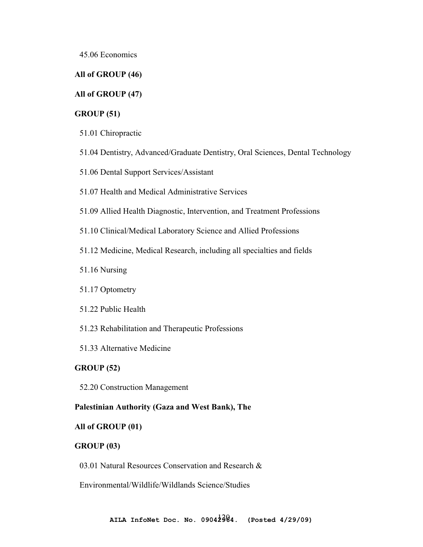45.06 Economics

## **All of GROUP (46)**

### **All of GROUP (47)**

### **GROUP (51)**

- 51.01 Chiropractic
- 51.04 Dentistry, Advanced/Graduate Dentistry, Oral Sciences, Dental Technology
- 51.06 Dental Support Services/Assistant
- 51.07 Health and Medical Administrative Services
- 51.09 Allied Health Diagnostic, Intervention, and Treatment Professions
- 51.10 Clinical/Medical Laboratory Science and Allied Professions
- 51.12 Medicine, Medical Research, including all specialties and fields
- 51.16 Nursing
- 51.17 Optometry
- 51.22 Public Health
- 51.23 Rehabilitation and Therapeutic Professions
- 51.33 Alternative Medicine

## **GROUP (52)**

52.20 Construction Management

### **Palestinian Authority (Gaza and West Bank), The**

#### **All of GROUP (01)**

### **GROUP (03)**

03.01 Natural Resources Conservation and Research &

Environmental/Wildlife/Wildlands Science/Studies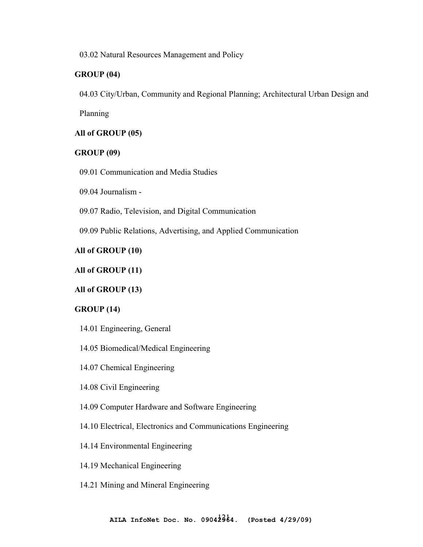03.02 Natural Resources Management and Policy

# **GROUP (04)**

04.03 City/Urban, Community and Regional Planning; Architectural Urban Design and

Planning

# **All of GROUP (05)**

# **GROUP (09)**

09.01 Communication and Media Studies

09.04 Journalism -

09.07 Radio, Television, and Digital Communication

09.09 Public Relations, Advertising, and Applied Communication

# **All of GROUP (10)**

# **All of GROUP (11)**

# **All of GROUP (13)**

## **GROUP (14)**

14.01 Engineering, General

## 14.05 Biomedical/Medical Engineering

14.07 Chemical Engineering

## 14.08 Civil Engineering

- 14.09 Computer Hardware and Software Engineering
- 14.10 Electrical, Electronics and Communications Engineering

## 14.14 Environmental Engineering

- 14.19 Mechanical Engineering
- 14.21 Mining and Mineral Engineering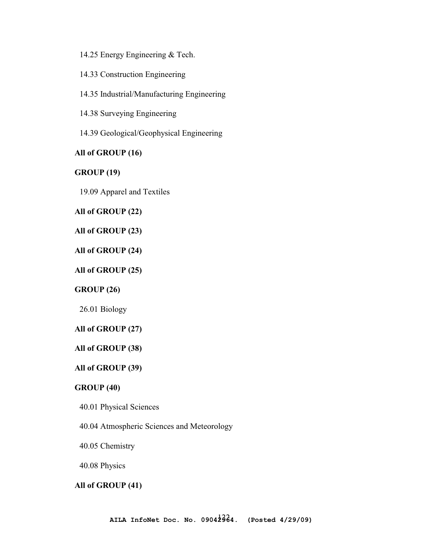14.25 Energy Engineering & Tech.

14.33 Construction Engineering

14.35 Industrial/Manufacturing Engineering

14.38 Surveying Engineering

14.39 Geological/Geophysical Engineering

### **All of GROUP (16)**

### **GROUP (19)**

19.09 Apparel and Textiles

## **All of GROUP (22)**

### **All of GROUP (23)**

# **All of GROUP (24)**

### **All of GROUP (25)**

## **GROUP (26)**

26.01 Biology

## **All of GROUP (27)**

## **All of GROUP (38)**

## **All of GROUP (39)**

# **GROUP (40)**

- 40.01 Physical Sciences
- 40.04 Atmospheric Sciences and Meteorology

#### 40.05 Chemistry

40.08 Physics

## **All of GROUP (41)**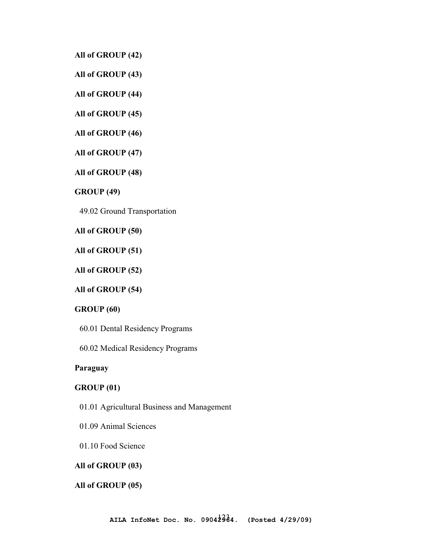**All of GROUP (42)** 

**All of GROUP (43)** 

**All of GROUP (44)** 

**All of GROUP (45)** 

**All of GROUP (46)** 

**All of GROUP (47)** 

**All of GROUP (48)** 

**GROUP (49)** 

49.02 Ground Transportation

**All of GROUP (50)** 

**All of GROUP (51)** 

**All of GROUP (52)** 

**All of GROUP (54)** 

## **GROUP (60)**

60.01 Dental Residency Programs

60.02 Medical Residency Programs

## **Paraguay**

## **GROUP (01)**

- 01.01 Agricultural Business and Management
- 01.09 Animal Sciences

01.10 Food Science

### **All of GROUP (03)**

#### **All of GROUP (05)**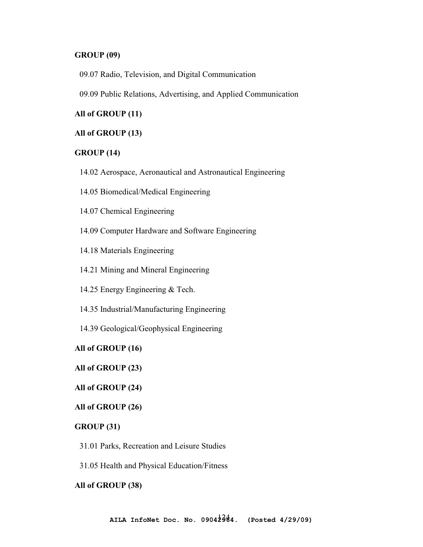### **GROUP (09)**

09.07 Radio, Television, and Digital Communication

09.09 Public Relations, Advertising, and Applied Communication

# **All of GROUP (11)**

### **All of GROUP (13)**

#### **GROUP (14)**

- 14.02 Aerospace, Aeronautical and Astronautical Engineering
- 14.05 Biomedical/Medical Engineering
- 14.07 Chemical Engineering
- 14.09 Computer Hardware and Software Engineering
- 14.18 Materials Engineering
- 14.21 Mining and Mineral Engineering
- 14.25 Energy Engineering & Tech.
- 14.35 Industrial/Manufacturing Engineering
- 14.39 Geological/Geophysical Engineering

#### **All of GROUP (16)**

### **All of GROUP (23)**

### **All of GROUP (24)**

#### **All of GROUP (26)**

### **GROUP (31)**

- 31.01 Parks, Recreation and Leisure Studies
- 31.05 Health and Physical Education/Fitness

#### **All of GROUP (38)**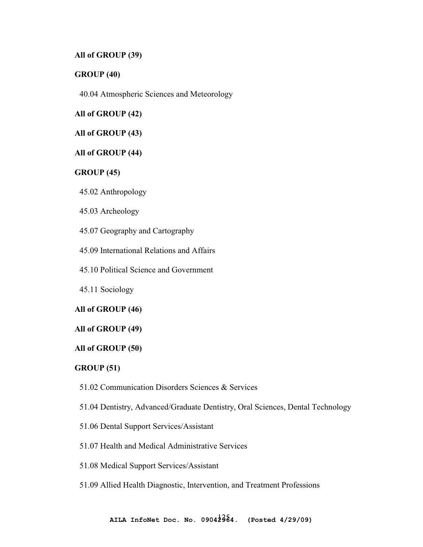## **All of GROUP (39)**

### **GROUP (40)**

40.04 Atmospheric Sciences and Meteorology

**All of GROUP (42)** 

**All of GROUP (43)** 

### **All of GROUP (44)**

### **GROUP (45)**

45.02 Anthropology

45.03 Archeology

45.07 Geography and Cartography

45.09 International Relations and Affairs

45.10 Political Science and Government

45.11 Sociology

### **All of GROUP (46)**

#### **All of GROUP (49)**

#### **All of GROUP (50)**

#### **GROUP (51)**

- 51.02 Communication Disorders Sciences & Services
- 51.04 Dentistry, Advanced/Graduate Dentistry, Oral Sciences, Dental Technology
- 51.06 Dental Support Services/Assistant
- 51.07 Health and Medical Administrative Services
- 51.08 Medical Support Services/Assistant
- 51.09 Allied Health Diagnostic, Intervention, and Treatment Professions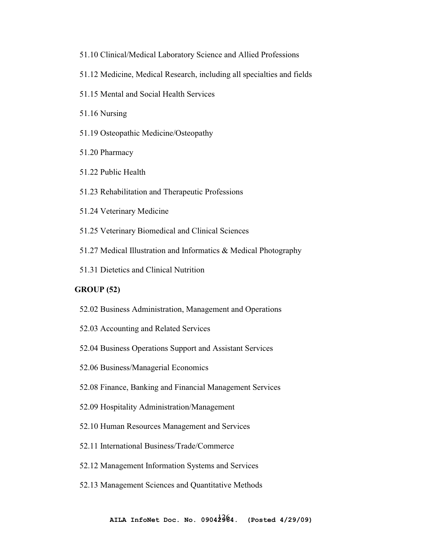- 51.10 Clinical/Medical Laboratory Science and Allied Professions 51.12 Medicine, Medical Research, including all specialties and fields 51.15 Mental and Social Health Services 51.16 Nursing 51.19 Osteopathic Medicine/Osteopathy 51.20 Pharmacy 51.22 Public Health 51.23 Rehabilitation and Therapeutic Professions 51.24 Veterinary Medicine 51.25 Veterinary Biomedical and Clinical Sciences 51.27 Medical Illustration and Informatics & Medical Photography
- 51.31 Dietetics and Clinical Nutrition

# **GROUP (52)**

- 52.02 Business Administration, Management and Operations
- 52.03 Accounting and Related Services
- 52.04 Business Operations Support and Assistant Services
- 52.06 Business/Managerial Economics
- 52.08 Finance, Banking and Financial Management Services
- 52.09 Hospitality Administration/Management
- 52.10 Human Resources Management and Services
- 52.11 International Business/Trade/Commerce
- 52.12 Management Information Systems and Services
- 52.13 Management Sciences and Quantitative Methods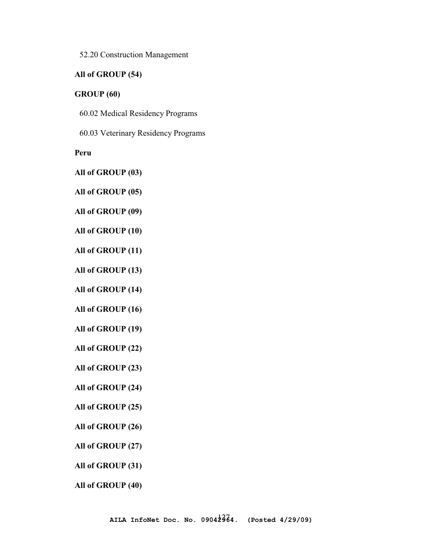52.20 Construction Management

## **All of GROUP (54)**

#### **GROUP (60)**

60.02 Medical Residency Programs

60.03 Veterinary Residency Programs

**Peru** 

**All of GROUP (03)** 

**All of GROUP (05)** 

**All of GROUP (09)** 

**All of GROUP (10)** 

**All of GROUP (11)** 

**All of GROUP (13)** 

**All of GROUP (14)** 

**All of GROUP (16)** 

**All of GROUP (19)** 

**All of GROUP (22)** 

**All of GROUP (23)** 

**All of GROUP (24)** 

**All of GROUP (25)** 

**All of GROUP (26)** 

**All of GROUP (27)** 

**All of GROUP (31)** 

**All of GROUP (40)**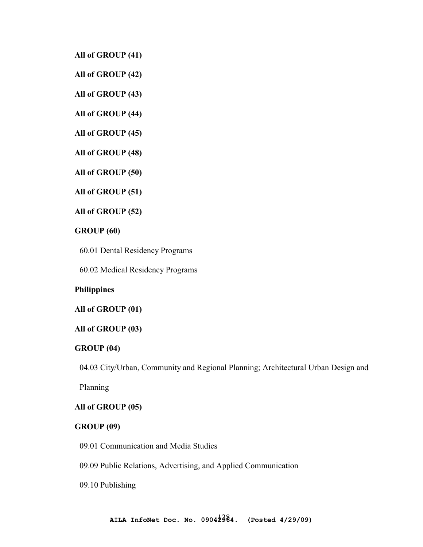**All of GROUP (41)** 

**All of GROUP (42)** 

**All of GROUP (43)** 

**All of GROUP (44)** 

**All of GROUP (45)** 

**All of GROUP (48)** 

**All of GROUP (50)** 

**All of GROUP (51)** 

**All of GROUP (52)** 

### **GROUP (60)**

60.01 Dental Residency Programs

60.02 Medical Residency Programs

### **Philippines**

#### **All of GROUP (01)**

#### **All of GROUP (03)**

#### **GROUP (04)**

04.03 City/Urban, Community and Regional Planning; Architectural Urban Design and

Planning

### **All of GROUP (05)**

#### **GROUP (09)**

09.01 Communication and Media Studies

09.09 Public Relations, Advertising, and Applied Communication

09.10 Publishing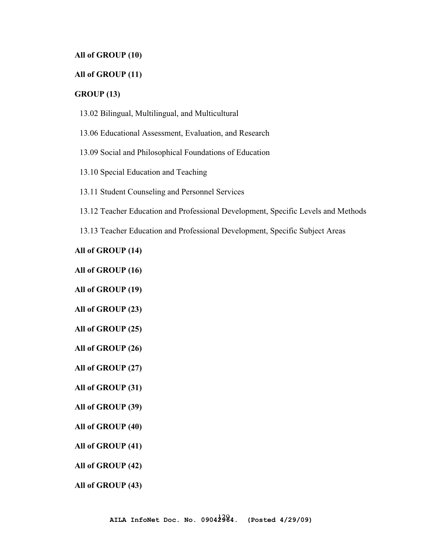### **All of GROUP (10)**

### **All of GROUP (11)**

#### **GROUP (13)**

- 13.02 Bilingual, Multilingual, and Multicultural
- 13.06 Educational Assessment, Evaluation, and Research
- 13.09 Social and Philosophical Foundations of Education
- 13.10 Special Education and Teaching
- 13.11 Student Counseling and Personnel Services
- 13.12 Teacher Education and Professional Development, Specific Levels and Methods
- 13.13 Teacher Education and Professional Development, Specific Subject Areas

**All of GROUP (14)** 

**All of GROUP (16)** 

**All of GROUP (19)** 

- **All of GROUP (23)**
- **All of GROUP (25)**
- **All of GROUP (26)**
- **All of GROUP (27)**
- **All of GROUP (31)**
- **All of GROUP (39)**
- **All of GROUP (40)**
- **All of GROUP (41)**
- **All of GROUP (42)**
- **All of GROUP (43)**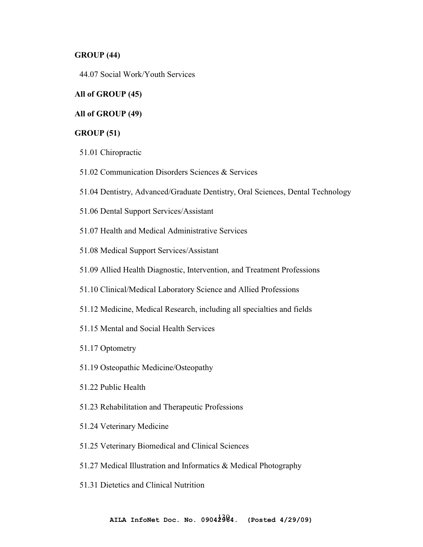### **GROUP (44)**

44.07 Social Work/Youth Services

#### **All of GROUP (45)**

# **All of GROUP (49)**

### **GROUP (51)**

- 51.01 Chiropractic
- 51.02 Communication Disorders Sciences & Services
- 51.04 Dentistry, Advanced/Graduate Dentistry, Oral Sciences, Dental Technology
- 51.06 Dental Support Services/Assistant
- 51.07 Health and Medical Administrative Services
- 51.08 Medical Support Services/Assistant
- 51.09 Allied Health Diagnostic, Intervention, and Treatment Professions
- 51.10 Clinical/Medical Laboratory Science and Allied Professions
- 51.12 Medicine, Medical Research, including all specialties and fields
- 51.15 Mental and Social Health Services
- 51.17 Optometry
- 51.19 Osteopathic Medicine/Osteopathy
- 51.22 Public Health
- 51.23 Rehabilitation and Therapeutic Professions
- 51.24 Veterinary Medicine
- 51.25 Veterinary Biomedical and Clinical Sciences
- 51.27 Medical Illustration and Informatics & Medical Photography
- 51.31 Dietetics and Clinical Nutrition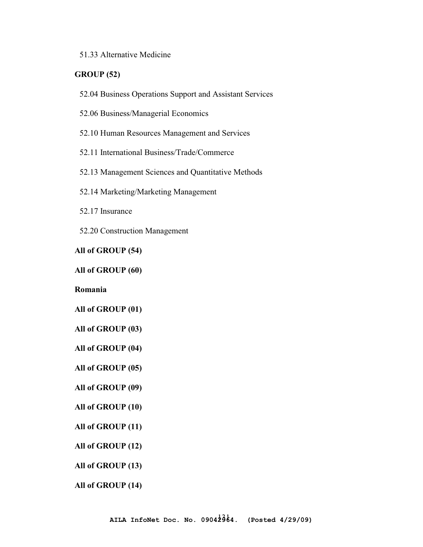## 51.33 Alternative Medicine

# **GROUP (52)**

- 52.04 Business Operations Support and Assistant Services
- 52.06 Business/Managerial Economics
- 52.10 Human Resources Management and Services
- 52.11 International Business/Trade/Commerce
- 52.13 Management Sciences and Quantitative Methods
- 52.14 Marketing/Marketing Management
- 52.17 Insurance
- 52.20 Construction Management

**All of GROUP (54)** 

#### **All of GROUP (60)**

**Romania** 

**All of GROUP (01)** 

- **All of GROUP (03)**
- **All of GROUP (04)**
- **All of GROUP (05)**
- **All of GROUP (09)**

### **All of GROUP (10)**

- **All of GROUP (11)**
- **All of GROUP (12)**
- **All of GROUP (13)**
- **All of GROUP (14)**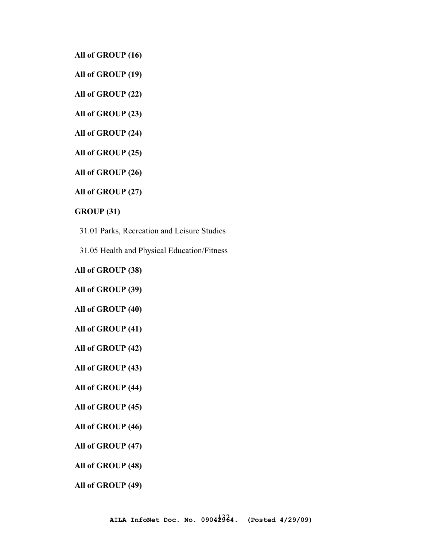**All of GROUP (16)** 

**All of GROUP (19)** 

**All of GROUP (22)** 

**All of GROUP (23)** 

**All of GROUP (24)** 

**All of GROUP (25)** 

**All of GROUP (26)** 

**All of GROUP (27)** 

**GROUP (31)** 

31.01 Parks, Recreation and Leisure Studies

31.05 Health and Physical Education/Fitness

**All of GROUP (38)** 

**All of GROUP (39)** 

**All of GROUP (40)** 

**All of GROUP (41)** 

**All of GROUP (42)** 

**All of GROUP (43)** 

**All of GROUP (44)** 

**All of GROUP (45)** 

**All of GROUP (46)** 

**All of GROUP (47)** 

**All of GROUP (48)** 

**All of GROUP (49)**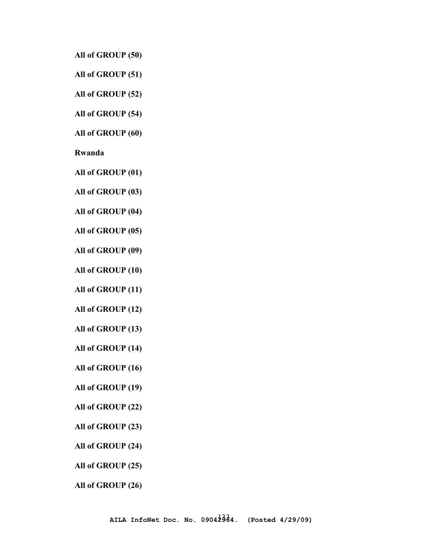**All of GROUP (50)** 

**All of GROUP (51)** 

**All of GROUP (52)** 

**All of GROUP (54)** 

**All of GROUP (60)** 

**Rwanda** 

**All of GROUP (01)** 

**All of GROUP (03)** 

**All of GROUP (04)** 

**All of GROUP (05)** 

**All of GROUP (09)** 

**All of GROUP (10)** 

**All of GROUP (11)** 

**All of GROUP (12)** 

**All of GROUP (13)** 

**All of GROUP (14)** 

**All of GROUP (16)** 

**All of GROUP (19)** 

**All of GROUP (22)** 

**All of GROUP (23)** 

**All of GROUP (24)** 

**All of GROUP (25)** 

**All of GROUP (26)**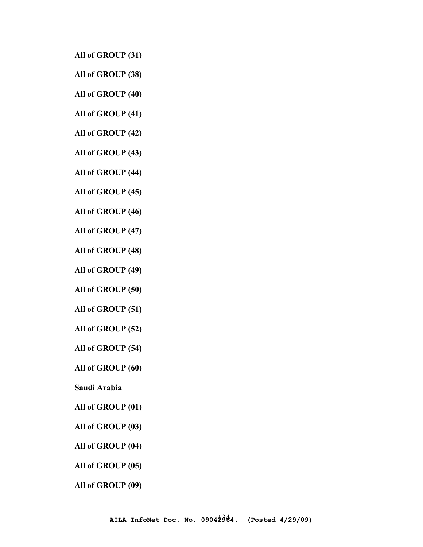- **All of GROUP (31)**
- **All of GROUP (38)**
- **All of GROUP (40)**
- **All of GROUP (41)**
- **All of GROUP (42)**
- **All of GROUP (43)**
- **All of GROUP (44)**
- **All of GROUP (45)**
- **All of GROUP (46)**
- **All of GROUP (47)**
- **All of GROUP (48)**
- **All of GROUP (49)**
- **All of GROUP (50)**
- **All of GROUP (51)**
- **All of GROUP (52)**
- **All of GROUP (54)**
- **All of GROUP (60)**
- **Saudi Arabia**
- **All of GROUP (01)**
- **All of GROUP (03)**
- **All of GROUP (04)**
- **All of GROUP (05)**
- **All of GROUP (09)**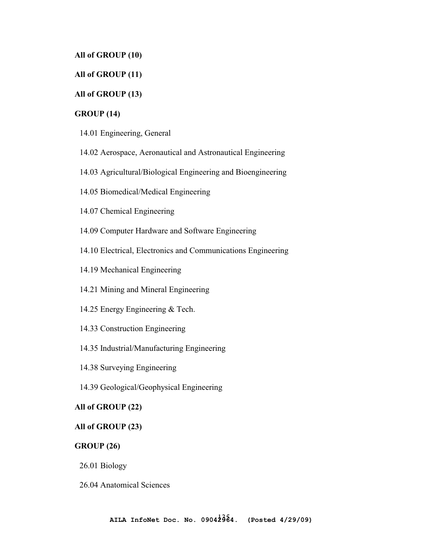## **All of GROUP (10)**

## **All of GROUP (11)**

### **All of GROUP (13)**

## **GROUP (14)**

- 14.01 Engineering, General
- 14.02 Aerospace, Aeronautical and Astronautical Engineering
- 14.03 Agricultural/Biological Engineering and Bioengineering
- 14.05 Biomedical/Medical Engineering
- 14.07 Chemical Engineering
- 14.09 Computer Hardware and Software Engineering
- 14.10 Electrical, Electronics and Communications Engineering
- 14.19 Mechanical Engineering
- 14.21 Mining and Mineral Engineering
- 14.25 Energy Engineering & Tech.
- 14.33 Construction Engineering
- 14.35 Industrial/Manufacturing Engineering
- 14.38 Surveying Engineering
- 14.39 Geological/Geophysical Engineering

## **All of GROUP (22)**

# **All of GROUP (23)**

### **GROUP (26)**

26.01 Biology

26.04 Anatomical Sciences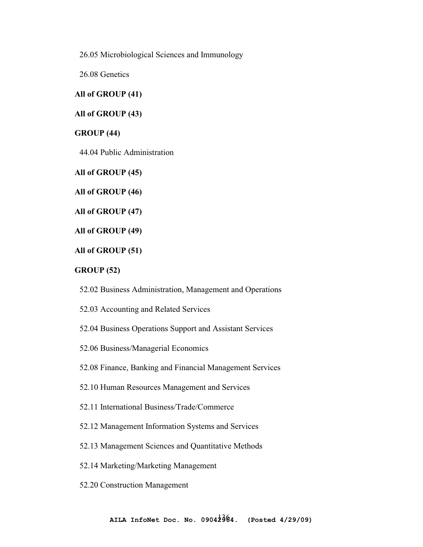26.05 Microbiological Sciences and Immunology

26.08 Genetics

## **All of GROUP (41)**

**All of GROUP (43)** 

### **GROUP (44)**

44.04 Public Administration

**All of GROUP (45)** 

**All of GROUP (46)** 

**All of GROUP (47)** 

**All of GROUP (49)** 

**All of GROUP (51)** 

#### **GROUP (52)**

52.02 Business Administration, Management and Operations

52.03 Accounting and Related Services

52.04 Business Operations Support and Assistant Services

52.06 Business/Managerial Economics

52.08 Finance, Banking and Financial Management Services

52.10 Human Resources Management and Services

52.11 International Business/Trade/Commerce

52.12 Management Information Systems and Services

52.13 Management Sciences and Quantitative Methods

52.14 Marketing/Marketing Management

52.20 Construction Management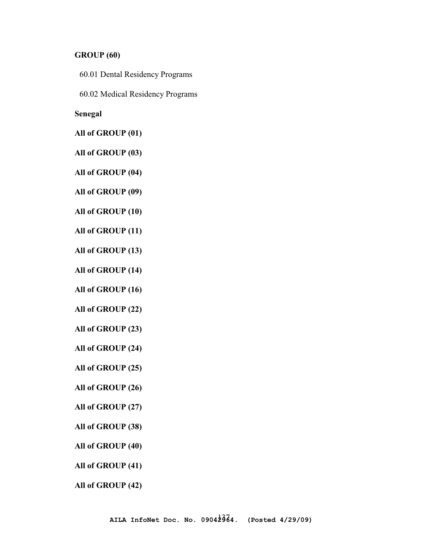### **GROUP (60)**

- 60.01 Dental Residency Programs
- 60.02 Medical Residency Programs

**Senegal** 

**All of GROUP (01)** 

**All of GROUP (03)** 

**All of GROUP (04)** 

**All of GROUP (09)** 

**All of GROUP (10)** 

**All of GROUP (11)** 

**All of GROUP (13)** 

**All of GROUP (14)** 

**All of GROUP (16)** 

**All of GROUP (22)** 

**All of GROUP (23)** 

**All of GROUP (24)** 

**All of GROUP (25)** 

**All of GROUP (26)** 

**All of GROUP (27)** 

**All of GROUP (38)** 

**All of GROUP (40)** 

**All of GROUP (41)** 

**All of GROUP (42)**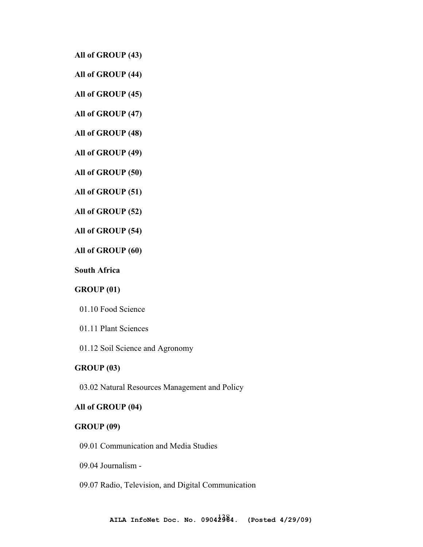**All of GROUP (43)** 

**All of GROUP (44)** 

**All of GROUP (45)** 

**All of GROUP (47)** 

**All of GROUP (48)** 

**All of GROUP (49)** 

**All of GROUP (50)** 

**All of GROUP (51)** 

**All of GROUP (52)** 

**All of GROUP (54)** 

**All of GROUP (60)** 

**South Africa** 

## **GROUP (01)**

- 01.10 Food Science
- 01.11 Plant Sciences
- 01.12 Soil Science and Agronomy

#### **GROUP (03)**

03.02 Natural Resources Management and Policy

# **All of GROUP (04)**

#### **GROUP (09)**

- 09.01 Communication and Media Studies
- 09.04 Journalism -
- 09.07 Radio, Television, and Digital Communication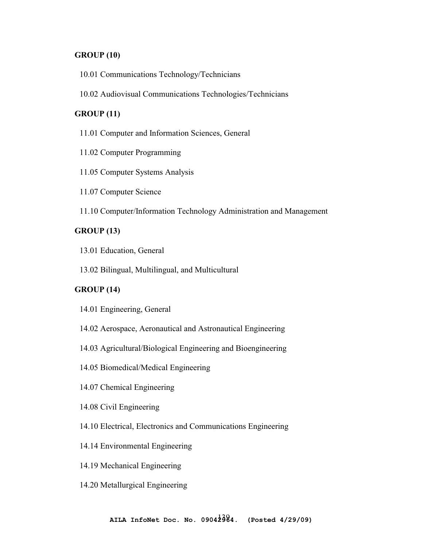## **GROUP (10)**

- 10.01 Communications Technology/Technicians
- 10.02 Audiovisual Communications Technologies/Technicians

# **GROUP (11)**

- 11.01 Computer and Information Sciences, General
- 11.02 Computer Programming
- 11.05 Computer Systems Analysis
- 11.07 Computer Science
- 11.10 Computer/Information Technology Administration and Management

### **GROUP (13)**

- 13.01 Education, General
- 13.02 Bilingual, Multilingual, and Multicultural

## **GROUP (14)**

- 14.01 Engineering, General
- 14.02 Aerospace, Aeronautical and Astronautical Engineering
- 14.03 Agricultural/Biological Engineering and Bioengineering
- 14.05 Biomedical/Medical Engineering
- 14.07 Chemical Engineering
- 14.08 Civil Engineering
- 14.10 Electrical, Electronics and Communications Engineering
- 14.14 Environmental Engineering
- 14.19 Mechanical Engineering
- 14.20 Metallurgical Engineering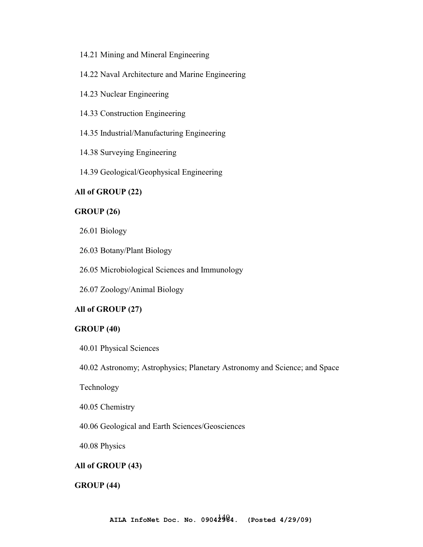### 14.21 Mining and Mineral Engineering

- 14.22 Naval Architecture and Marine Engineering
- 14.23 Nuclear Engineering
- 14.33 Construction Engineering
- 14.35 Industrial/Manufacturing Engineering
- 14.38 Surveying Engineering
- 14.39 Geological/Geophysical Engineering

## **All of GROUP (22)**

#### **GROUP (26)**

- 26.01 Biology
- 26.03 Botany/Plant Biology
- 26.05 Microbiological Sciences and Immunology
- 26.07 Zoology/Animal Biology

### **All of GROUP (27)**

#### **GROUP (40)**

40.01 Physical Sciences

40.02 Astronomy; Astrophysics; Planetary Astronomy and Science; and Space

Technology

40.05 Chemistry

40.06 Geological and Earth Sciences/Geosciences

40.08 Physics

### **All of GROUP (43)**

#### **GROUP (44)**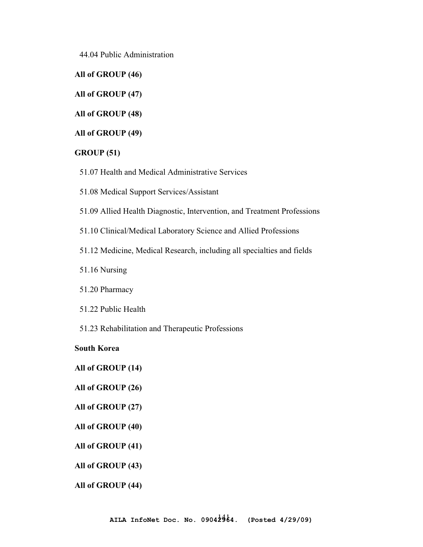44.04 Public Administration

**All of GROUP (46)** 

**All of GROUP (47)** 

**All of GROUP (48)** 

**All of GROUP (49)** 

### **GROUP (51)**

- 51.07 Health and Medical Administrative Services
- 51.08 Medical Support Services/Assistant
- 51.09 Allied Health Diagnostic, Intervention, and Treatment Professions
- 51.10 Clinical/Medical Laboratory Science and Allied Professions
- 51.12 Medicine, Medical Research, including all specialties and fields
- 51.16 Nursing
- 51.20 Pharmacy
- 51.22 Public Health
- 51.23 Rehabilitation and Therapeutic Professions

### **South Korea**

# **All of GROUP (14)**

**All of GROUP (26)** 

## **All of GROUP (27)**

- **All of GROUP (40)**
- **All of GROUP (41)**
- **All of GROUP (43)**
- **All of GROUP (44)**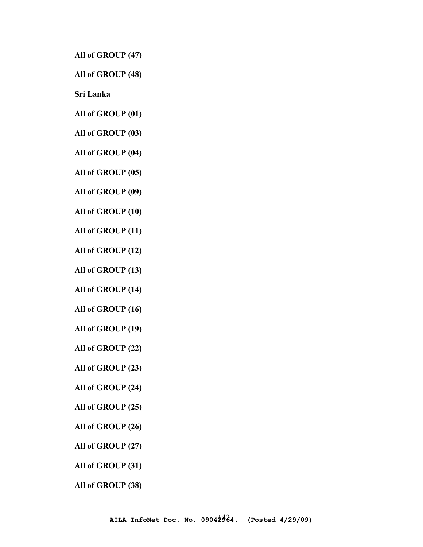**All of GROUP (47)** 

**All of GROUP (48)** 

**Sri Lanka** 

**All of GROUP (01)** 

**All of GROUP (03)** 

**All of GROUP (04)** 

**All of GROUP (05)** 

**All of GROUP (09)** 

**All of GROUP (10)** 

**All of GROUP (11)** 

**All of GROUP (12)** 

**All of GROUP (13)** 

**All of GROUP (14)** 

**All of GROUP (16)** 

**All of GROUP (19)** 

**All of GROUP (22)** 

**All of GROUP (23)** 

**All of GROUP (24)** 

**All of GROUP (25)** 

**All of GROUP (26)** 

**All of GROUP (27)** 

**All of GROUP (31)** 

**All of GROUP (38)**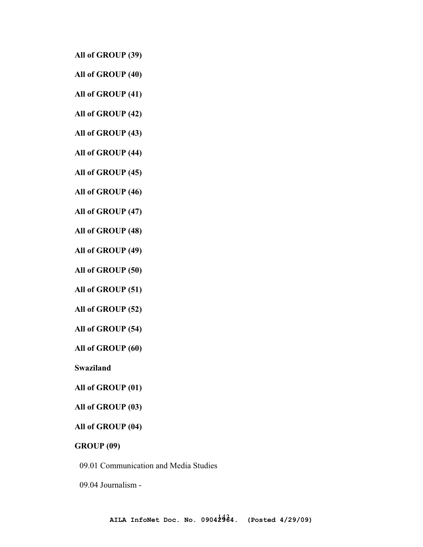**All of GROUP (39)** 

**All of GROUP (40)** 

**All of GROUP (41)** 

**All of GROUP (42)** 

**All of GROUP (43)** 

**All of GROUP (44)** 

**All of GROUP (45)** 

**All of GROUP (46)** 

**All of GROUP (47)** 

**All of GROUP (48)** 

**All of GROUP (49)** 

**All of GROUP (50)** 

**All of GROUP (51)** 

**All of GROUP (52)** 

**All of GROUP (54)** 

**All of GROUP (60)** 

**Swaziland** 

| All of GROUP (01) |  |  |  |  |
|-------------------|--|--|--|--|
|-------------------|--|--|--|--|

**All of GROUP (03)** 

#### **All of GROUP (04)**

**GROUP (09)** 

09.01 Communication and Media Studies

09.04 Journalism -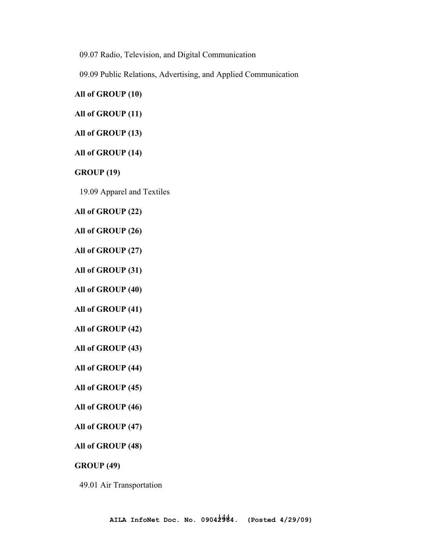09.07 Radio, Television, and Digital Communication

09.09 Public Relations, Advertising, and Applied Communication

## **All of GROUP (10)**

## **All of GROUP (11)**

## **All of GROUP (13)**

### **All of GROUP (14)**

## **GROUP (19)**

19.09 Apparel and Textiles

## **All of GROUP (22)**

### **All of GROUP (26)**

**All of GROUP (27)** 

## **All of GROUP (31)**

**All of GROUP (40)** 

## **All of GROUP (41)**

- **All of GROUP (42)**
- **All of GROUP (43)**

## **All of GROUP (44)**

## **All of GROUP (45)**

## **All of GROUP (46)**

**All of GROUP (47)** 

## **All of GROUP (48)**

## **GROUP (49)**

#### 49.01 Air Transportation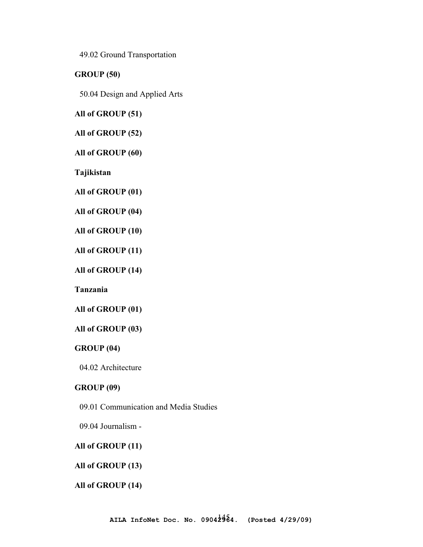49.02 Ground Transportation

**GROUP (50)** 

50.04 Design and Applied Arts

**All of GROUP (51)** 

**All of GROUP (52)** 

**All of GROUP (60)** 

**Tajikistan**

**All of GROUP (01)** 

**All of GROUP (04)** 

**All of GROUP (10)** 

**All of GROUP (11)** 

**All of GROUP (14)** 

**Tanzania**

**All of GROUP (01)** 

# **All of GROUP (03)**

#### **GROUP (04)**

04.02 Architecture

# **GROUP (09)**

09.01 Communication and Media Studies

09.04 Journalism -

#### **All of GROUP (11)**

# **All of GROUP (13)**

#### **All of GROUP (14)**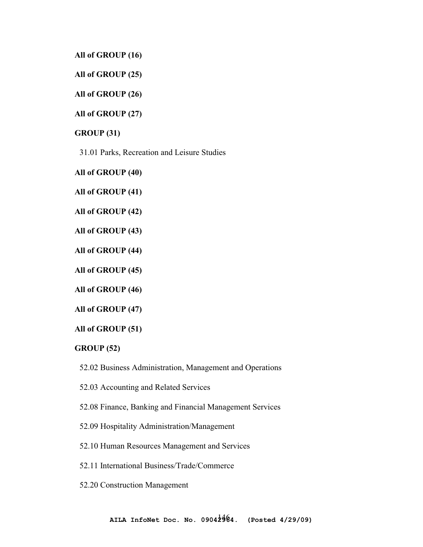**All of GROUP (16)** 

**All of GROUP (25)** 

**All of GROUP (26)** 

**All of GROUP (27)** 

**GROUP (31)** 

31.01 Parks, Recreation and Leisure Studies

**All of GROUP (40)** 

**All of GROUP (41)** 

**All of GROUP (42)** 

**All of GROUP (43)** 

**All of GROUP (44)** 

**All of GROUP (45)** 

**All of GROUP (46)** 

**All of GROUP (47)** 

**All of GROUP (51)** 

#### **GROUP (52)**

52.02 Business Administration, Management and Operations

52.03 Accounting and Related Services

52.08 Finance, Banking and Financial Management Services

52.09 Hospitality Administration/Management

52.10 Human Resources Management and Services

52.11 International Business/Trade/Commerce

52.20 Construction Management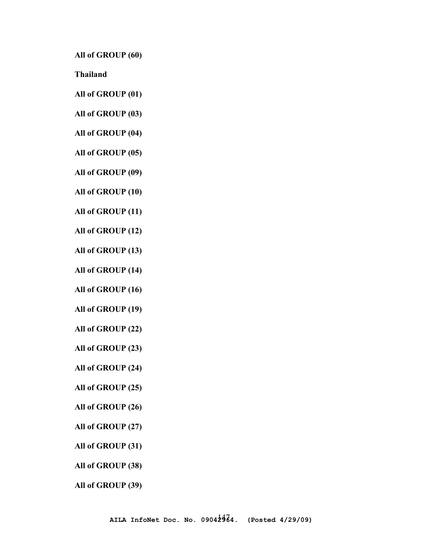**All of GROUP (60)** 

**Thailand**

- **All of GROUP (01)**
- **All of GROUP (03)**
- **All of GROUP (04)**
- **All of GROUP (05)**
- **All of GROUP (09)**
- **All of GROUP (10)**
- **All of GROUP (11)**
- **All of GROUP (12)**
- **All of GROUP (13)**
- **All of GROUP (14)**
- **All of GROUP (16)**
- **All of GROUP (19)**
- **All of GROUP (22)**
- **All of GROUP (23)**
- **All of GROUP (24)**
- **All of GROUP (25)**
- **All of GROUP (26)**
- **All of GROUP (27)**
- **All of GROUP (31)**
- **All of GROUP (38)**
- **All of GROUP (39)**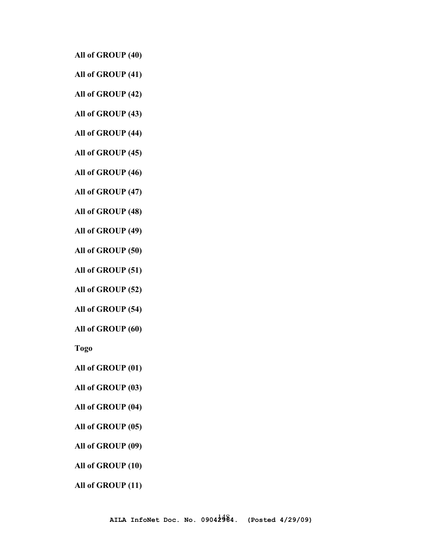**All of GROUP (40)** 

**All of GROUP (41)** 

**All of GROUP (42)** 

**All of GROUP (43)** 

**All of GROUP (44)** 

**All of GROUP (45)** 

**All of GROUP (46)** 

**All of GROUP (47)** 

**All of GROUP (48)** 

**All of GROUP (49)** 

**All of GROUP (50)** 

**All of GROUP (51)** 

**All of GROUP (52)** 

**All of GROUP (54)** 

**All of GROUP (60)** 

**Togo**

**All of GROUP (01)** 

**All of GROUP (03)** 

**All of GROUP (04)** 

**All of GROUP (05)** 

**All of GROUP (09)** 

**All of GROUP (10)** 

**All of GROUP (11)**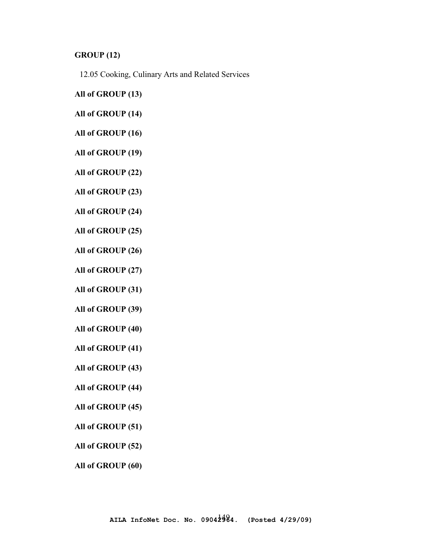# **GROUP (12)**

12.05 Cooking, Culinary Arts and Related Services

- **All of GROUP (13)**
- **All of GROUP (14)**
- **All of GROUP (16)**
- **All of GROUP (19)**
- **All of GROUP (22)**
- **All of GROUP (23)**
- **All of GROUP (24)**
- **All of GROUP (25)**
- **All of GROUP (26)**
- **All of GROUP (27)**
- **All of GROUP (31)**
- **All of GROUP (39)**
- **All of GROUP (40)**
- **All of GROUP (41)**
- **All of GROUP (43)**
- **All of GROUP (44)**
- **All of GROUP (45)**
- **All of GROUP (51)**
- **All of GROUP (52)**
- **All of GROUP (60)**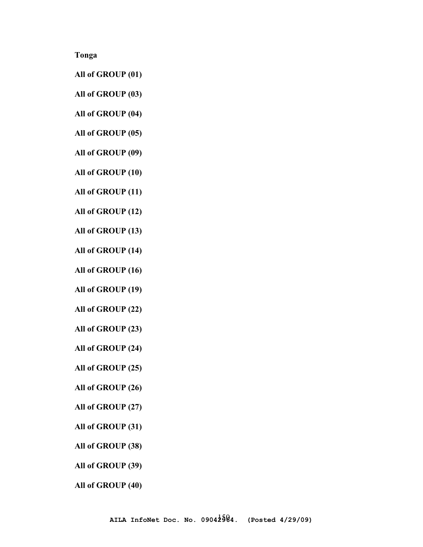**Tonga**

- **All of GROUP (01)**
- **All of GROUP (03)**
- **All of GROUP (04)**
- **All of GROUP (05)**
- **All of GROUP (09)**
- **All of GROUP (10)**
- **All of GROUP (11)**
- **All of GROUP (12)**
- **All of GROUP (13)**
- **All of GROUP (14)**
- **All of GROUP (16)**
- **All of GROUP (19)**
- **All of GROUP (22)**
- **All of GROUP (23)**
- **All of GROUP (24)**
- **All of GROUP (25)**
- **All of GROUP (26)**
- **All of GROUP (27)**
- **All of GROUP (31)**
- **All of GROUP (38)**
- **All of GROUP (39)**
- **All of GROUP (40)**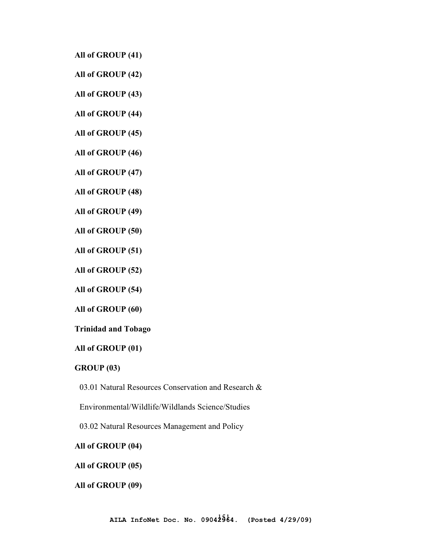**All of GROUP (41)** 

**All of GROUP (42)** 

**All of GROUP (43)** 

**All of GROUP (44)** 

**All of GROUP (45)** 

**All of GROUP (46)** 

**All of GROUP (47)** 

**All of GROUP (48)** 

**All of GROUP (49)** 

**All of GROUP (50)** 

**All of GROUP (51)** 

**All of GROUP (52)** 

**All of GROUP (54)** 

**All of GROUP (60)** 

**Trinidad and Tobago** 

**All of GROUP (01)** 

**GROUP (03)** 

03.01 Natural Resources Conservation and Research &

Environmental/Wildlife/Wildlands Science/Studies

03.02 Natural Resources Management and Policy

**All of GROUP (04)** 

**All of GROUP (05)** 

**All of GROUP (09)**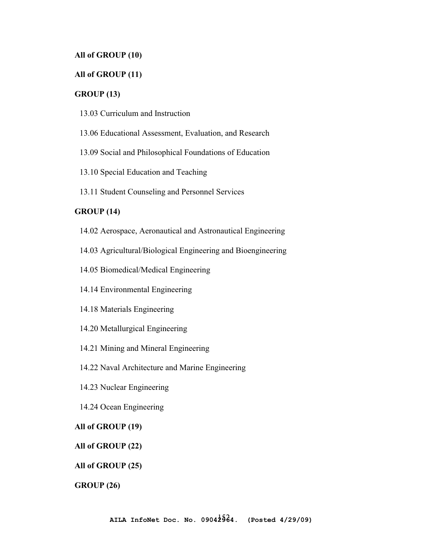# **All of GROUP (10)**

# **All of GROUP (11)**

#### **GROUP (13)**

- 13.03 Curriculum and Instruction
- 13.06 Educational Assessment, Evaluation, and Research
- 13.09 Social and Philosophical Foundations of Education
- 13.10 Special Education and Teaching
- 13.11 Student Counseling and Personnel Services

# **GROUP (14)**

- 14.02 Aerospace, Aeronautical and Astronautical Engineering
- 14.03 Agricultural/Biological Engineering and Bioengineering
- 14.05 Biomedical/Medical Engineering
- 14.14 Environmental Engineering
- 14.18 Materials Engineering
- 14.20 Metallurgical Engineering
- 14.21 Mining and Mineral Engineering
- 14.22 Naval Architecture and Marine Engineering
- 14.23 Nuclear Engineering
- 14.24 Ocean Engineering

# **All of GROUP (19)**

## **All of GROUP (22)**

#### **All of GROUP (25)**

#### **GROUP (26)**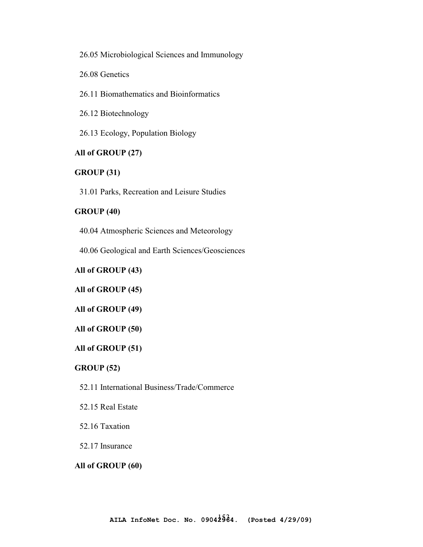26.05 Microbiological Sciences and Immunology

26.08 Genetics

26.11 Biomathematics and Bioinformatics

26.12 Biotechnology

26.13 Ecology, Population Biology

# **All of GROUP (27)**

# **GROUP (31)**

31.01 Parks, Recreation and Leisure Studies

#### **GROUP (40)**

40.04 Atmospheric Sciences and Meteorology

40.06 Geological and Earth Sciences/Geosciences

**All of GROUP (43)** 

**All of GROUP (45)** 

**All of GROUP (49)** 

#### **All of GROUP (50)**

#### **All of GROUP (51)**

### **GROUP (52)**

52.11 International Business/Trade/Commerce

52.15 Real Estate

52.16 Taxation

### 52.17 Insurance

#### **All of GROUP (60)**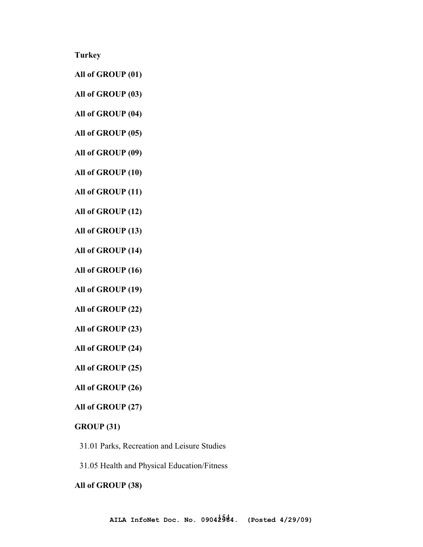**Turkey** 

- **All of GROUP (01)**
- **All of GROUP (03)**
- **All of GROUP (04)**
- **All of GROUP (05)**
- **All of GROUP (09)**
- **All of GROUP (10)**
- **All of GROUP (11)**
- **All of GROUP (12)**
- **All of GROUP (13)**
- **All of GROUP (14)**
- **All of GROUP (16)**
- **All of GROUP (19)**
- **All of GROUP (22)**
- **All of GROUP (23)**
- **All of GROUP (24)**
- **All of GROUP (25)**
- **All of GROUP (26)**
- **All of GROUP (27)**

### **GROUP (31)**

- 31.01 Parks, Recreation and Leisure Studies
- 31.05 Health and Physical Education/Fitness

#### **All of GROUP (38)**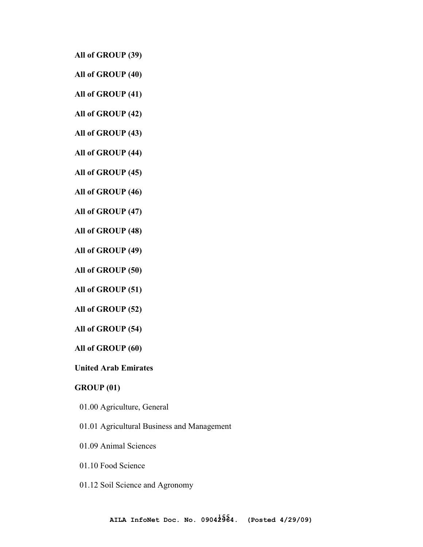**All of GROUP (39)** 

- **All of GROUP (40)**
- **All of GROUP (41)**
- **All of GROUP (42)**
- **All of GROUP (43)**
- **All of GROUP (44)**
- **All of GROUP (45)**
- **All of GROUP (46)**
- **All of GROUP (47)**
- **All of GROUP (48)**
- **All of GROUP (49)**
- **All of GROUP (50)**
- **All of GROUP (51)**
- **All of GROUP (52)**
- **All of GROUP (54)**
- **All of GROUP (60)**
- **United Arab Emirates**

# **GROUP (01)**

- 01.00 Agriculture, General
- 01.01 Agricultural Business and Management
- 01.09 Animal Sciences
- 01.10 Food Science
- 01.12 Soil Science and Agronomy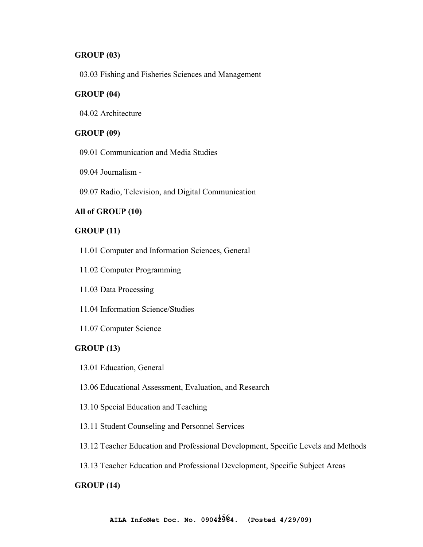# **GROUP (03)**

03.03 Fishing and Fisheries Sciences and Management

#### **GROUP (04)**

04.02 Architecture

# **GROUP (09)**

- 09.01 Communication and Media Studies
- 09.04 Journalism -
- 09.07 Radio, Television, and Digital Communication

# **All of GROUP (10)**

### **GROUP (11)**

- 11.01 Computer and Information Sciences, General
- 11.02 Computer Programming
- 11.03 Data Processing
- 11.04 Information Science/Studies
- 11.07 Computer Science

#### **GROUP (13)**

- 13.01 Education, General
- 13.06 Educational Assessment, Evaluation, and Research
- 13.10 Special Education and Teaching
- 13.11 Student Counseling and Personnel Services
- 13.12 Teacher Education and Professional Development, Specific Levels and Methods
- 13.13 Teacher Education and Professional Development, Specific Subject Areas

#### **GROUP (14)**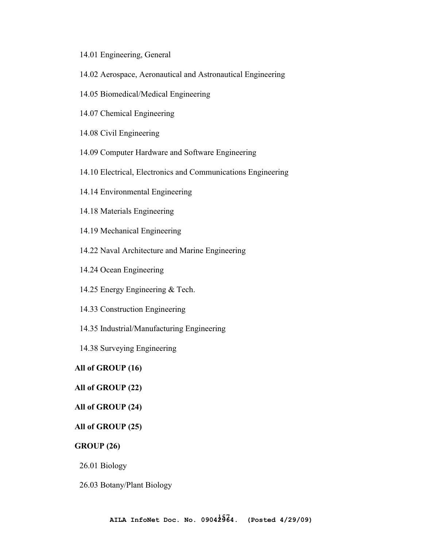- 14.01 Engineering, General
- 14.02 Aerospace, Aeronautical and Astronautical Engineering
- 14.05 Biomedical/Medical Engineering
- 14.07 Chemical Engineering
- 14.08 Civil Engineering
- 14.09 Computer Hardware and Software Engineering
- 14.10 Electrical, Electronics and Communications Engineering
- 14.14 Environmental Engineering
- 14.18 Materials Engineering
- 14.19 Mechanical Engineering
- 14.22 Naval Architecture and Marine Engineering
- 14.24 Ocean Engineering
- 14.25 Energy Engineering & Tech.
- 14.33 Construction Engineering
- 14.35 Industrial/Manufacturing Engineering
- 14.38 Surveying Engineering

### **All of GROUP (16)**

# **All of GROUP (22)**

#### **All of GROUP (24)**

# **All of GROUP (25)**

## **GROUP (26)**

26.01 Biology

26.03 Botany/Plant Biology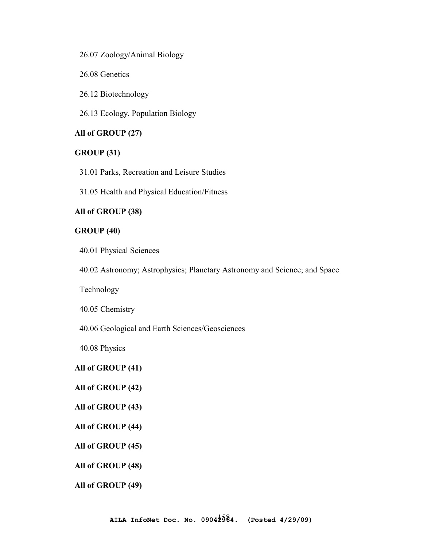26.07 Zoology/Animal Biology

26.08 Genetics

26.12 Biotechnology

26.13 Ecology, Population Biology

# **All of GROUP (27)**

# **GROUP (31)**

31.01 Parks, Recreation and Leisure Studies

31.05 Health and Physical Education/Fitness

# **All of GROUP (38)**

# **GROUP (40)**

40.01 Physical Sciences

40.02 Astronomy; Astrophysics; Planetary Astronomy and Science; and Space

Technology

40.05 Chemistry

40.06 Geological and Earth Sciences/Geosciences

40.08 Physics

# **All of GROUP (41)**

# **All of GROUP (42)**

#### **All of GROUP (43)**

**All of GROUP (44)** 

**All of GROUP (45)** 

**All of GROUP (48)** 

**All of GROUP (49)**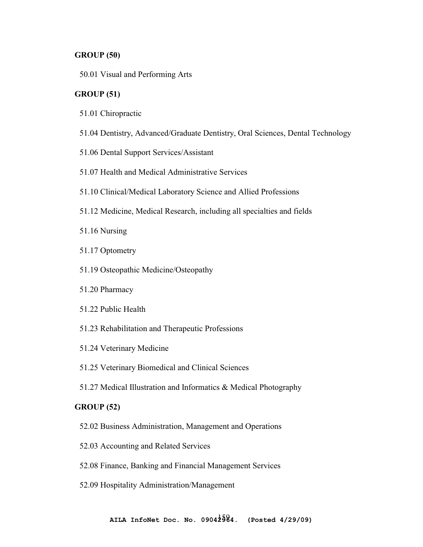### **GROUP (50)**

50.01 Visual and Performing Arts

### **GROUP (51)**

- 51.01 Chiropractic
- 51.04 Dentistry, Advanced/Graduate Dentistry, Oral Sciences, Dental Technology
- 51.06 Dental Support Services/Assistant
- 51.07 Health and Medical Administrative Services
- 51.10 Clinical/Medical Laboratory Science and Allied Professions
- 51.12 Medicine, Medical Research, including all specialties and fields

51.16 Nursing

- 51.17 Optometry
- 51.19 Osteopathic Medicine/Osteopathy
- 51.20 Pharmacy
- 51.22 Public Health
- 51.23 Rehabilitation and Therapeutic Professions
- 51.24 Veterinary Medicine
- 51.25 Veterinary Biomedical and Clinical Sciences
- 51.27 Medical Illustration and Informatics & Medical Photography

# **GROUP (52)**

- 52.02 Business Administration, Management and Operations
- 52.03 Accounting and Related Services
- 52.08 Finance, Banking and Financial Management Services
- 52.09 Hospitality Administration/Management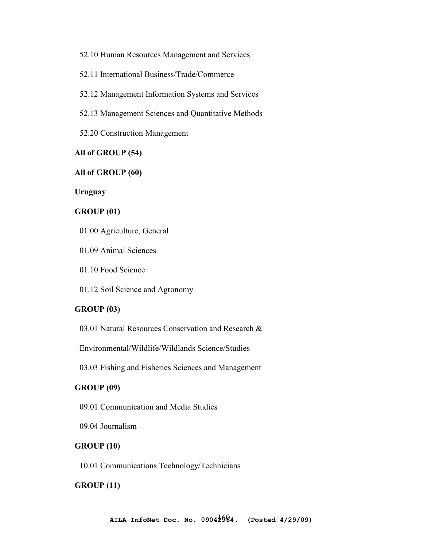52.10 Human Resources Management and Services

52.11 International Business/Trade/Commerce

52.12 Management Information Systems and Services

52.13 Management Sciences and Quantitative Methods

52.20 Construction Management

### **All of GROUP (54)**

# **All of GROUP (60)**

**Uruguay** 

#### **GROUP (01)**

- 01.00 Agriculture, General
- 01.09 Animal Sciences
- 01.10 Food Science
- 01.12 Soil Science and Agronomy

# **GROUP (03)**

03.01 Natural Resources Conservation and Research &

Environmental/Wildlife/Wildlands Science/Studies

03.03 Fishing and Fisheries Sciences and Management

# **GROUP (09)**

- 09.01 Communication and Media Studies
- 09.04 Journalism -

## **GROUP (10)**

10.01 Communications Technology/Technicians

#### **GROUP (11)**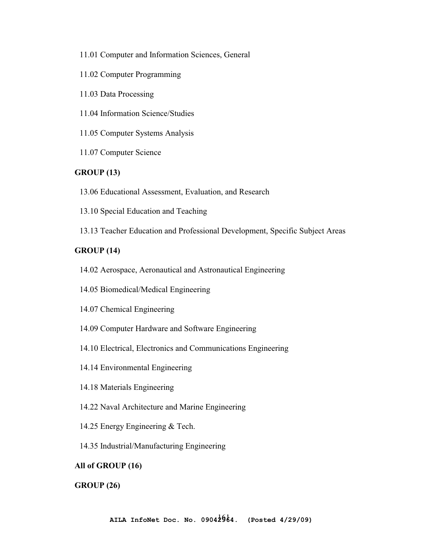- 11.01 Computer and Information Sciences, General
- 11.02 Computer Programming
- 11.03 Data Processing
- 11.04 Information Science/Studies
- 11.05 Computer Systems Analysis
- 11.07 Computer Science

# **GROUP (13)**

- 13.06 Educational Assessment, Evaluation, and Research
- 13.10 Special Education and Teaching
- 13.13 Teacher Education and Professional Development, Specific Subject Areas

# **GROUP (14)**

- 14.02 Aerospace, Aeronautical and Astronautical Engineering
- 14.05 Biomedical/Medical Engineering
- 14.07 Chemical Engineering
- 14.09 Computer Hardware and Software Engineering
- 14.10 Electrical, Electronics and Communications Engineering
- 14.14 Environmental Engineering
- 14.18 Materials Engineering
- 14.22 Naval Architecture and Marine Engineering
- 14.25 Energy Engineering & Tech.
- 14.35 Industrial/Manufacturing Engineering

# **All of GROUP (16)**

#### **GROUP (26)**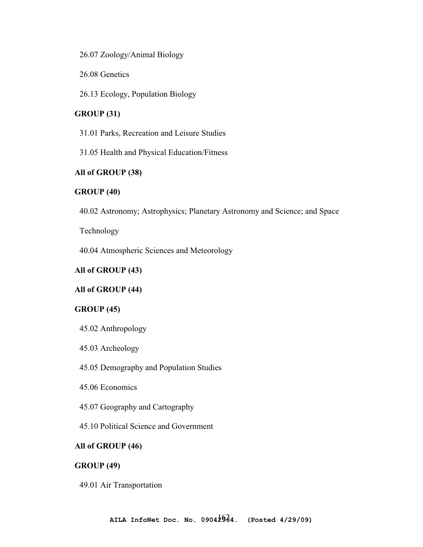26.07 Zoology/Animal Biology

26.08 Genetics

26.13 Ecology, Population Biology

# **GROUP (31)**

31.01 Parks, Recreation and Leisure Studies

31.05 Health and Physical Education/Fitness

# **All of GROUP (38)**

# **GROUP (40)**

40.02 Astronomy; Astrophysics; Planetary Astronomy and Science; and Space

Technology

40.04 Atmospheric Sciences and Meteorology

# **All of GROUP (43)**

### **All of GROUP (44)**

#### **GROUP (45)**

- 45.02 Anthropology
- 45.03 Archeology
- 45.05 Demography and Population Studies
- 45.06 Economics
- 45.07 Geography and Cartography
- 45.10 Political Science and Government

## **All of GROUP (46)**

#### **GROUP (49)**

49.01 Air Transportation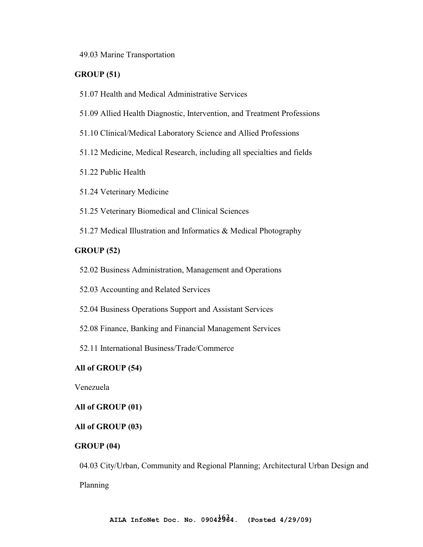49.03 Marine Transportation

## **GROUP (51)**

- 51.07 Health and Medical Administrative Services
- 51.09 Allied Health Diagnostic, Intervention, and Treatment Professions
- 51.10 Clinical/Medical Laboratory Science and Allied Professions
- 51.12 Medicine, Medical Research, including all specialties and fields
- 51.22 Public Health
- 51.24 Veterinary Medicine
- 51.25 Veterinary Biomedical and Clinical Sciences
- 51.27 Medical Illustration and Informatics & Medical Photography

# **GROUP (52)**

- 52.02 Business Administration, Management and Operations
- 52.03 Accounting and Related Services
- 52.04 Business Operations Support and Assistant Services
- 52.08 Finance, Banking and Financial Management Services
- 52.11 International Business/Trade/Commerce

# **All of GROUP (54)**

Venezuela

#### **All of GROUP (01)**

# **All of GROUP (03)**

#### **GROUP (04)**

04.03 City/Urban, Community and Regional Planning; Architectural Urban Design and Planning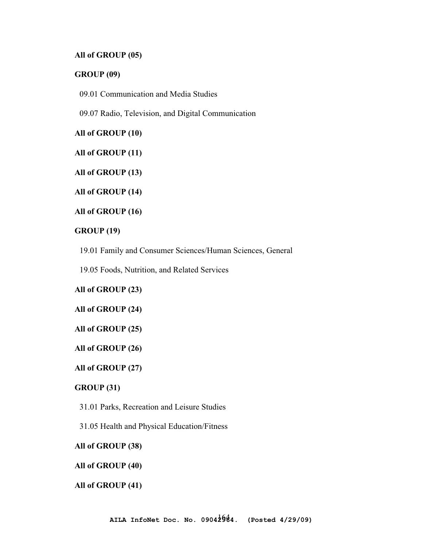# **All of GROUP (05)**

# **GROUP (09)**

09.01 Communication and Media Studies

09.07 Radio, Television, and Digital Communication

**All of GROUP (10)** 

**All of GROUP (11)** 

**All of GROUP (13)** 

**All of GROUP (14)** 

**All of GROUP (16)** 

### **GROUP (19)**

19.01 Family and Consumer Sciences/Human Sciences, General

19.05 Foods, Nutrition, and Related Services

# **All of GROUP (23)**

#### **All of GROUP (24)**

#### **All of GROUP (25)**

#### **All of GROUP (26)**

### **All of GROUP (27)**

# **GROUP (31)**

31.01 Parks, Recreation and Leisure Studies

31.05 Health and Physical Education/Fitness

## **All of GROUP (38)**

#### **All of GROUP (40)**

#### **All of GROUP (41)**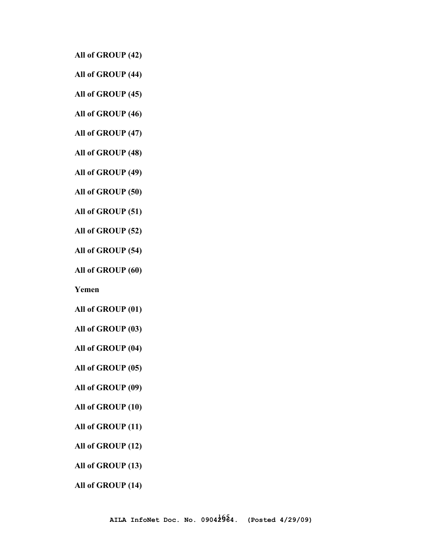**All of GROUP (42)** 

**All of GROUP (44)** 

**All of GROUP (45)** 

**All of GROUP (46)** 

**All of GROUP (47)** 

**All of GROUP (48)** 

**All of GROUP (49)** 

**All of GROUP (50)** 

**All of GROUP (51)** 

**All of GROUP (52)** 

**All of GROUP (54)** 

**All of GROUP (60)** 

**Yemen** 

**All of GROUP (01)** 

**All of GROUP (03)** 

**All of GROUP (04)** 

**All of GROUP (05)** 

**All of GROUP (09)** 

**All of GROUP (10)** 

**All of GROUP (11)** 

**All of GROUP (12)** 

**All of GROUP (13)** 

**All of GROUP (14)**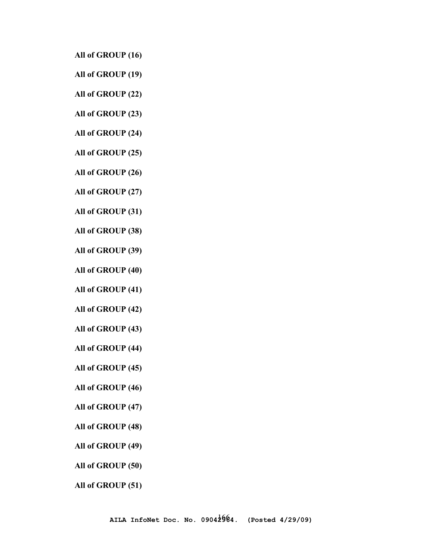- **All of GROUP (16)**
- **All of GROUP (19)**
- **All of GROUP (22)**
- **All of GROUP (23)**
- **All of GROUP (24)**
- **All of GROUP (25)**
- **All of GROUP (26)**
- **All of GROUP (27)**
- **All of GROUP (31)**
- **All of GROUP (38)**
- **All of GROUP (39)**
- **All of GROUP (40)**
- **All of GROUP (41)**
- **All of GROUP (42)**
- **All of GROUP (43)**
- **All of GROUP (44)**
- **All of GROUP (45)**
- **All of GROUP (46)**
- **All of GROUP (47)**
- **All of GROUP (48)**
- **All of GROUP (49)**
- **All of GROUP (50)**
- **All of GROUP (51)**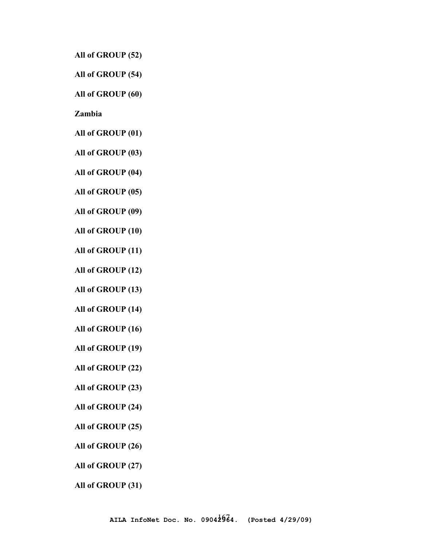**All of GROUP (52)** 

**All of GROUP (54)** 

**All of GROUP (60)** 

**Zambia** 

**All of GROUP (01)** 

**All of GROUP (03)** 

**All of GROUP (04)** 

**All of GROUP (05)** 

**All of GROUP (09)** 

**All of GROUP (10)** 

**All of GROUP (11)** 

**All of GROUP (12)** 

**All of GROUP (13)** 

**All of GROUP (14)** 

**All of GROUP (16)** 

**All of GROUP (19)** 

**All of GROUP (22)** 

**All of GROUP (23)** 

**All of GROUP (24)** 

**All of GROUP (25)** 

**All of GROUP (26)** 

**All of GROUP (27)** 

**All of GROUP (31)**